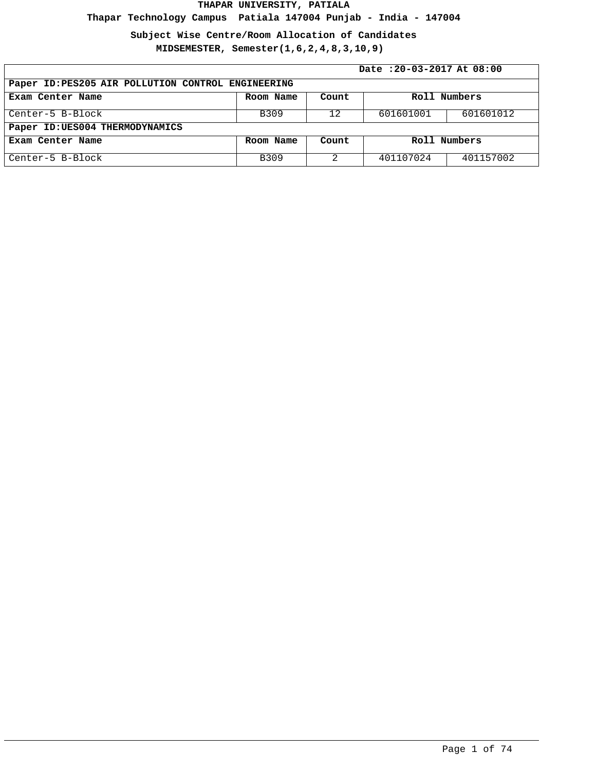**Thapar Technology Campus Patiala 147004 Punjab - India - 147004**

**Subject Wise Centre/Room Allocation of Candidates**

|                                                    | Date: 20-03-2017 At 08:00 |       |              |           |  |
|----------------------------------------------------|---------------------------|-------|--------------|-----------|--|
| Paper ID: PES205 AIR POLLUTION CONTROL ENGINEERING |                           |       |              |           |  |
| Exam Center Name                                   | Room Name                 | Count | Roll Numbers |           |  |
| Center-5 B-Block                                   | B309                      | 12    | 601601001    | 601601012 |  |
| Paper ID: UES004 THERMODYNAMICS                    |                           |       |              |           |  |
| Exam Center Name                                   | Room Name                 | Count | Roll Numbers |           |  |
| Center-5 B-Block                                   | B309                      |       | 401107024    | 401157002 |  |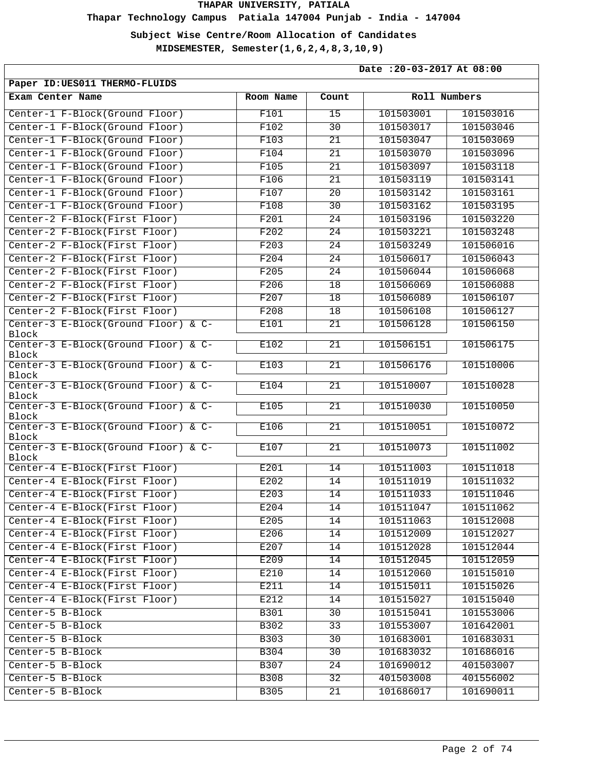**Thapar Technology Campus Patiala 147004 Punjab - India - 147004**

**Subject Wise Centre/Room Allocation of Candidates**

| Date: 20-03-2017 At 08:00                    |             |                 |              |           |
|----------------------------------------------|-------------|-----------------|--------------|-----------|
| Paper ID: UES011 THERMO-FLUIDS               |             |                 |              |           |
| Exam Center Name                             | Room Name   | Count           | Roll Numbers |           |
| Center-1 F-Block(Ground Floor)               | F101        | 15              | 101503001    | 101503016 |
| Center-1 F-Block(Ground Floor)               | F102        | $\overline{30}$ | 101503017    | 101503046 |
| Center-1 F-Block(Ground Floor)               | F103        | 21              | 101503047    | 101503069 |
| Center-1 F-Block(Ground Floor)               | F104        | $\overline{21}$ | 101503070    | 101503096 |
| Center-1 F-Block(Ground Floor)               | F105        | 21              | 101503097    | 101503118 |
| Center-1 F-Block(Ground Floor)               | F106        | 21              | 101503119    | 101503141 |
| Center-1 F-Block(Ground Floor)               | F107        | 20              | 101503142    | 101503161 |
| Center-1 F-Block(Ground Floor)               | F108        | $\overline{30}$ | 101503162    | 101503195 |
| Center-2 F-Block(First Floor)                | F201        | $\overline{24}$ | 101503196    | 101503220 |
| Center-2 F-Block(First Floor)                | F202        | 24              | 101503221    | 101503248 |
| Center-2 F-Block(First Floor)                | F203        | 24              | 101503249    | 101506016 |
| Center-2 F-Block(First Floor)                | F204        | 24              | 101506017    | 101506043 |
| Center-2 F-Block(First Floor)                | F205        | 24              | 101506044    | 101506068 |
| Center-2 F-Block(First Floor)                | F206        | 18              | 101506069    | 101506088 |
| Center-2 F-Block(First Floor)                | F207        | 18              | 101506089    | 101506107 |
| Center-2 F-Block(First Floor)                | F208        | 18              | 101506108    | 101506127 |
| Center-3 E-Block(Ground Floor) & C-<br>Block | E101        | 21              | 101506128    | 101506150 |
| Center-3 E-Block(Ground Floor) & C-<br>Block | E102        | 21              | 101506151    | 101506175 |
| Center-3 E-Block(Ground Floor) & C-<br>Block | E103        | 21              | 101506176    | 101510006 |
| Center-3 E-Block(Ground Floor) & C-<br>Block | E104        | 21              | 101510007    | 101510028 |
| Center-3 E-Block(Ground Floor) & C-<br>Block | E105        | 21              | 101510030    | 101510050 |
| Center-3 E-Block(Ground Floor) & C-<br>Block | E106        | 21              | 101510051    | 101510072 |
| Center-3 E-Block(Ground Floor) & C-<br>Block | E107        | 21              | 101510073    | 101511002 |
| Center-4 E-Block(First Floor)                | E201        | 14              | 101511003    | 101511018 |
| Center-4 E-Block(First Floor)                | E202        | $\overline{14}$ | 101511019    | 101511032 |
| Center-4 E-Block(First Floor)                | E203        | 14              | 101511033    | 101511046 |
| Center-4 E-Block(First Floor)                | E204        | 14              | 101511047    | 101511062 |
| Center-4 E-Block(First Floor)                | E205        | 14              | 101511063    | 101512008 |
| Center-4 E-Block(First Floor)                | E206        | 14              | 101512009    | 101512027 |
| Center-4 E-Block(First Floor)                | E207        | 14              | 101512028    | 101512044 |
| Center-4 E-Block(First Floor)                | E209        | 14              | 101512045    | 101512059 |
| Center-4 E-Block(First Floor)                | E210        | 14              | 101512060    | 101515010 |
| Center-4 E-Block(First Floor)                | E211        | 14              | 101515011    | 101515026 |
| Center-4 E-Block(First Floor)                | E212        | 14              | 101515027    | 101515040 |
| Center-5 B-Block                             | <b>B301</b> | 30              | 101515041    | 101553006 |
| Center-5 B-Block                             | B302        | 33              | 101553007    | 101642001 |
| Center-5 B-Block                             | B303        | 30              | 101683001    | 101683031 |
| Center-5 B-Block                             | B304        | 30              | 101683032    | 101686016 |
| Center-5 B-Block                             | B307        | 24              | 101690012    | 401503007 |
| Center-5 B-Block                             | <b>B308</b> | 32              | 401503008    | 401556002 |
| Center-5 B-Block                             | <b>B305</b> | 21              | 101686017    | 101690011 |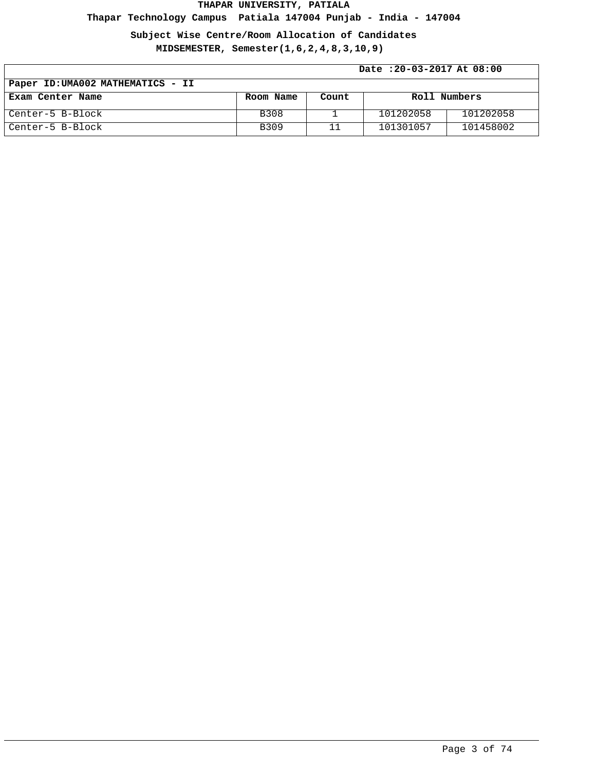**Thapar Technology Campus Patiala 147004 Punjab - India - 147004**

**Subject Wise Centre/Room Allocation of Candidates**

| Date: 20-03-2017 At 08:00         |           |       |              |           |  |
|-----------------------------------|-----------|-------|--------------|-----------|--|
| Paper ID: UMA002 MATHEMATICS - II |           |       |              |           |  |
| Exam Center Name                  | Room Name | Count | Roll Numbers |           |  |
| Center-5 B-Block                  | B308      |       | 101202058    | 101202058 |  |
| Center-5 B-Block                  | B309      |       | 101301057    | 101458002 |  |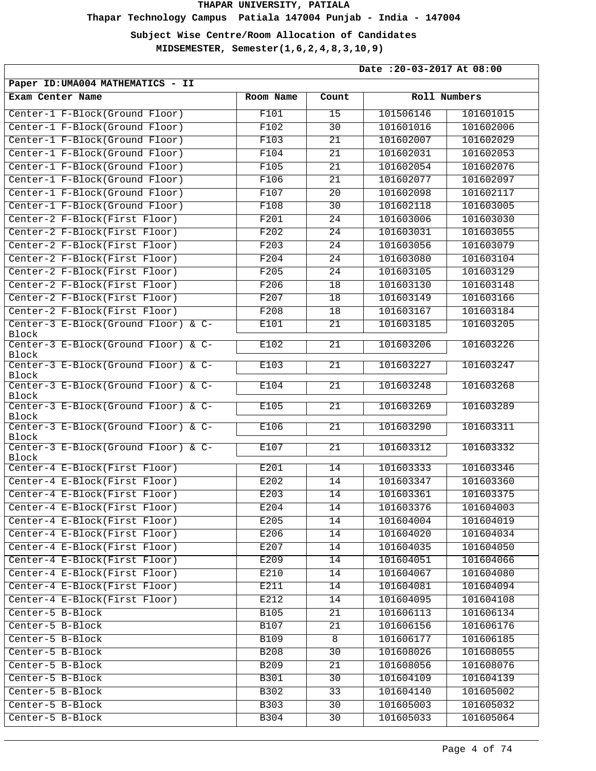**Thapar Technology Campus Patiala 147004 Punjab - India - 147004**

**Subject Wise Centre/Room Allocation of Candidates**

| Date: 20-03-2017 At 08:00                             |             |                 |              |           |
|-------------------------------------------------------|-------------|-----------------|--------------|-----------|
| Paper ID: UMA004 MATHEMATICS - II                     |             |                 |              |           |
| Exam Center Name                                      | Room Name   | Count           | Roll Numbers |           |
| Center-1 F-Block(Ground Floor)                        | F101        | 15              | 101506146    | 101601015 |
| Center-1 F-Block(Ground Floor)                        | F102        | 30              | 101601016    | 101602006 |
| Center-1 F-Block(Ground Floor)                        | F103        | 21              | 101602007    | 101602029 |
| Center-1 F-Block(Ground Floor)                        | F104        | $\overline{21}$ | 101602031    | 101602053 |
| Center-1 F-Block(Ground Floor)                        | F105        | $\overline{21}$ | 101602054    | 101602076 |
| Center-1 F-Block(Ground Floor)                        | F106        | 21              | 101602077    | 101602097 |
| Center-1 F-Block(Ground Floor)                        | F107        | 20              | 101602098    | 101602117 |
| Center-1 F-Block(Ground Floor)                        | F108        | 30              | 101602118    | 101603005 |
| Center-2 F-Block(First Floor)                         | F201        | $\overline{24}$ | 101603006    | 101603030 |
| Center-2 F-Block(First Floor)                         | F202        | 24              | 101603031    | 101603055 |
| Center-2 F-Block(First Floor)                         | F203        | 24              | 101603056    | 101603079 |
| Center-2 F-Block(First Floor)                         | F204        | $\overline{24}$ | 101603080    | 101603104 |
| Center-2 F-Block(First Floor)                         | F205        | 24              | 101603105    | 101603129 |
| Center-2 F-Block(First Floor)                         | F206        | 18              | 101603130    | 101603148 |
| Center-2 F-Block(First Floor)                         | F207        | 18              | 101603149    | 101603166 |
| Center-2 F-Block(First Floor)                         | F208        | 18              | 101603167    | 101603184 |
| Center-3 E-Block(Ground Floor) & C-                   | E101        | $\overline{21}$ | 101603185    | 101603205 |
| Block<br>Center-3 E-Block(Ground Floor) & C-<br>Block | E102        | 21              | 101603206    | 101603226 |
| Center-3 E-Block(Ground Floor) & C-<br>Block          | E103        | $\overline{21}$ | 101603227    | 101603247 |
| Center-3 E-Block(Ground Floor) & C-<br>Block          | E104        | 21              | 101603248    | 101603268 |
| Center-3 E-Block(Ground Floor) & C-<br>Block          | E105        | 21              | 101603269    | 101603289 |
| Center-3 E-Block(Ground Floor) & C-<br>Block          | E106        | 21              | 101603290    | 101603311 |
| Center-3 E-Block(Ground Floor) & C-<br>Block          | E107        | 21              | 101603312    | 101603332 |
| Center-4 E-Block(First Floor)                         | E201        | 14              | 101603333    | 101603346 |
| Center-4 E-Block(First Floor)                         | E202        | 14              | 101603347    | 101603360 |
| Center-4 E-Block(First Floor)                         | E203        | 14              | 101603361    | 101603375 |
| Center-4 E-Block(First Floor)                         | E204        | 14              | 101603376    | 101604003 |
| Center-4 E-Block(First Floor)                         | E205        | 14              | 101604004    | 101604019 |
| Center-4 E-Block(First Floor)                         | E206        | 14              | 101604020    | 101604034 |
| Center-4 E-Block(First Floor)                         | E207        | 14              | 101604035    | 101604050 |
| Center-4 E-Block(First Floor)                         | E209        | 14              | 101604051    | 101604066 |
| Center-4 E-Block(First Floor)                         | E210        | 14              | 101604067    | 101604080 |
| Center-4 E-Block(First Floor)                         | E211        | 14              | 101604081    | 101604094 |
| Center-4 E-Block(First Floor)                         | E212        | 14              | 101604095    | 101604108 |
| Center-5 B-Block                                      | <b>B105</b> | 21              | 101606113    | 101606134 |
| Center-5 B-Block                                      | <b>B107</b> | 21              | 101606156    | 101606176 |
| Center-5 B-Block                                      | <b>B109</b> | 8               | 101606177    | 101606185 |
| Center-5 B-Block                                      | <b>B208</b> | 30              | 101608026    | 101608055 |
| Center-5 B-Block                                      | B209        | 21              | 101608056    | 101608076 |
| Center-5 B-Block                                      | <b>B301</b> | 30              | 101604109    | 101604139 |
| Center-5 B-Block                                      | B302        | 33              | 101604140    | 101605002 |
| Center-5 B-Block                                      | B303        | 30              | 101605003    | 101605032 |
| Center-5 B-Block                                      | B304        | 30              | 101605033    | 101605064 |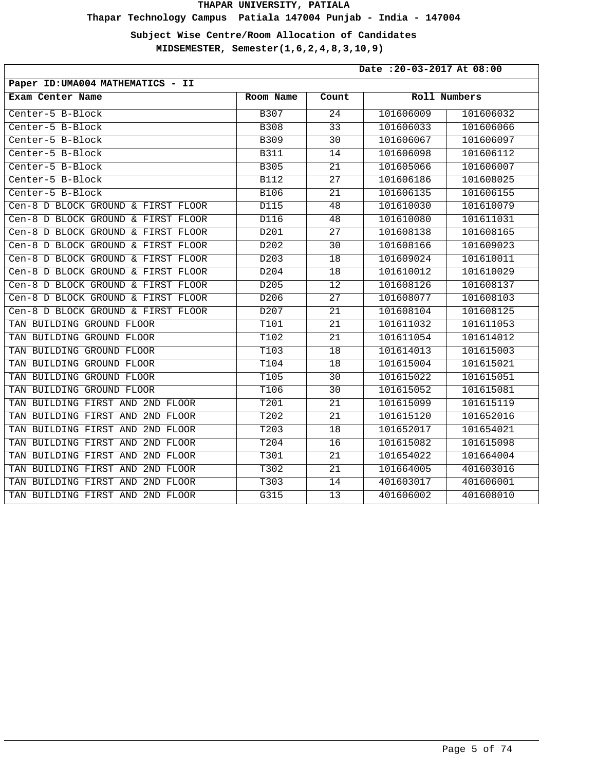**Thapar Technology Campus Patiala 147004 Punjab - India - 147004**

**Subject Wise Centre/Room Allocation of Candidates**

| Date: 20-03-2017 At 08:00           |                  |                 |           |              |  |
|-------------------------------------|------------------|-----------------|-----------|--------------|--|
| Paper ID: UMA004 MATHEMATICS - II   |                  |                 |           |              |  |
| Exam Center Name                    | Room Name        | Count           |           | Roll Numbers |  |
| Center-5 B-Block                    | <b>B307</b>      | $\overline{24}$ | 101606009 | 101606032    |  |
| Center-5 B-Block                    | <b>B308</b>      | $\overline{33}$ | 101606033 | 101606066    |  |
| Center-5 B-Block                    | B309             | 30              | 101606067 | 101606097    |  |
| Center-5 B-Block                    | <b>B311</b>      | 14              | 101606098 | 101606112    |  |
| Center-5 B-Block                    | <b>B305</b>      | 21              | 101605066 | 101606007    |  |
| Center-5 B-Block                    | <b>B112</b>      | 27              | 101606186 | 101608025    |  |
| Center-5 B-Block                    | <b>B106</b>      | 21              | 101606135 | 101606155    |  |
| Cen-8 D BLOCK GROUND & FIRST FLOOR  | D115             | 48              | 101610030 | 101610079    |  |
| Cen-8 D BLOCK GROUND & FIRST FLOOR  | D116             | $\overline{48}$ | 101610080 | 101611031    |  |
| Cen-8 D BLOCK GROUND & FIRST FLOOR  | D201             | $\overline{27}$ | 101608138 | 101608165    |  |
| Cen-8 D BLOCK GROUND & FIRST FLOOR  | D202             | 30              | 101608166 | 101609023    |  |
| Cen-8 D BLOCK GROUND & FIRST FLOOR  | D203             | 18              | 101609024 | 101610011    |  |
| Cen-8 D BLOCK GROUND & FIRST FLOOR  | D204             | 18              | 101610012 | 101610029    |  |
| Cen-8 D BLOCK GROUND & FIRST FLOOR  | D <sub>205</sub> | 12              | 101608126 | 101608137    |  |
| Cen-8 D BLOCK GROUND & FIRST FLOOR  | D206             | 27              | 101608077 | 101608103    |  |
| Cen-8 D BLOCK GROUND & FIRST FLOOR  | D207             | 21              | 101608104 | 101608125    |  |
| TAN BUILDING GROUND FLOOR           | <b>T101</b>      | 21              | 101611032 | 101611053    |  |
| TAN BUILDING GROUND FLOOR           | T102             | 21              | 101611054 | 101614012    |  |
| TAN BUILDING GROUND FLOOR           | T103             | 18              | 101614013 | 101615003    |  |
| TAN BUILDING GROUND FLOOR           | T104             | 18              | 101615004 | 101615021    |  |
| TAN BUILDING GROUND FLOOR           | T105             | 30              | 101615022 | 101615051    |  |
| TAN BUILDING GROUND FLOOR           | T106             | 30              | 101615052 | 101615081    |  |
| TAN BUILDING FIRST AND 2ND FLOOR    | T201             | 21              | 101615099 | 101615119    |  |
| TAN BUILDING FIRST AND<br>2ND FLOOR | T202             | 21              | 101615120 | 101652016    |  |
| 2ND FLOOR<br>TAN BUILDING FIRST AND | T203             | 18              | 101652017 | 101654021    |  |
| TAN BUILDING FIRST AND<br>2ND FLOOR | T204             | 16              | 101615082 | 101615098    |  |
| 2ND FLOOR<br>TAN BUILDING FIRST AND | T301             | $\overline{21}$ | 101654022 | 101664004    |  |
| TAN BUILDING FIRST AND<br>2ND FLOOR | T302             | 21              | 101664005 | 401603016    |  |
| TAN BUILDING FIRST AND<br>2ND FLOOR | T303             | 14              | 401603017 | 401606001    |  |
| TAN BUILDING FIRST AND<br>2ND FLOOR | G315             | 13              | 401606002 | 401608010    |  |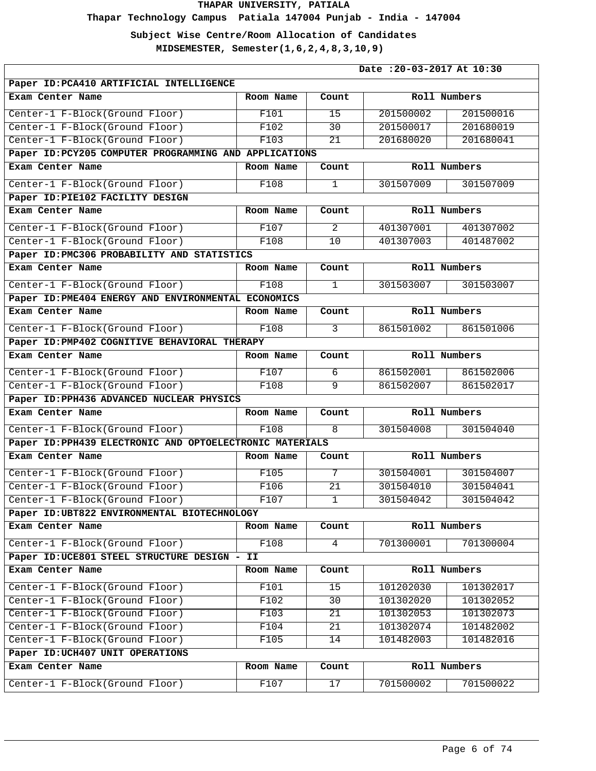**Thapar Technology Campus Patiala 147004 Punjab - India - 147004**

**Subject Wise Centre/Room Allocation of Candidates**

| Date: 20-03-2017 At 10:30                                |           |                 |              |              |  |
|----------------------------------------------------------|-----------|-----------------|--------------|--------------|--|
| Paper ID: PCA410 ARTIFICIAL INTELLIGENCE                 |           |                 |              |              |  |
| Exam Center Name                                         | Room Name | Count           |              | Roll Numbers |  |
| Center-1 F-Block(Ground Floor)                           | F101      | $\overline{15}$ | 201500002    | 201500016    |  |
| Center-1 F-Block(Ground Floor)                           | F102      | $\overline{30}$ | 201500017    | 201680019    |  |
| Center-1 F-Block(Ground Floor)                           | F103      | 21              | 201680020    | 201680041    |  |
| Paper ID: PCY205 COMPUTER PROGRAMMING AND APPLICATIONS   |           |                 |              |              |  |
| Exam Center Name                                         | Room Name | Count           |              | Roll Numbers |  |
| Center-1 F-Block(Ground Floor)                           | F108      | $\mathbf{1}$    | 301507009    | 301507009    |  |
| Paper ID: PIE102 FACILITY DESIGN                         |           |                 |              |              |  |
| Exam Center Name                                         | Room Name | Count           |              | Roll Numbers |  |
| Center-1 F-Block(Ground Floor)                           | F107      | $\overline{2}$  | 401307001    | 401307002    |  |
| Center-1 F-Block(Ground Floor)                           | F108      | 10              | 401307003    | 401487002    |  |
| Paper ID: PMC306 PROBABILITY AND STATISTICS              |           |                 |              |              |  |
| Exam Center Name                                         | Room Name | Count           |              | Roll Numbers |  |
| Center-1 F-Block(Ground Floor)                           | F108      | $\mathbf{1}$    | 301503007    | 301503007    |  |
| Paper ID: PME404 ENERGY AND ENVIRONMENTAL ECONOMICS      |           |                 |              |              |  |
| Exam Center Name                                         | Room Name | Count           |              | Roll Numbers |  |
| Center-1 F-Block(Ground Floor)                           | F108      | 3               | 861501002    | 861501006    |  |
| Paper ID: PMP402 COGNITIVE BEHAVIORAL THERAPY            |           |                 |              |              |  |
| Exam Center Name                                         | Room Name | Count           | Roll Numbers |              |  |
| Center-1 F-Block(Ground Floor)                           | F107      | 6               | 861502001    | 861502006    |  |
| Center-1 F-Block(Ground Floor)                           | F108      | 9               | 861502007    | 861502017    |  |
| Paper ID: PPH436 ADVANCED NUCLEAR PHYSICS                |           |                 |              |              |  |
| Exam Center Name                                         | Room Name | Count           |              | Roll Numbers |  |
| Center-1 F-Block(Ground Floor)                           | F108      | 8               | 301504008    | 301504040    |  |
| Paper ID: PPH439 ELECTRONIC AND OPTOELECTRONIC MATERIALS |           |                 |              |              |  |
| Exam Center Name                                         | Room Name | Count           |              | Roll Numbers |  |
| Center-1 F-Block(Ground Floor)                           | F105      | 7               | 301504001    | 301504007    |  |
| Center-1 F-Block(Ground Floor)                           | F106      | 21              | 301504010    | 301504041    |  |
| Center-1 F-Block(Ground Floor)                           | F107      | $\overline{1}$  | 301504042    | 301504042    |  |
| Paper ID: UBT822 ENVIRONMENTAL BIOTECHNOLOGY             |           |                 |              |              |  |
| Exam Center Name                                         | Room Name | Count           |              | Roll Numbers |  |
| Center-1 F-Block(Ground Floor)                           | F108      | $\overline{4}$  | 701300001    | 701300004    |  |
| Paper ID: UCE801 STEEL STRUCTURE DESIGN - II             |           |                 |              |              |  |
| Exam Center Name                                         | Room Name | Count           |              | Roll Numbers |  |
| Center-1 F-Block(Ground Floor)                           | F101      | 15              | 101202030    | 101302017    |  |
| Center-1 F-Block(Ground Floor)                           | F102      | 30              | 101302020    | 101302052    |  |
| Center-1 F-Block(Ground Floor)                           | F103      | 21              | 101302053    | 101302073    |  |
| Center-1 F-Block(Ground Floor)                           | F104      | 21              | 101302074    | 101482002    |  |
| Center-1 F-Block(Ground Floor)                           | F105      | 14              | 101482003    | 101482016    |  |
| Paper ID: UCH407 UNIT OPERATIONS                         |           |                 |              |              |  |
| Exam Center Name                                         | Room Name | Count           |              | Roll Numbers |  |
| Center-1 F-Block(Ground Floor)                           | F107      | 17              | 701500002    | 701500022    |  |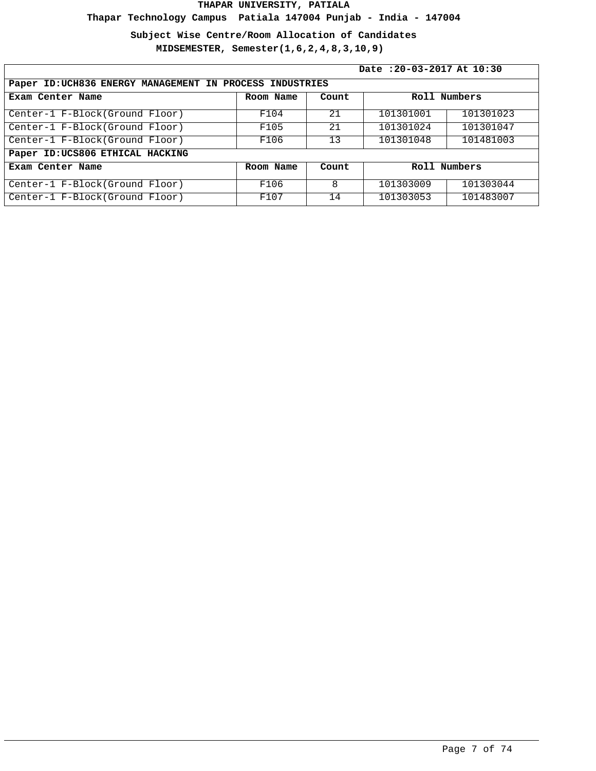**Thapar Technology Campus Patiala 147004 Punjab - India - 147004**

**Subject Wise Centre/Room Allocation of Candidates**

|                                                          | Date: 20-03-2017 At 10:30 |       |              |           |  |
|----------------------------------------------------------|---------------------------|-------|--------------|-----------|--|
| Paper ID: UCH836 ENERGY MANAGEMENT IN PROCESS INDUSTRIES |                           |       |              |           |  |
| Exam Center Name                                         | Room Name                 | Count | Roll Numbers |           |  |
| Center-1 F-Block(Ground Floor)                           | F104                      | 21    | 101301001    | 101301023 |  |
| Center-1 F-Block(Ground Floor)                           | F105                      | 21    | 101301024    | 101301047 |  |
| Center-1 F-Block(Ground Floor)                           | F106                      | 13    | 101301048    | 101481003 |  |
| Paper ID: UCS806 ETHICAL HACKING                         |                           |       |              |           |  |
| Exam Center Name                                         | Room Name                 | Count | Roll Numbers |           |  |
| Center-1 F-Block(Ground Floor)                           | F106                      | 8     | 101303009    | 101303044 |  |
| Center-1 F-Block(Ground Floor)                           | F107                      | 14    | 101303053    | 101483007 |  |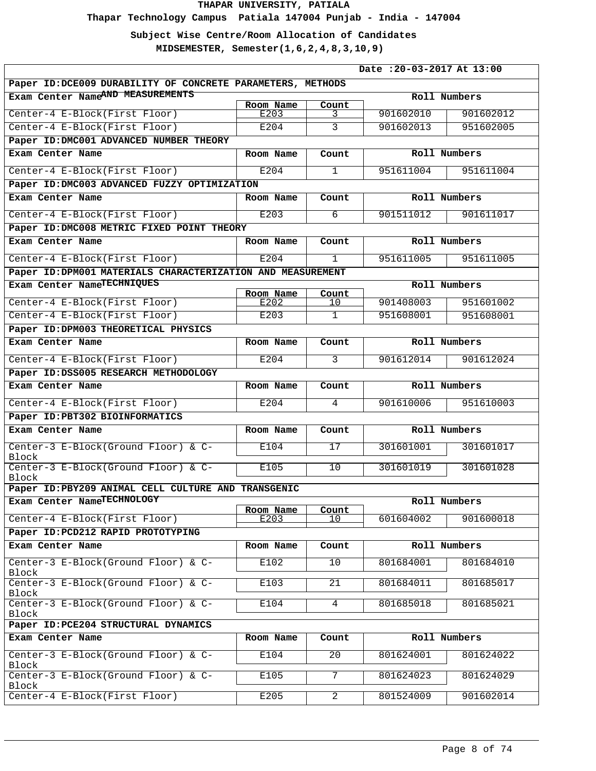**Thapar Technology Campus Patiala 147004 Punjab - India - 147004**

**Subject Wise Centre/Room Allocation of Candidates**

|                                                             |                   |                 | Date: 20-03-2017 At 13:00 |              |  |
|-------------------------------------------------------------|-------------------|-----------------|---------------------------|--------------|--|
| Paper ID: DCE009 DURABILITY OF CONCRETE PARAMETERS, METHODS |                   |                 |                           |              |  |
| Exam Center NameAND MEASUREMENTS                            |                   |                 | Roll Numbers              |              |  |
| Center-4 E-Block(First Floor)                               | Room Name         | Count           |                           | 901602012    |  |
|                                                             | E203              | 3.              | 901602010                 |              |  |
| Center-4 E-Block(First Floor)                               | E204              | 3               | 901602013                 | 951602005    |  |
| Paper ID: DMC001 ADVANCED NUMBER THEORY                     |                   |                 |                           |              |  |
| Exam Center Name                                            | Room Name         | Count           | Roll Numbers              |              |  |
| Center-4 E-Block(First Floor)                               | E204              | $\mathbf{1}$    | 951611004                 | 951611004    |  |
| Paper ID: DMC003 ADVANCED FUZZY OPTIMIZATION                |                   |                 |                           |              |  |
| Exam Center Name                                            | Room Name         | Count           | Roll Numbers              |              |  |
| Center-4 E-Block(First Floor)                               | E203              | 6               | 901511012                 | 901611017    |  |
| Paper ID: DMC008 METRIC FIXED POINT THEORY                  |                   |                 |                           |              |  |
| Exam Center Name                                            | Room Name         | Count           |                           | Roll Numbers |  |
| Center-4 E-Block(First Floor)                               | E204              | $\mathbf{1}$    | 951611005                 | 951611005    |  |
| Paper ID: DPM001 MATERIALS CHARACTERIZATION AND MEASUREMENT |                   |                 |                           |              |  |
| Exam Center NameTECHNIQUES                                  |                   |                 |                           | Roll Numbers |  |
| Center-4 E-Block(First Floor)                               | Room Name<br>E202 | Count<br>10     | 901408003                 | 951601002    |  |
| Center-4 E-Block(First Floor)                               | E203              | $\mathbf 1$     | 951608001                 | 951608001    |  |
| Paper ID: DPM003 THEORETICAL PHYSICS                        |                   |                 |                           |              |  |
| Exam Center Name                                            | Room Name         | Count           |                           | Roll Numbers |  |
|                                                             |                   |                 |                           |              |  |
| Center-4 E-Block(First Floor)                               | E204              | 3               | 901612014                 | 901612024    |  |
| Paper ID:DSS005 RESEARCH METHODOLOGY                        |                   |                 |                           |              |  |
| Exam Center Name                                            | Room Name         | Count           | Roll Numbers              |              |  |
| Center-4 E-Block(First Floor)                               | E204              | 4               | 901610006                 | 951610003    |  |
| Paper ID: PBT302 BIOINFORMATICS                             |                   |                 |                           |              |  |
| Exam Center Name                                            | Room Name         | Count           |                           | Roll Numbers |  |
| Center-3 E-Block(Ground Floor) & C-                         | E104              | 17              | 301601001                 | 301601017    |  |
| Block                                                       |                   |                 |                           |              |  |
| Center-3 E-Block(Ground Floor) & C-<br>Block                | E105              | 10              | 301601019                 | 301601028    |  |
| Paper ID: PBY209 ANIMAL CELL CULTURE AND TRANSGENIC         |                   |                 |                           |              |  |
| Exam Center NameTECHNOLOGY                                  |                   |                 |                           | Roll Numbers |  |
|                                                             | Room Name         | Count           |                           |              |  |
| Center-4 E-Block(First Floor)                               | E203              | $10^{-}$        | 601604002                 | 901600018    |  |
| Paper ID: PCD212 RAPID PROTOTYPING                          |                   |                 |                           |              |  |
| Exam Center Name                                            | Room Name         | Count           |                           | Roll Numbers |  |
| Center-3 E-Block(Ground Floor) & C-                         | E102              | 10              | 801684001                 | 801684010    |  |
| Block<br>Center-3 E-Block(Ground Floor) & C-                | E103              | 21              | 801684011                 | 801685017    |  |
| Block                                                       |                   |                 |                           |              |  |
| Center-3 E-Block(Ground Floor) & C-<br>Block                | E104              | 4               | 801685018                 | 801685021    |  |
| Paper ID: PCE204 STRUCTURAL DYNAMICS                        |                   |                 |                           |              |  |
| Exam Center Name                                            | Room Name         | Count           |                           | Roll Numbers |  |
| Center-3 E-Block(Ground Floor) & C-                         | E104              | 20              | 801624001                 | 801624022    |  |
| Block                                                       |                   |                 |                           |              |  |
| Center-3 E-Block(Ground Floor) & C-                         | E105              | $7\overline{ }$ | 801624023                 | 801624029    |  |
| Block<br>Center-4 E-Block(First Floor)                      | E205              | $\overline{2}$  |                           | 901602014    |  |
|                                                             |                   |                 | 801524009                 |              |  |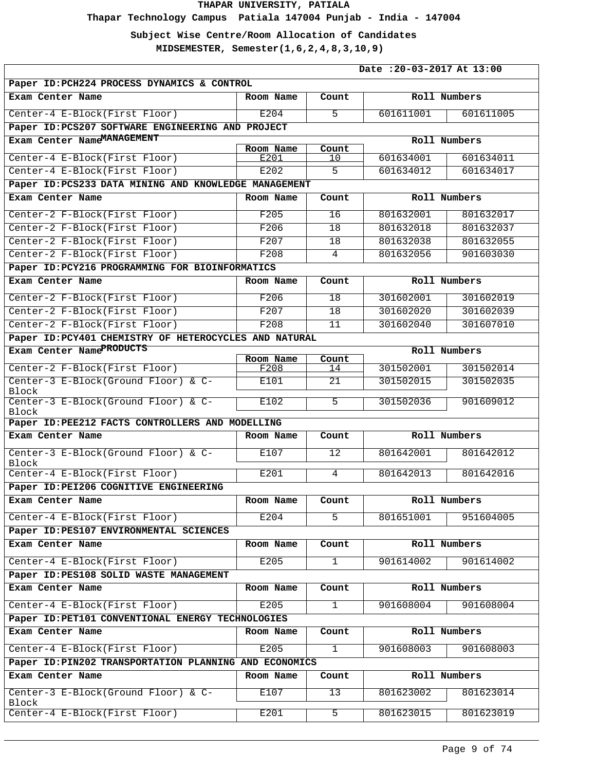**Thapar Technology Campus Patiala 147004 Punjab - India - 147004**

**Subject Wise Centre/Room Allocation of Candidates**

| Date: 20-03-2017 At 13:00                              |                   |                   |           |              |  |
|--------------------------------------------------------|-------------------|-------------------|-----------|--------------|--|
| Paper ID: PCH224 PROCESS DYNAMICS & CONTROL            |                   |                   |           |              |  |
| Exam Center Name                                       | Room Name         | Count             |           | Roll Numbers |  |
| Center-4 E-Block(First Floor)                          | E204              | 5                 | 601611001 | 601611005    |  |
| Paper ID: PCS207 SOFTWARE ENGINEERING AND PROJECT      |                   |                   |           |              |  |
| Exam Center Name <sup>MANAGEMENT</sup>                 |                   |                   |           | Roll Numbers |  |
| Center-4 E-Block(First Floor)                          | Room Name<br>E201 | Count<br>10       | 601634001 | 601634011    |  |
| Center-4 E-Block(First Floor)                          | E202              | 5                 | 601634012 | 601634017    |  |
| Paper ID: PCS233 DATA MINING AND KNOWLEDGE MANAGEMENT  |                   |                   |           |              |  |
| Exam Center Name                                       | Room Name         | Count             |           | Roll Numbers |  |
| Center-2 F-Block(First Floor)                          | F205              | 16                | 801632001 | 801632017    |  |
| Center-2 F-Block(First Floor)                          | F206              | 18                | 801632018 | 801632037    |  |
| Center-2 F-Block(First Floor)                          | F207              | 18                | 801632038 | 801632055    |  |
| Center-2 F-Block(First Floor)                          | F208              | 4                 | 801632056 | 901603030    |  |
| Paper ID: PCY216 PROGRAMMING FOR BIOINFORMATICS        |                   |                   |           |              |  |
| Exam Center Name                                       | Room Name         | Count             |           | Roll Numbers |  |
| Center-2 F-Block(First Floor)                          | F206              | $\overline{18}$   | 301602001 | 301602019    |  |
| Center-2 F-Block(First Floor)                          | F207              | 18                | 301602020 | 301602039    |  |
| Center-2 F-Block(First Floor)                          | F208              | 11                | 301602040 | 301607010    |  |
| Paper ID: PCY401 CHEMISTRY OF HETEROCYCLES AND NATURAL |                   |                   |           |              |  |
| Exam Center NamePRODUCTS                               | Room Name         |                   |           | Roll Numbers |  |
| Center-2 F-Block(First Floor)                          | F208              | Count<br>14       | 301502001 | 301502014    |  |
| Center-3 E-Block(Ground Floor) & C-                    | E101              | 21                | 301502015 | 301502035    |  |
| Block<br>Center-3 E-Block(Ground Floor) & C-           | E102              | 5                 | 301502036 | 901609012    |  |
| Block                                                  |                   |                   |           |              |  |
| Paper ID: PEE212 FACTS CONTROLLERS AND MODELLING       |                   |                   |           |              |  |
| Exam Center Name                                       | Room Name         | Count             |           | Roll Numbers |  |
| Center-3 E-Block(Ground Floor) & C-<br>Block           | E107              | $12 \overline{ }$ | 801642001 | 801642012    |  |
| Center-4 E-Block(First Floor)                          | E201              | 4                 | 801642013 | 801642016    |  |
| Paper ID: PEI206 COGNITIVE ENGINEERING                 |                   |                   |           |              |  |
| Exam Center Name                                       | Room Name         | Count             |           | Roll Numbers |  |
| Center-4 E-Block(First Floor)                          | E204              | $\overline{5}$    | 801651001 | 951604005    |  |
| Paper ID: PES107 ENVIRONMENTAL SCIENCES                |                   |                   |           |              |  |
| Exam Center Name                                       | Room Name         | Count             |           | Roll Numbers |  |
| Center-4 E-Block(First Floor)                          | E205              | $\mathbf{1}$      | 901614002 | 901614002    |  |
| Paper ID: PES108 SOLID WASTE MANAGEMENT                |                   |                   |           |              |  |
| Exam Center Name                                       | Room Name         | Count             |           | Roll Numbers |  |
| Center-4 E-Block(First Floor)                          | E205              | $\mathbf 1$       | 901608004 | 901608004    |  |
| Paper ID: PET101 CONVENTIONAL ENERGY TECHNOLOGIES      |                   |                   |           |              |  |
| Exam Center Name                                       | Room Name         | Count             |           | Roll Numbers |  |
| Center-4 E-Block(First Floor)                          | E205              | $\mathbf{1}$      | 901608003 | 901608003    |  |
| Paper ID: PIN202 TRANSPORTATION PLANNING AND ECONOMICS |                   |                   |           |              |  |
| Exam Center Name                                       | Room Name         | Count             |           | Roll Numbers |  |
| Center-3 E-Block(Ground Floor) & C-<br>Block           | E107              | 13                | 801623002 | 801623014    |  |
| Center-4 E-Block(First Floor)                          | E201              | 5                 | 801623015 | 801623019    |  |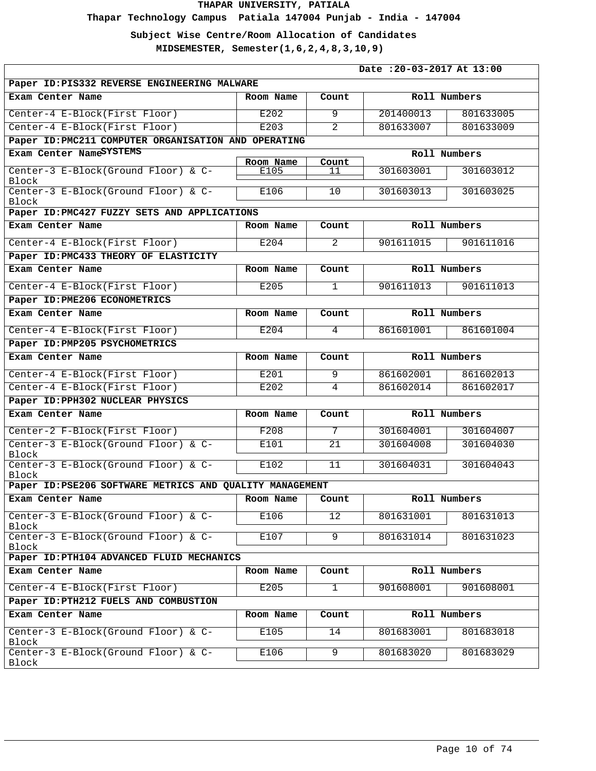**Thapar Technology Campus Patiala 147004 Punjab - India - 147004**

**Subject Wise Centre/Room Allocation of Candidates**

| Date: 20-03-2017 At 13:00                               |                    |                |              |              |
|---------------------------------------------------------|--------------------|----------------|--------------|--------------|
| Paper ID: PIS332 REVERSE ENGINEERING MALWARE            |                    |                |              |              |
| Exam Center Name                                        | Room Name          | Count          |              | Roll Numbers |
| Center-4 E-Block(First Floor)                           | E202               | 9              | 201400013    | 801633005    |
| Center-4 E-Block(First Floor)                           | E203               | $\overline{2}$ | 801633007    | 801633009    |
| Paper ID: PMC211 COMPUTER ORGANISATION AND OPERATING    |                    |                |              |              |
| Exam Center NameSYSTEMS                                 |                    |                |              | Roll Numbers |
| Center-3 E-Block(Ground Floor) & C-                     | Room Name<br>F.105 | Count<br>11    | 301603001    | 301603012    |
| Block                                                   |                    |                |              |              |
| Center-3 E-Block(Ground Floor) & C-<br>Block            | E106               | 10             | 301603013    | 301603025    |
| Paper ID: PMC427 FUZZY SETS AND APPLICATIONS            |                    |                |              |              |
| Exam Center Name                                        | Room Name          | Count          |              | Roll Numbers |
| Center-4 E-Block(First Floor)                           | E204               | $\overline{2}$ | 901611015    | 901611016    |
| Paper ID: PMC433 THEORY OF ELASTICITY                   |                    |                |              |              |
| Exam Center Name                                        | Room Name          | Count          |              | Roll Numbers |
| Center-4 E-Block(First Floor)                           | E205               | 1              | 901611013    | 901611013    |
| Paper ID: PME206 ECONOMETRICS                           |                    |                |              |              |
| Exam Center Name                                        | Room Name          | Count          | Roll Numbers |              |
| Center-4 E-Block(First Floor)                           | E204               | 4              | 861601001    | 861601004    |
| Paper ID: PMP205 PSYCHOMETRICS                          |                    |                |              |              |
| Exam Center Name                                        | Room Name          | Count          | Roll Numbers |              |
| Center-4 E-Block(First Floor)                           | E201               | 9              | 861602001    | 861602013    |
| Center-4 E-Block(First Floor)                           | E202               | 4              | 861602014    | 861602017    |
| Paper ID: PPH302 NUCLEAR PHYSICS                        |                    |                |              |              |
| Exam Center Name                                        | Room Name          | Count          |              | Roll Numbers |
| Center-2 F-Block(First Floor)                           | F208               | $\overline{7}$ | 301604001    | 301604007    |
| Center-3 E-Block(Ground Floor) & C-<br>Block            | E101               | 21             | 301604008    | 301604030    |
| Center-3 E-Block(Ground Floor) & C-<br>Block            | E102               | 11             | 301604031    | 301604043    |
| Paper ID:PSE206 SOFTWARE METRICS AND QUALITY MANAGEMENT |                    |                |              |              |
| Exam Center Name                                        | Room Name          | Count          |              | Roll Numbers |
| Center-3 E-Block(Ground Floor) & C-<br>Block            | E106               | 12             | 801631001    | 801631013    |
| Center-3 E-Block(Ground Floor) & C-<br>Block            | E107               | $\overline{9}$ | 801631014    | 801631023    |
| Paper ID: PTH104 ADVANCED FLUID MECHANICS               |                    |                |              |              |
| Exam Center Name                                        | Room Name          | Count          |              | Roll Numbers |
| Center-4 E-Block(First Floor)                           | E205               | $\overline{1}$ | 901608001    | 901608001    |
| Paper ID: PTH212 FUELS AND COMBUSTION                   |                    |                |              |              |
| Exam Center Name                                        | Room Name          | Count          |              | Roll Numbers |
| Center-3 E-Block(Ground Floor) & C-<br>Block            | E105               | 14             | 801683001    | 801683018    |
| Center-3 E-Block(Ground Floor) & C-<br>Block            | E106               | 9              | 801683020    | 801683029    |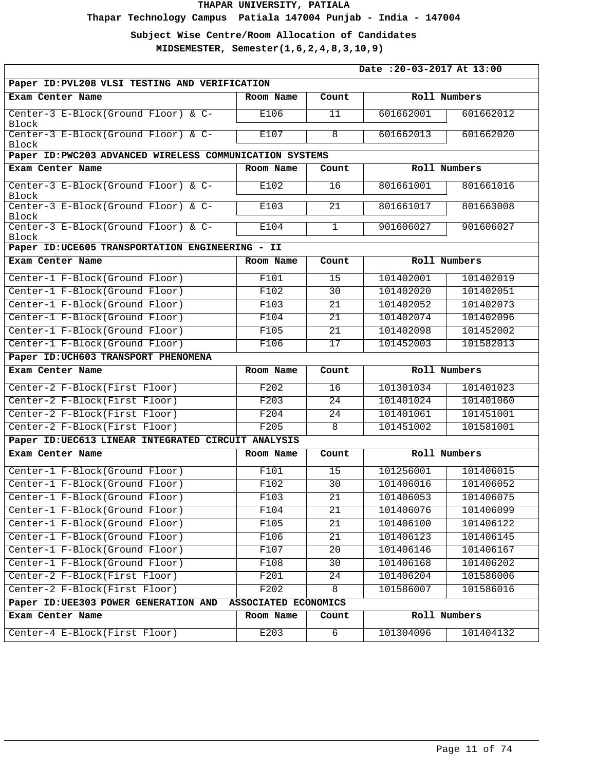**Thapar Technology Campus Patiala 147004 Punjab - India - 147004**

**Subject Wise Centre/Room Allocation of Candidates**

|                                                          |                      |                 | Date: 20-03-2017 At 13:00 |           |
|----------------------------------------------------------|----------------------|-----------------|---------------------------|-----------|
| Paper ID: PVL208 VLSI TESTING AND VERIFICATION           |                      |                 |                           |           |
| Exam Center Name                                         | Room Name            | Count           | Roll Numbers              |           |
| Center-3 E-Block(Ground Floor) & C-<br>Block             | E106                 | 11              | 601662001                 | 601662012 |
| Center-3 E-Block(Ground Floor) & C-<br>Block             | E107                 | 8               | 601662013                 | 601662020 |
| Paper ID: PWC203 ADVANCED WIRELESS COMMUNICATION SYSTEMS |                      |                 |                           |           |
| Exam Center Name                                         | Room Name            | Count           | Roll Numbers              |           |
| Center-3 E-Block(Ground Floor) & C-<br>Block             | E102                 | 16              | 801661001                 | 801661016 |
| Center-3 E-Block(Ground Floor) & C-<br>Block             | E103                 | 21              | 801661017                 | 801663008 |
| Center-3 E-Block(Ground Floor) & C-<br>Block             | E104                 | $\mathbf{1}$    | 901606027                 | 901606027 |
| Paper ID: UCE605 TRANSPORTATION ENGINEERING - II         |                      |                 |                           |           |
| Exam Center Name                                         | Room Name            | Count           | Roll Numbers              |           |
| Center-1 F-Block(Ground Floor)                           | F101                 | 15              | 101402001                 | 101402019 |
| Center-1 F-Block(Ground Floor)                           | F102                 | $\overline{30}$ | 101402020                 | 101402051 |
| Center-1 F-Block(Ground Floor)                           | F103                 | $\overline{21}$ | 101402052                 | 101402073 |
| Center-1 F-Block(Ground Floor)                           | F104                 | $\overline{21}$ | 101402074                 | 101402096 |
| Center-1 F-Block(Ground Floor)                           | F105                 | $\overline{21}$ | 101402098                 | 101452002 |
| Center-1 F-Block(Ground Floor)                           | F106                 | 17              | 101452003                 | 101582013 |
| Paper ID: UCH603 TRANSPORT PHENOMENA                     |                      |                 |                           |           |
| Exam Center Name                                         | Room Name            | Count           | Roll Numbers              |           |
| Center-2 F-Block(First Floor)                            | F202                 | 16              | 101301034                 | 101401023 |
| Center-2 F-Block(First Floor)                            | F203                 | 24              | 101401024                 | 101401060 |
| Center-2 F-Block(First Floor)                            | F204                 | $\overline{24}$ | 101401061                 | 101451001 |
| Center-2 F-Block(First Floor)                            | F205                 | $\overline{8}$  | 101451002                 | 101581001 |
| Paper ID: UEC613 LINEAR INTEGRATED CIRCUIT ANALYSIS      |                      |                 |                           |           |
| Exam Center Name                                         | Room Name            | Count           | Roll Numbers              |           |
| Center-1 F-Block(Ground Floor)                           | F101                 | $\overline{15}$ | 101256001                 | 101406015 |
| Center-1 F-Block(Ground Floor)                           | F102                 | $\overline{30}$ | 101406016                 | 101406052 |
| Center-1 F-Block(Ground Floor)                           | F103                 | $\overline{21}$ | 101406053                 | 101406075 |
| Center-1 F-Block(Ground Floor)                           | F104                 | 21              | 101406076                 | 101406099 |
| Center-1 F-Block(Ground Floor)                           | F105                 | 21              | 101406100                 | 101406122 |
| Center-1 F-Block(Ground Floor)                           | F106                 | 21              | 101406123                 | 101406145 |
| Center-1 F-Block(Ground Floor)                           | F107                 | $\overline{20}$ | 101406146                 | 101406167 |
| Center-1 F-Block(Ground Floor)                           | F108                 | $\overline{30}$ | 101406168                 | 101406202 |
| Center-2 F-Block(First Floor)                            | F201                 | 24              | 101406204                 | 101586006 |
| Center-2 F-Block(First Floor)                            | F202                 | 8               | 101586007                 | 101586016 |
| Paper ID: UEE303 POWER GENERATION AND                    | ASSOCIATED ECONOMICS |                 |                           |           |
| Exam Center Name                                         | Room Name            | Count           | Roll Numbers              |           |
| Center-4 E-Block(First Floor)                            | E203                 | $\overline{6}$  | 101304096                 | 101404132 |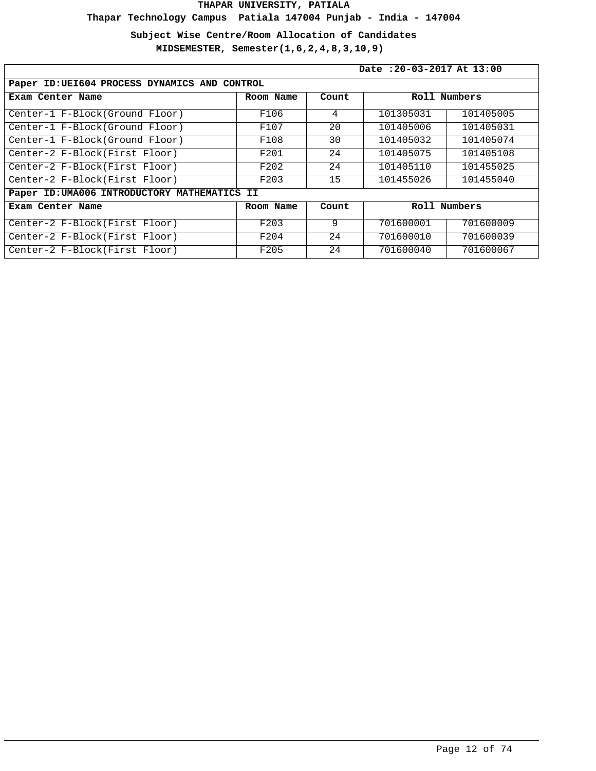**Thapar Technology Campus Patiala 147004 Punjab - India - 147004**

**Subject Wise Centre/Room Allocation of Candidates**

|                                               |           |       | Date: 20-03-2017 At 13:00 |              |
|-----------------------------------------------|-----------|-------|---------------------------|--------------|
| Paper ID: UEI604 PROCESS DYNAMICS AND CONTROL |           |       |                           |              |
| Exam Center Name                              | Room Name | Count |                           | Roll Numbers |
| Center-1 F-Block(Ground Floor)                | F106      | 4     | 101305031                 | 101405005    |
| Center-1 F-Block(Ground Floor)                | F107      | 20    | 101405006                 | 101405031    |
| Center-1 F-Block(Ground Floor)                | F108      | 30    | 101405032                 | 101405074    |
| Center-2 F-Block(First Floor)                 | F201      | 24    | 101405075                 | 101405108    |
| Center-2 F-Block(First Floor)                 | F202      | 24    | 101405110                 | 101455025    |
| Center-2 F-Block(First Floor)                 | F203      | 15    | 101455026                 | 101455040    |
| Paper ID: UMA006 INTRODUCTORY MATHEMATICS II  |           |       |                           |              |
| Exam Center Name                              | Room Name | Count |                           | Roll Numbers |
| Center-2 F-Block(First Floor)                 | F203      | 9     | 701600001                 | 701600009    |
| Center-2 F-Block(First Floor)                 | F204      | 24    | 701600010                 | 701600039    |
| Center-2 F-Block(First Floor)                 | F205      | 24    | 701600040                 | 701600067    |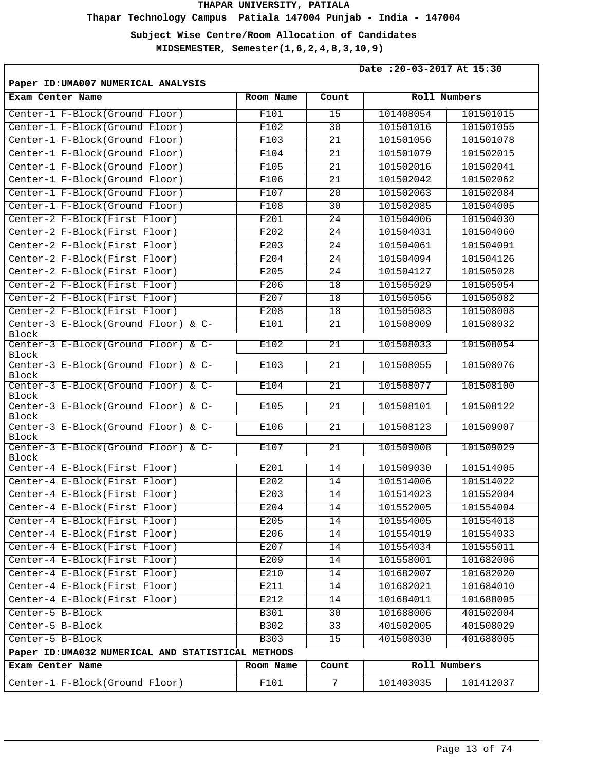**Thapar Technology Campus Patiala 147004 Punjab - India - 147004**

**Subject Wise Centre/Room Allocation of Candidates**

| Date: 20-03-2017 At 15:30                          |           |                |              |           |
|----------------------------------------------------|-----------|----------------|--------------|-----------|
| Paper ID: UMA007 NUMERICAL ANALYSIS                |           |                |              |           |
| Exam Center Name                                   | Room Name | Count          | Roll Numbers |           |
| Center-1 F-Block(Ground Floor)                     | F101      | 15             | 101408054    | 101501015 |
| Center-1 F-Block(Ground Floor)                     | F102      | 30             | 101501016    | 101501055 |
| Center-1 F-Block(Ground Floor)                     | F103      | 21             | 101501056    | 101501078 |
| Center-1 F-Block(Ground Floor)                     | F104      | 21             | 101501079    | 101502015 |
| Center-1 F-Block(Ground Floor)                     | F105      | 21             | 101502016    | 101502041 |
| Center-1 F-Block(Ground Floor)                     | F106      | 21             | 101502042    | 101502062 |
| Center-1 F-Block(Ground Floor)                     | F107      | 20             | 101502063    | 101502084 |
| Center-1 F-Block(Ground Floor)                     | F108      | 30             | 101502085    | 101504005 |
| Center-2 F-Block(First Floor)                      | F201      | 24             | 101504006    | 101504030 |
| Center-2 F-Block(First Floor)                      | F202      | 24             | 101504031    | 101504060 |
| Center-2 F-Block(First Floor)                      | F203      | 24             | 101504061    | 101504091 |
| Center-2 F-Block(First Floor)                      | F204      | 24             | 101504094    | 101504126 |
| Center-2 F-Block(First Floor)                      | F205      | 24             | 101504127    | 101505028 |
| Center-2 F-Block(First Floor)                      | F206      | 18             | 101505029    | 101505054 |
| Center-2 F-Block(First Floor)                      | F207      | 18             | 101505056    | 101505082 |
| Center-2 F-Block(First Floor)                      | F208      | 18             | 101505083    | 101508008 |
| Center-3 E-Block(Ground Floor) & C-<br>Block       | E101      | 21             | 101508009    | 101508032 |
| Center-3 E-Block(Ground Floor) & C-<br>Block       | E102      | 21             | 101508033    | 101508054 |
| Center-3 E-Block(Ground Floor) & C-<br>Block       | E103      | 21             | 101508055    | 101508076 |
| Center-3 E-Block(Ground Floor) & C-<br>Block       | E104      | 21             | 101508077    | 101508100 |
| Center-3 E-Block(Ground Floor) & C-<br>Block       | E105      | 21             | 101508101    | 101508122 |
| Center-3 E-Block(Ground Floor) & C-<br>Block       | E106      | 21             | 101508123    | 101509007 |
| Center-3 E-Block(Ground Floor) & C-<br>Block       | E107      | 21             | 101509008    | 101509029 |
| Center-4 E-Block(First Floor)                      | E201      | 14             | 101509030    | 101514005 |
| Center-4 E-Block(First Floor)                      | E202      | 14             | 101514006    | 101514022 |
| Center-4 E-Block(First Floor)                      | E203      | 14             | 101514023    | 101552004 |
| Center-4 E-Block(First Floor)                      | E204      | 14             | 101552005    | 101554004 |
| Center-4 E-Block(First Floor)                      | E205      | 14             | 101554005    | 101554018 |
| Center-4 E-Block(First Floor)                      | E206      | 14             | 101554019    | 101554033 |
| Center-4 E-Block(First Floor)                      | E207      | 14             | 101554034    | 101555011 |
| Center-4 E-Block(First Floor)                      | E209      | 14             | 101558001    | 101682006 |
| Center-4 E-Block(First Floor)                      | E210      | 14             | 101682007    | 101682020 |
| Center-4 E-Block(First Floor)                      | E211      | 14             | 101682021    | 101684010 |
| Center-4 E-Block(First Floor)                      | E212      | 14             | 101684011    | 101688005 |
| Center-5 B-Block                                   | B301      | 30             | 101688006    | 401502004 |
| Center-5 B-Block                                   | B302      | 33             | 401502005    | 401508029 |
| Center-5 B-Block                                   | B303      | 15             | 401508030    | 401688005 |
| Paper ID: UMA032 NUMERICAL AND STATISTICAL METHODS |           |                |              |           |
| Exam Center Name                                   | Room Name | Count          | Roll Numbers |           |
| Center-1 F-Block(Ground Floor)                     | F101      | $\overline{7}$ | 101403035    | 101412037 |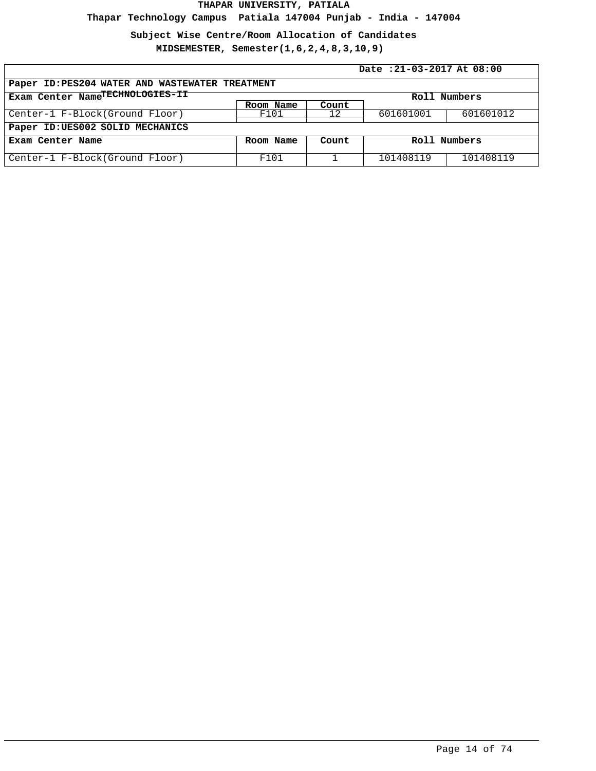**Thapar Technology Campus Patiala 147004 Punjab - India - 147004**

**Subject Wise Centre/Room Allocation of Candidates**

|                                                 | Date: 21-03-2017 At 08:00 |       |              |           |  |
|-------------------------------------------------|---------------------------|-------|--------------|-----------|--|
| Paper ID: PES204 WATER AND WASTEWATER TREATMENT |                           |       |              |           |  |
| Exam Center NameTECHNOLOGIES-II<br>Roll Numbers |                           |       |              |           |  |
|                                                 | Room Name                 | Count |              |           |  |
| Center-1 F-Block(Ground Floor)                  | F101                      | 12    | 601601001    | 601601012 |  |
| Paper ID: UES002 SOLID MECHANICS                |                           |       |              |           |  |
| Exam Center Name                                | Room Name                 | Count | Roll Numbers |           |  |
| Center-1 F-Block(Ground Floor)                  | F101                      |       | 101408119    | 101408119 |  |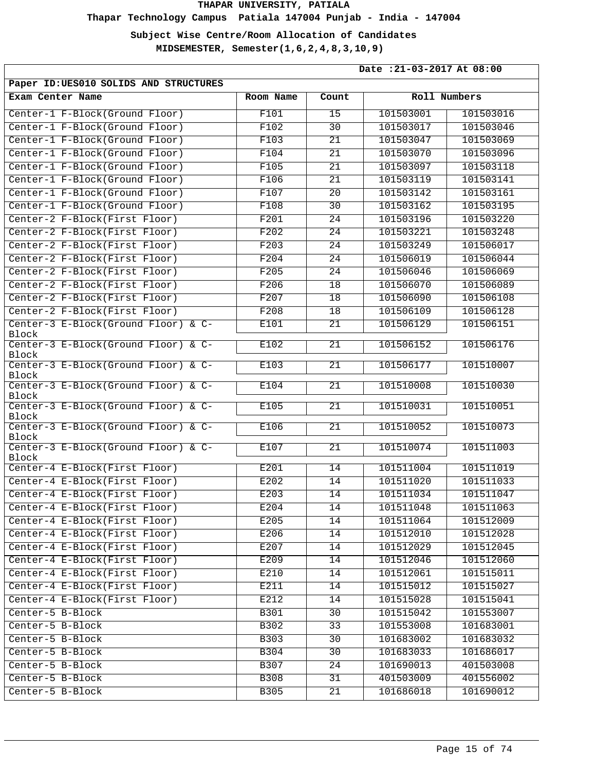**Thapar Technology Campus Patiala 147004 Punjab - India - 147004**

**Subject Wise Centre/Room Allocation of Candidates**

| Date: 21-03-2017 At 08:00                    |             |                 |              |           |
|----------------------------------------------|-------------|-----------------|--------------|-----------|
| Paper ID: UES010 SOLIDS AND STRUCTURES       |             |                 |              |           |
| Exam Center Name                             | Room Name   | Count           | Roll Numbers |           |
| Center-1 F-Block(Ground Floor)               | F101        | $\overline{15}$ | 101503001    | 101503016 |
| Center-1 F-Block(Ground Floor)               | F102        | 30              | 101503017    | 101503046 |
| Center-1 F-Block(Ground Floor)               | F103        | 21              | 101503047    | 101503069 |
| Center-1 F-Block(Ground Floor)               | F104        | 21              | 101503070    | 101503096 |
| Center-1 F-Block(Ground Floor)               | F105        | $\overline{21}$ | 101503097    | 101503118 |
| Center-1 F-Block(Ground Floor)               | F106        | 21              | 101503119    | 101503141 |
| Center-1 F-Block(Ground Floor)               | F107        | 20              | 101503142    | 101503161 |
| Center-1 F-Block(Ground Floor)               | F108        | 30              | 101503162    | 101503195 |
| Center-2 F-Block(First Floor)                | F201        | 24              | 101503196    | 101503220 |
| Center-2 F-Block(First Floor)                | F202        | 24              | 101503221    | 101503248 |
| Center-2 F-Block(First Floor)                | F203        | 24              | 101503249    | 101506017 |
| Center-2 F-Block(First Floor)                | F204        | 24              | 101506019    | 101506044 |
| Center-2 F-Block(First Floor)                | F205        | 24              | 101506046    | 101506069 |
| Center-2 F-Block(First Floor)                | F206        | 18              | 101506070    | 101506089 |
| Center-2 F-Block(First Floor)                | F207        | 18              | 101506090    | 101506108 |
| Center-2 F-Block(First Floor)                | F208        | 18              | 101506109    | 101506128 |
| Center-3 E-Block(Ground Floor) & C-<br>Block | E101        | $\overline{21}$ | 101506129    | 101506151 |
| Center-3 E-Block(Ground Floor) & C-<br>Block | E102        | 21              | 101506152    | 101506176 |
| Center-3 E-Block(Ground Floor) & C-<br>Block | E103        | $\overline{21}$ | 101506177    | 101510007 |
| Center-3 E-Block(Ground Floor) & C-<br>Block | E104        | $\overline{21}$ | 101510008    | 101510030 |
| Center-3 E-Block(Ground Floor) & C-<br>Block | E105        | $\overline{21}$ | 101510031    | 101510051 |
| Center-3 E-Block(Ground Floor) & C-<br>Block | E106        | 21              | 101510052    | 101510073 |
| Center-3 E-Block(Ground Floor) & C-<br>Block | E107        | 21              | 101510074    | 101511003 |
| Center-4 E-Block(First Floor)                | E201        | 14              | 101511004    | 101511019 |
| Center-4 E-Block(First Floor)                | E202        | 14              | 101511020    | 101511033 |
| Center-4 E-Block(First Floor)                | E203        | 14              | 101511034    | 101511047 |
| Center-4 E-Block(First Floor)                | E204        | 14              | 101511048    | 101511063 |
| Center-4 E-Block(First Floor)                | E205        | 14              | 101511064    | 101512009 |
| Center-4 E-Block(First Floor)                | E206        | 14              | 101512010    | 101512028 |
| Center-4 E-Block(First Floor)                | E207        | 14              | 101512029    | 101512045 |
| Center-4 E-Block(First Floor)                | E209        | 14              | 101512046    | 101512060 |
| Center-4 E-Block(First Floor)                | E210        | 14              | 101512061    | 101515011 |
| Center-4 E-Block(First Floor)                | E211        | 14              | 101515012    | 101515027 |
| Center-4 E-Block(First Floor)                | E212        | 14              | 101515028    | 101515041 |
| Center-5 B-Block                             | B301        | 30              | 101515042    | 101553007 |
| Center-5 B-Block                             | B302        | 33              | 101553008    | 101683001 |
| Center-5 B-Block                             | B303        | 30              | 101683002    | 101683032 |
| Center-5 B-Block                             | B304        | 30              | 101683033    | 101686017 |
| Center-5 B-Block                             | B307        | 24              | 101690013    | 401503008 |
| Center-5 B-Block                             | <b>B308</b> | 31              | 401503009    | 401556002 |
| Center-5 B-Block                             | B305        | 21              | 101686018    | 101690012 |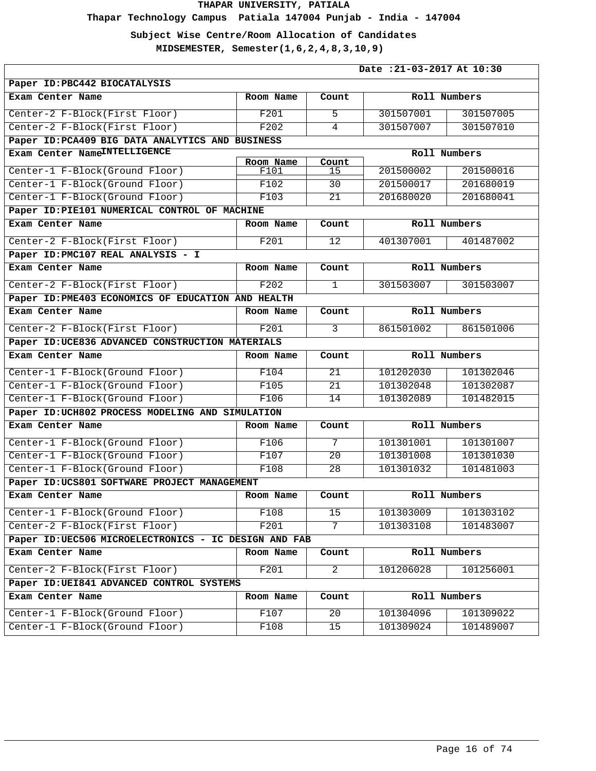**Thapar Technology Campus Patiala 147004 Punjab - India - 147004**

**Subject Wise Centre/Room Allocation of Candidates**

|                                                       |                   |                          | Date: 21-03-2017 At 10:30 |           |
|-------------------------------------------------------|-------------------|--------------------------|---------------------------|-----------|
| Paper ID: PBC442 BIOCATALYSIS                         |                   |                          |                           |           |
| Exam Center Name                                      | Room Name         | Count                    | Roll Numbers              |           |
| Center-2 F-Block(First Floor)                         | F201              | 5                        | 301507001                 | 301507005 |
| Center-2 F-Block(First Floor)                         | F202              | 4                        | 301507007                 | 301507010 |
| Paper ID: PCA409 BIG DATA ANALYTICS AND BUSINESS      |                   |                          |                           |           |
| Exam Center NameINTELLIGENCE                          |                   |                          | Roll Numbers              |           |
| Center-1 F-Block(Ground Floor)                        | Room Name<br>F101 | Count<br>$\overline{15}$ | 201500002                 | 201500016 |
| Center-1 F-Block(Ground Floor)                        | F102              | $\overline{30}$          | 201500017                 | 201680019 |
| Center-1 F-Block(Ground Floor)                        | F103              | 21                       | 201680020                 | 201680041 |
| Paper ID: PIE101 NUMERICAL CONTROL OF MACHINE         |                   |                          |                           |           |
| Exam Center Name                                      | Room Name         | Count                    | Roll Numbers              |           |
| Center-2 F-Block(First Floor)                         | F201              | $\overline{12}$          | 401307001                 | 401487002 |
| Paper ID: PMC107 REAL ANALYSIS - I                    |                   |                          |                           |           |
| Exam Center Name                                      | Room Name         | Count                    | Roll Numbers              |           |
| Center-2 F-Block(First Floor)                         | F202              | $\mathbf{1}$             | 301503007                 | 301503007 |
| Paper ID: PME403 ECONOMICS OF EDUCATION AND HEALTH    |                   |                          |                           |           |
| Exam Center Name                                      | Room Name         | Count                    | Roll Numbers              |           |
| Center-2 F-Block(First Floor)                         | F201              | $\overline{3}$           | 861501002                 | 861501006 |
| Paper ID: UCE836 ADVANCED CONSTRUCTION MATERIALS      |                   |                          |                           |           |
| Exam Center Name                                      | Room Name         | Count                    | Roll Numbers              |           |
| Center-1 F-Block(Ground Floor)                        | F104              | 21                       | 101202030                 | 101302046 |
| Center-1 F-Block(Ground Floor)                        | F105              | $\overline{21}$          | 101302048                 | 101302087 |
| Center-1 F-Block(Ground Floor)                        | F106              | 14                       | 101302089                 | 101482015 |
| Paper ID: UCH802 PROCESS MODELING AND SIMULATION      |                   |                          |                           |           |
| Exam Center Name                                      | Room Name         | Count                    | Roll Numbers              |           |
| Center-1 F-Block(Ground Floor)                        | F106              | 7                        | 101301001                 | 101301007 |
| Center-1 F-Block(Ground Floor)                        | F107              | $\overline{20}$          | 101301008                 | 101301030 |
| Center-1 F-Block(Ground Floor)                        | F108              | $\overline{28}$          | 101301032                 | 101481003 |
| Paper ID: UCS801 SOFTWARE PROJECT MANAGEMENT          |                   |                          |                           |           |
| Exam Center Name                                      | Room Name         | Count                    | Roll Numbers              |           |
| Center-1 F-Block(Ground Floor)                        | F108              | 15                       | 101303009                 | 101303102 |
| Center-2 F-Block(First Floor)                         | F201              | $\overline{7}$           | 101303108                 | 101483007 |
| Paper ID: UEC506 MICROELECTRONICS - IC DESIGN AND FAB |                   |                          |                           |           |
| Exam Center Name                                      | Room Name         | Count                    | Roll Numbers              |           |
| Center-2 F-Block(First Floor)                         | F201              | $\overline{2}$           | 101206028                 | 101256001 |
| Paper ID: UEI841 ADVANCED CONTROL SYSTEMS             |                   |                          |                           |           |
| Exam Center Name                                      | Room Name         | Count                    | Roll Numbers              |           |
| Center-1 F-Block(Ground Floor)                        | F107              | 20                       | 101304096                 | 101309022 |
| Center-1 F-Block(Ground Floor)                        | F108              | $\overline{15}$          | 101309024                 | 101489007 |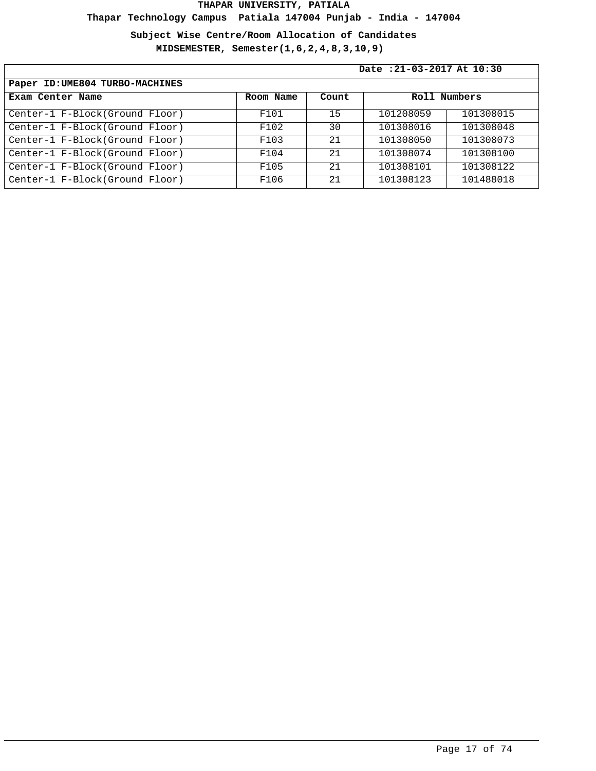**Thapar Technology Campus Patiala 147004 Punjab - India - 147004**

**Subject Wise Centre/Room Allocation of Candidates**

|                                 | Date: 21-03-2017 At 10:30 |       |              |           |  |
|---------------------------------|---------------------------|-------|--------------|-----------|--|
| Paper ID: UME804 TURBO-MACHINES |                           |       |              |           |  |
| Exam Center Name                | Room Name                 | Count | Roll Numbers |           |  |
| Center-1 F-Block(Ground Floor)  | F101                      | 15    | 101208059    | 101308015 |  |
| Center-1 F-Block(Ground Floor)  | F102                      | 30    | 101308016    | 101308048 |  |
| Center-1 F-Block(Ground Floor)  | F103                      | 21    | 101308050    | 101308073 |  |
| Center-1 F-Block(Ground Floor)  | F104                      | 21    | 101308074    | 101308100 |  |
| Center-1 F-Block(Ground Floor)  | F105                      | 21    | 101308101    | 101308122 |  |
| Center-1 F-Block(Ground Floor)  | F106                      | 21    | 101308123    | 101488018 |  |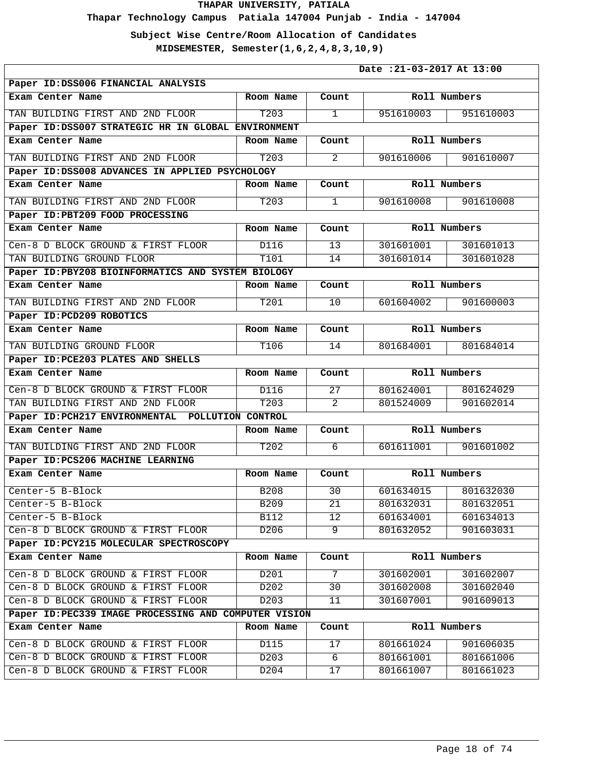**Thapar Technology Campus Patiala 147004 Punjab - India - 147004**

**Subject Wise Centre/Room Allocation of Candidates**

|                                                       |             |                 | Date: 21-03-2017 At 13:00 |              |  |
|-------------------------------------------------------|-------------|-----------------|---------------------------|--------------|--|
| Paper ID: DSS006 FINANCIAL ANALYSIS                   |             |                 |                           |              |  |
| Exam Center Name                                      | Room Name   | Count           |                           | Roll Numbers |  |
| TAN BUILDING FIRST AND 2ND FLOOR                      | T203        | $\mathbf{1}$    | 951610003                 | 951610003    |  |
| Paper ID:DSS007 STRATEGIC HR IN GLOBAL ENVIRONMENT    |             |                 |                           |              |  |
| Exam Center Name                                      | Room Name   | Count           |                           | Roll Numbers |  |
| TAN BUILDING FIRST AND 2ND FLOOR                      | T203        | $\overline{2}$  | 901610006                 | 901610007    |  |
| Paper ID:DSS008 ADVANCES IN APPLIED PSYCHOLOGY        |             |                 |                           |              |  |
| Exam Center Name                                      | Room Name   | Count           |                           | Roll Numbers |  |
| TAN BUILDING FIRST AND 2ND FLOOR                      | T203        | $\mathbf{1}$    | 901610008                 | 901610008    |  |
| Paper ID: PBT209 FOOD PROCESSING                      |             |                 |                           |              |  |
| Exam Center Name                                      | Room Name   | Count           |                           | Roll Numbers |  |
| Cen-8 D BLOCK GROUND & FIRST FLOOR                    | D116        | 13              | 301601001                 | 301601013    |  |
| TAN BUILDING GROUND FLOOR                             | T101        | 14              | 301601014                 | 301601028    |  |
| Paper ID: PBY208 BIOINFORMATICS AND SYSTEM BIOLOGY    |             |                 |                           |              |  |
| Exam Center Name                                      | Room Name   | Count           |                           | Roll Numbers |  |
| TAN BUILDING FIRST AND 2ND FLOOR                      | T201        | 10              | 601604002                 | 901600003    |  |
| Paper ID: PCD209 ROBOTICS                             |             |                 |                           |              |  |
| Exam Center Name                                      | Room Name   | Count           |                           | Roll Numbers |  |
| TAN BUILDING GROUND FLOOR                             | T106        | 14              | 801684001                 | 801684014    |  |
| Paper ID: PCE203 PLATES AND SHELLS                    |             |                 |                           |              |  |
| Exam Center Name                                      | Room Name   | Count           |                           | Roll Numbers |  |
| Cen-8 D BLOCK GROUND & FIRST FLOOR                    | D116        | $\overline{27}$ | 801624001                 | 801624029    |  |
| TAN BUILDING FIRST AND 2ND FLOOR                      | T203        | $\overline{2}$  | 801524009                 | 901602014    |  |
| Paper ID: PCH217 ENVIRONMENTAL POLLUTION CONTROL      |             |                 |                           |              |  |
| Exam Center Name                                      | Room Name   | Count           |                           | Roll Numbers |  |
| TAN BUILDING FIRST AND 2ND FLOOR                      | T202        | 6               | 601611001                 | 901601002    |  |
| Paper ID: PCS206 MACHINE LEARNING                     |             |                 |                           |              |  |
| Exam Center Name                                      | Room Name   | Count           |                           | Roll Numbers |  |
| Center-5 B-Block                                      | <b>B208</b> | 30              | 601634015                 | 801632030    |  |
| Center-5 B-Block                                      | B209        | 21              | 801632031                 | 801632051    |  |
| Center-5 B-Block                                      | <b>B112</b> | 12              | 601634001                 | 601634013    |  |
| Cen-8 D BLOCK GROUND & FIRST FLOOR                    | D206        | 9               | 801632052                 | 901603031    |  |
| Paper ID: PCY215 MOLECULAR SPECTROSCOPY               |             |                 |                           |              |  |
| Exam Center Name                                      | Room Name   | Count           |                           | Roll Numbers |  |
| Cen-8 D BLOCK GROUND & FIRST FLOOR                    | D201        | $\overline{7}$  | 301602001                 | 301602007    |  |
| Cen-8 D BLOCK GROUND & FIRST FLOOR                    | D202        | $\overline{30}$ | 301602008                 | 301602040    |  |
| Cen-8 D BLOCK GROUND & FIRST FLOOR                    | D203        | 11              | 301607001                 | 901609013    |  |
| Paper ID: PEC339 IMAGE PROCESSING AND COMPUTER VISION |             |                 |                           |              |  |
| Exam Center Name                                      | Room Name   | Count           |                           | Roll Numbers |  |
| Cen-8 D BLOCK GROUND & FIRST FLOOR                    | D115        | 17              | 801661024                 | 901606035    |  |
| Cen-8 D BLOCK GROUND & FIRST FLOOR                    | D203        | 6               | 801661001                 | 801661006    |  |
| Cen-8 D BLOCK GROUND & FIRST FLOOR                    | D204        | 17              | 801661007                 | 801661023    |  |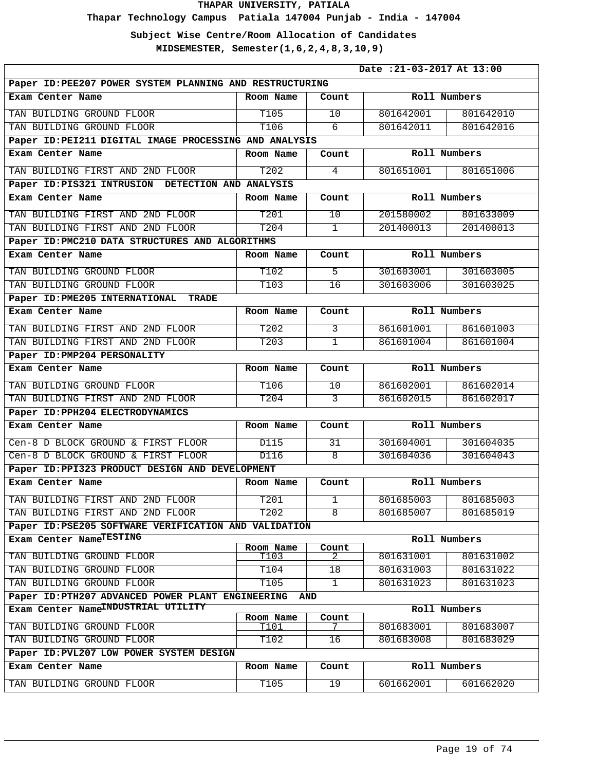**Thapar Technology Campus Patiala 147004 Punjab - India - 147004**

**Subject Wise Centre/Room Allocation of Candidates**

| Date: 21-03-2017 At 13:00                                |                   |                |              |                     |  |
|----------------------------------------------------------|-------------------|----------------|--------------|---------------------|--|
| Paper ID: PEE207 POWER SYSTEM PLANNING AND RESTRUCTURING |                   |                |              |                     |  |
| Exam Center Name                                         | Room Name         | Count          |              | Roll Numbers        |  |
| TAN BUILDING GROUND FLOOR                                | $\overline{T105}$ | 10             | 801642001    | 801642010           |  |
| TAN BUILDING GROUND FLOOR                                | T106              | 6              | 801642011    | 801642016           |  |
| Paper ID: PEI211 DIGITAL IMAGE PROCESSING AND ANALYSIS   |                   |                |              |                     |  |
| Exam Center Name                                         | Room Name         | Count          |              | Roll Numbers        |  |
| TAN BUILDING FIRST AND 2ND FLOOR                         | T202              | 4              | 801651001    | 801651006           |  |
| Paper ID:PIS321 INTRUSION DETECTION AND ANALYSIS         |                   |                |              |                     |  |
| Exam Center Name                                         | Room Name         | Count          |              | Roll Numbers        |  |
| TAN BUILDING FIRST AND 2ND FLOOR                         | T201              | 10             | 201580002    | 801633009           |  |
| TAN BUILDING FIRST AND 2ND FLOOR                         | T204              | $\overline{1}$ | 201400013    | 201400013           |  |
| Paper ID: PMC210 DATA STRUCTURES AND ALGORITHMS          |                   |                |              |                     |  |
| Exam Center Name                                         | Room Name         | Count          |              | Roll Numbers        |  |
| TAN BUILDING GROUND FLOOR                                | T102              | $\overline{5}$ | 301603001    | 301603005           |  |
| TAN BUILDING GROUND FLOOR                                | T103              | 16             | 301603006    | 301603025           |  |
| Paper ID: PME205 INTERNATIONAL<br><b>TRADE</b>           |                   |                |              |                     |  |
| Exam Center Name                                         | Room Name         | Count          |              | Roll Numbers        |  |
| TAN BUILDING FIRST AND 2ND FLOOR                         | T202              | $\overline{3}$ | 861601001    | 861601003           |  |
| TAN BUILDING FIRST AND 2ND FLOOR                         | T203              | $\overline{1}$ | 861601004    | 861601004           |  |
| Paper ID: PMP204 PERSONALITY                             |                   |                |              |                     |  |
| Exam Center Name                                         | Room Name         | Count          | Roll Numbers |                     |  |
| TAN BUILDING GROUND FLOOR                                | T106              | 10             | 861602001    | 861602014           |  |
| TAN BUILDING FIRST AND 2ND FLOOR                         | T204              | $\overline{3}$ | 861602015    | 861602017           |  |
| Paper ID: PPH204 ELECTRODYNAMICS                         |                   |                |              |                     |  |
| Exam Center Name                                         | Room Name         | Count          |              | Roll Numbers        |  |
| Cen-8 D BLOCK GROUND & FIRST FLOOR                       | D115              | 31             | 301604001    | 301604035           |  |
| Cen-8 D BLOCK GROUND & FIRST FLOOR                       | D116              | $\overline{8}$ | 301604036    | 301604043           |  |
| Paper ID: PPI323 PRODUCT DESIGN AND DEVELOPMENT          |                   |                |              |                     |  |
| Exam Center Name                                         | Room Name         | Count          |              | Roll Numbers        |  |
| TAN BUILDING FIRST AND 2ND FLOOR                         | T201              | $\overline{1}$ |              | 801685003 801685003 |  |
| TAN BUILDING FIRST AND 2ND FLOOR                         | T202              | 8              | 801685007    | 801685019           |  |
| Paper ID:PSE205 SOFTWARE VERIFICATION AND VALIDATION     |                   |                |              |                     |  |
| Exam Center NameTESTING                                  | Room Name         | Count          |              | Roll Numbers        |  |
| TAN BUILDING GROUND FLOOR                                | T103              | 2              | 801631001    | 801631002           |  |
| TAN BUILDING GROUND FLOOR                                | T104              | 18             | 801631003    | 801631022           |  |
| TAN BUILDING GROUND FLOOR                                | T105              | $\mathbf{1}$   | 801631023    | 801631023           |  |
| Paper ID: PTH207 ADVANCED POWER PLANT ENGINEERING        |                   | <b>AND</b>     |              |                     |  |
| Exam Center NameINDUSTRIAL UTILITY                       |                   |                |              | Roll Numbers        |  |
| TAN BUILDING GROUND FLOOR                                | Room Name<br>T101 | Count<br>7     | 801683001    | 801683007           |  |
| TAN BUILDING GROUND FLOOR                                | T102              | 16             | 801683008    | 801683029           |  |
| Paper ID: PVL207 LOW POWER SYSTEM DESIGN                 |                   |                |              |                     |  |
| Exam Center Name                                         | Room Name         | Count          |              | Roll Numbers        |  |
| TAN BUILDING GROUND FLOOR                                | T105              | 19             | 601662001    | 601662020           |  |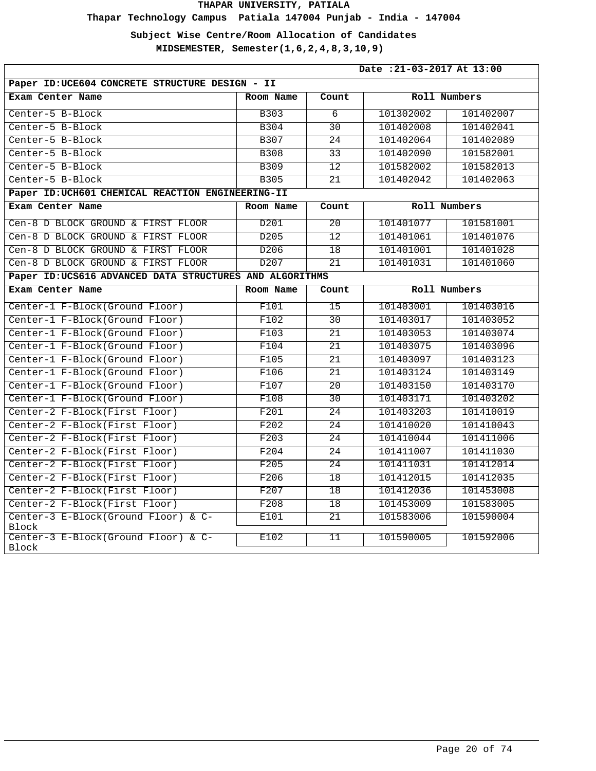**Thapar Technology Campus Patiala 147004 Punjab - India - 147004**

**Subject Wise Centre/Room Allocation of Candidates**

| Date: 21-03-2017 At 13:00                                |             |                 |           |              |  |
|----------------------------------------------------------|-------------|-----------------|-----------|--------------|--|
| Paper ID: UCE604 CONCRETE STRUCTURE DESIGN - II          |             |                 |           |              |  |
| Exam Center Name                                         | Room Name   | Count           |           | Roll Numbers |  |
| Center-5 B-Block                                         | B303        | 6               | 101302002 | 101402007    |  |
| Center-5 B-Block                                         | B304        | 30              | 101402008 | 101402041    |  |
| Center-5 B-Block                                         | B307        | 24              | 101402064 | 101402089    |  |
| Center-5 B-Block                                         | <b>B308</b> | 33              | 101402090 | 101582001    |  |
| Center-5 B-Block                                         | B309        | 12              | 101582002 | 101582013    |  |
| Center-5 B-Block                                         | <b>B305</b> | 21              | 101402042 | 101402063    |  |
| Paper ID: UCH601 CHEMICAL REACTION ENGINEERING-II        |             |                 |           |              |  |
| Exam Center Name                                         | Room Name   | Count           |           | Roll Numbers |  |
| Cen-8 D BLOCK GROUND & FIRST FLOOR                       | D201        | $\overline{20}$ | 101401077 | 101581001    |  |
| Cen-8 D BLOCK GROUND & FIRST FLOOR                       | D205        | $\overline{12}$ | 101401061 | 101401076    |  |
| Cen-8 D BLOCK GROUND & FIRST FLOOR                       | D206        | 18              | 101401001 | 101401028    |  |
| Cen-8 D BLOCK GROUND & FIRST FLOOR                       | D207        | $\overline{21}$ | 101401031 | 101401060    |  |
| Paper ID: UCS616 ADVANCED DATA STRUCTURES AND ALGORITHMS |             |                 |           |              |  |
| Exam Center Name                                         | Room Name   | Count           |           | Roll Numbers |  |
| Center-1 F-Block(Ground Floor)                           | F101        | 15              | 101403001 | 101403016    |  |
| Center-1 F-Block(Ground Floor)                           | F102        | 30              | 101403017 | 101403052    |  |
| Center-1 F-Block(Ground Floor)                           | F103        | 21              | 101403053 | 101403074    |  |
| Center-1 F-Block(Ground Floor)                           | F104        | 21              | 101403075 | 101403096    |  |
| Center-1 F-Block(Ground Floor)                           | F105        | 21              | 101403097 | 101403123    |  |
| Center-1 F-Block(Ground Floor)                           | F106        | 21              | 101403124 | 101403149    |  |
| Center-1 F-Block(Ground Floor)                           | F107        | 20              | 101403150 | 101403170    |  |
| Center-1 F-Block(Ground Floor)                           | F108        | 30              | 101403171 | 101403202    |  |
| Center-2 F-Block(First Floor)                            | F201        | 24              | 101403203 | 101410019    |  |
| Center-2 F-Block(First Floor)                            | F202        | 24              | 101410020 | 101410043    |  |
| Center-2 F-Block(First Floor)                            | F203        | 24              | 101410044 | 101411006    |  |
| Center-2 F-Block(First Floor)                            | F204        | 24              | 101411007 | 101411030    |  |
| Center-2 F-Block(First Floor)                            | F205        | 24              | 101411031 | 101412014    |  |
| Center-2 F-Block(First Floor)                            | F206        | 18              | 101412015 | 101412035    |  |
| Center-2 F-Block(First Floor)                            | F207        | 18              | 101412036 | 101453008    |  |
| Center-2 F-Block(First Floor)                            | F208        | 18              | 101453009 | 101583005    |  |
| Center-3 E-Block(Ground Floor) & C-<br><b>Block</b>      | E101        | 21              | 101583006 | 101590004    |  |
| Center-3 E-Block(Ground Floor) & C-<br>Block             | E102        | 11              | 101590005 | 101592006    |  |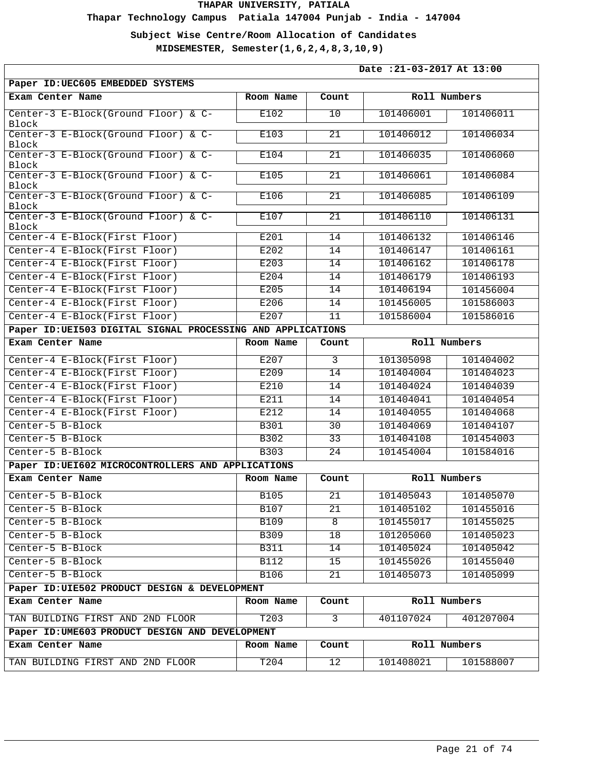**Thapar Technology Campus Patiala 147004 Punjab - India - 147004**

**Subject Wise Centre/Room Allocation of Candidates**

| Date: 21-03-2017 At 13:00                                           |             |                 |              |           |  |
|---------------------------------------------------------------------|-------------|-----------------|--------------|-----------|--|
| Paper ID: UEC605 EMBEDDED SYSTEMS                                   |             |                 |              |           |  |
| Exam Center Name                                                    | Room Name   | Count           | Roll Numbers |           |  |
| Center-3 E-Block(Ground Floor) & C-<br>Block                        | E102        | 10              | 101406001    | 101406011 |  |
| Center-3 E-Block(Ground Floor) & C-<br>Block                        | E103        | 21              | 101406012    | 101406034 |  |
| Center-3 E-Block(Ground Floor) & C-<br>Block                        | E104        | $\overline{21}$ | 101406035    | 101406060 |  |
| Center-3 E-Block(Ground Floor) & C-<br>Block                        | E105        | 21              | 101406061    | 101406084 |  |
| Center-3 E-Block(Ground Floor) & C-<br>Block                        | E106        | 21              | 101406085    | 101406109 |  |
| Center-3 E-Block(Ground Floor) & C-<br>Block                        | E107        | 21              | 101406110    | 101406131 |  |
| Center-4 E-Block(First Floor)                                       | E201        | 14              | 101406132    | 101406146 |  |
| Center-4 E-Block(First Floor)                                       | E202        | 14              | 101406147    | 101406161 |  |
| Center-4 E-Block(First Floor)                                       | E203        | 14              | 101406162    | 101406178 |  |
| Center-4 E-Block(First Floor)                                       | E204        | $\overline{14}$ | 101406179    | 101406193 |  |
| Center-4 E-Block(First Floor)                                       | E205        | 14              | 101406194    | 101456004 |  |
| Center-4 E-Block(First Floor)                                       | E206        | 14              | 101456005    | 101586003 |  |
| Center-4 E-Block(First Floor)                                       | E207        | 11              | 101586004    | 101586016 |  |
| Paper ID: UEI503 DIGITAL SIGNAL PROCESSING AND APPLICATIONS         |             |                 |              |           |  |
| Exam Center Name                                                    | Room Name   | Count           | Roll Numbers |           |  |
| Center-4 E-Block(First Floor)                                       | E207        | $\overline{3}$  | 101305098    | 101404002 |  |
| Center-4 E-Block(First Floor)                                       | E209        | 14              | 101404004    | 101404023 |  |
| Center-4 E-Block(First Floor)                                       | E210        | 14              | 101404024    | 101404039 |  |
| Center-4 E-Block(First Floor)                                       | E211        | 14              | 101404041    | 101404054 |  |
| Center-4 E-Block(First Floor)                                       | E212        | 14              | 101404055    | 101404068 |  |
| Center-5 B-Block                                                    | B301        | 30              | 101404069    | 101404107 |  |
| Center-5 B-Block                                                    | <b>B302</b> | $\overline{33}$ | 101404108    | 101454003 |  |
| Center-5 B-Block                                                    | B303        | $\overline{24}$ | 101454004    | 101584016 |  |
| Paper ID: UEI602 MICROCONTROLLERS AND APPLICATIONS                  |             |                 |              |           |  |
| Exam Center Name                                                    | Room Name   | Count           | Roll Numbers |           |  |
| Center-5 B-Block                                                    | <b>B105</b> | $\overline{21}$ | 101405043    | 101405070 |  |
| Center-5 B-Block                                                    | B107        | 21              | 101405102    | 101455016 |  |
| Center-5 B-Block                                                    | <b>B109</b> | 8               | 101455017    | 101455025 |  |
| Center-5 B-Block                                                    | B309        | 18              | 101205060    | 101405023 |  |
| Center-5 B-Block                                                    | B311        | 14              | 101405024    | 101405042 |  |
| Center-5 B-Block                                                    | <b>B112</b> | 15              | 101455026    | 101455040 |  |
| Center-5 B-Block                                                    | <b>B106</b> | 21              | 101405073    | 101405099 |  |
| Paper ID: UIE502 PRODUCT DESIGN & DEVELOPMENT                       |             |                 |              |           |  |
| Exam Center Name                                                    | Room Name   | Count           | Roll Numbers |           |  |
| TAN BUILDING FIRST AND 2ND FLOOR                                    | T203        | $\mathbf{3}$    | 401107024    | 401207004 |  |
| Paper ID: UME603 PRODUCT DESIGN AND DEVELOPMENT<br>Exam Center Name | Room Name   | Count           | Roll Numbers |           |  |
|                                                                     |             |                 |              |           |  |
| TAN BUILDING FIRST AND 2ND FLOOR                                    | T204        | 12              | 101408021    | 101588007 |  |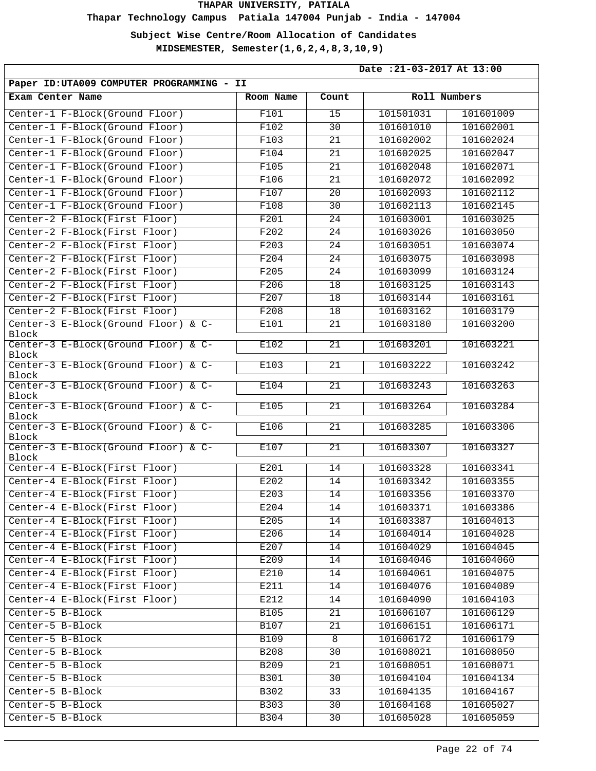**Thapar Technology Campus Patiala 147004 Punjab - India - 147004**

**Subject Wise Centre/Room Allocation of Candidates**

| Date: 21-03-2017 At 13:00                             |             |                 |              |           |
|-------------------------------------------------------|-------------|-----------------|--------------|-----------|
| Paper ID: UTA009 COMPUTER PROGRAMMING - II            |             |                 |              |           |
| Exam Center Name                                      | Room Name   | Count           | Roll Numbers |           |
| Center-1 F-Block(Ground Floor)                        | F101        | 15              | 101501031    | 101601009 |
| Center-1 F-Block(Ground Floor)                        | F102        | $\overline{30}$ | 101601010    | 101602001 |
| Center-1 F-Block(Ground Floor)                        | F103        | 21              | 101602002    | 101602024 |
| Center-1 F-Block(Ground Floor)                        | F104        | $\overline{21}$ | 101602025    | 101602047 |
| Center-1 F-Block(Ground Floor)                        | F105        | 21              | 101602048    | 101602071 |
| Center-1 F-Block(Ground Floor)                        | F106        | 21              | 101602072    | 101602092 |
| Center-1 F-Block(Ground Floor)                        | F107        | 20              | 101602093    | 101602112 |
| Center-1 F-Block(Ground Floor)                        | F108        | $\overline{30}$ | 101602113    | 101602145 |
| Center-2 F-Block(First Floor)                         | F201        | 24              | 101603001    | 101603025 |
| Center-2 F-Block(First Floor)                         | F202        | 24              | 101603026    | 101603050 |
| Center-2 F-Block(First Floor)                         | F203        | 24              | 101603051    | 101603074 |
| Center-2 F-Block(First Floor)                         | F204        | $\overline{24}$ | 101603075    | 101603098 |
| Center-2 F-Block(First Floor)                         | F205        | 24              | 101603099    | 101603124 |
| Center-2 F-Block(First Floor)                         | F206        | 18              | 101603125    | 101603143 |
| Center-2 F-Block(First Floor)                         | F207        | 18              | 101603144    | 101603161 |
| Center-2 F-Block(First Floor)                         | F208        | 18              | 101603162    | 101603179 |
| Center-3 E-Block(Ground Floor) & C-                   | E101        | 21              | 101603180    | 101603200 |
| Block<br>Center-3 E-Block(Ground Floor) & C-<br>Block | E102        | 21              | 101603201    | 101603221 |
| Center-3 E-Block(Ground Floor) & C-<br>Block          | E103        | 21              | 101603222    | 101603242 |
| Center-3 E-Block(Ground Floor) & C-<br>Block          | E104        | 21              | 101603243    | 101603263 |
| Center-3 E-Block(Ground Floor) & C-<br>Block          | E105        | 21              | 101603264    | 101603284 |
| Center-3 E-Block(Ground Floor) & C-<br>Block          | E106        | 21              | 101603285    | 101603306 |
| Center-3 E-Block(Ground Floor) & C-<br>Block          | E107        | 21              | 101603307    | 101603327 |
| Center-4 E-Block(First Floor)                         | E201        | 14              | 101603328    | 101603341 |
| Center-4 E-Block(First Floor)                         | E202        | 14              | 101603342    | 101603355 |
| Center-4 E-Block(First Floor)                         | E203        | 14              | 101603356    | 101603370 |
| Center-4 E-Block(First Floor)                         | E204        | 14              | 101603371    | 101603386 |
| Center-4 E-Block(First Floor)                         | E205        | 14              | 101603387    | 101604013 |
| Center-4 E-Block(First Floor)                         | E206        | 14              | 101604014    | 101604028 |
| Center-4 E-Block(First Floor)                         | E207        | 14              | 101604029    | 101604045 |
| Center-4 E-Block(First Floor)                         | E209        | 14              | 101604046    | 101604060 |
| Center-4 E-Block(First Floor)                         | E210        | 14              | 101604061    | 101604075 |
| Center-4 E-Block(First Floor)                         | E211        | 14              | 101604076    | 101604089 |
| Center-4 E-Block(First Floor)                         | E212        | 14              | 101604090    | 101604103 |
| Center-5 B-Block                                      | <b>B105</b> | 21              | 101606107    | 101606129 |
| Center-5 B-Block                                      | <b>B107</b> | $\overline{21}$ | 101606151    | 101606171 |
| Center-5 B-Block                                      | <b>B109</b> | 8               | 101606172    | 101606179 |
| Center-5 B-Block                                      | <b>B208</b> | 30              | 101608021    | 101608050 |
| Center-5 B-Block                                      | B209        | 21              | 101608051    | 101608071 |
| Center-5 B-Block                                      | <b>B301</b> | 30              | 101604104    | 101604134 |
| Center-5 B-Block                                      | B302        | 33              | 101604135    | 101604167 |
| Center-5 B-Block                                      | B303        | 30              | 101604168    | 101605027 |
| Center-5 B-Block                                      | <b>B304</b> | 30              | 101605028    | 101605059 |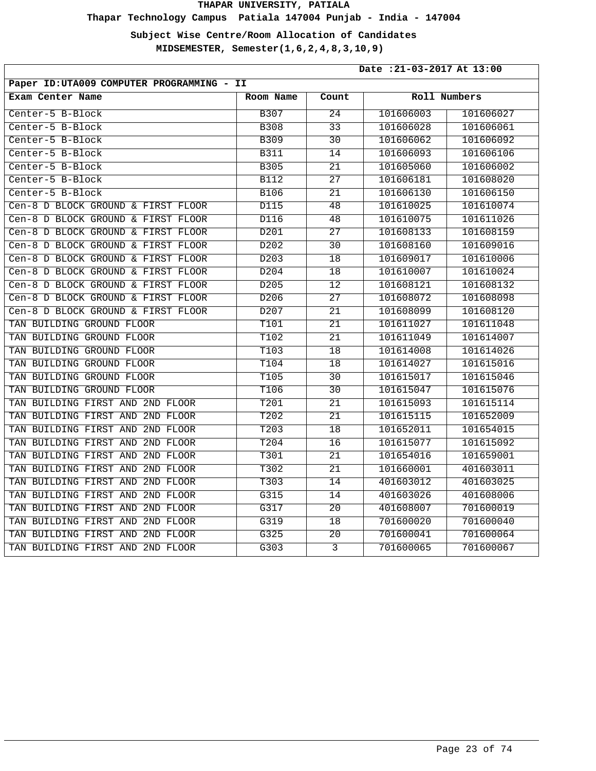**Thapar Technology Campus Patiala 147004 Punjab - India - 147004**

**Subject Wise Centre/Room Allocation of Candidates**

| Date: 21-03-2017 At 13:00                  |                  |                 |           |              |
|--------------------------------------------|------------------|-----------------|-----------|--------------|
| Paper ID: UTA009 COMPUTER PROGRAMMING - II |                  |                 |           |              |
| Exam Center Name                           | Room Name        | Count           |           | Roll Numbers |
| Center-5 B-Block                           | B307             | 24              | 101606003 | 101606027    |
| Center-5 B-Block                           | <b>B308</b>      | 33              | 101606028 | 101606061    |
| Center-5 B-Block                           | B309             | 30              | 101606062 | 101606092    |
| Center-5 B-Block                           | <b>B311</b>      | 14              | 101606093 | 101606106    |
| Center-5 B-Block                           | <b>B305</b>      | 21              | 101605060 | 101606002    |
| Center-5 B-Block                           | <b>B112</b>      | 27              | 101606181 | 101608020    |
| Center-5 B-Block                           | <b>B106</b>      | 21              | 101606130 | 101606150    |
| Cen-8 D BLOCK GROUND & FIRST FLOOR         | D115             | 48              | 101610025 | 101610074    |
| Cen-8 D BLOCK GROUND & FIRST FLOOR         | D116             | 48              | 101610075 | 101611026    |
| Cen-8 D BLOCK GROUND & FIRST FLOOR         | D201             | 27              | 101608133 | 101608159    |
| Cen-8 D BLOCK GROUND & FIRST FLOOR         | D202             | 30              | 101608160 | 101609016    |
| Cen-8 D BLOCK GROUND & FIRST FLOOR         | D <sub>203</sub> | 18              | 101609017 | 101610006    |
| Cen-8 D BLOCK GROUND & FIRST FLOOR         | D204             | 18              | 101610007 | 101610024    |
| Cen-8 D BLOCK GROUND & FIRST FLOOR         | D <sub>205</sub> | 12              | 101608121 | 101608132    |
| Cen-8 D BLOCK GROUND & FIRST FLOOR         | D206             | $\overline{27}$ | 101608072 | 101608098    |
| Cen-8 D BLOCK GROUND & FIRST FLOOR         | D207             | 21              | 101608099 | 101608120    |
| TAN BUILDING GROUND FLOOR                  | T101             | 21              | 101611027 | 101611048    |
| TAN BUILDING GROUND FLOOR                  | T102             | 21              | 101611049 | 101614007    |
| TAN BUILDING GROUND FLOOR                  | T <sub>103</sub> | 18              | 101614008 | 101614026    |
| TAN BUILDING GROUND FLOOR                  | T104             | 18              | 101614027 | 101615016    |
| TAN BUILDING GROUND FLOOR                  | T105             | 30              | 101615017 | 101615046    |
| TAN BUILDING GROUND FLOOR                  | T106             | 30              | 101615047 | 101615076    |
| TAN BUILDING FIRST AND 2ND FLOOR           | T201             | 21              | 101615093 | 101615114    |
| TAN BUILDING FIRST AND 2ND FLOOR           | T202             | 21              | 101615115 | 101652009    |
| TAN BUILDING FIRST AND<br>2ND FLOOR        | T203             | 18              | 101652011 | 101654015    |
| TAN BUILDING FIRST AND<br>2ND FLOOR        | T204             | 16              | 101615077 | 101615092    |
| TAN BUILDING FIRST AND<br>2ND FLOOR        | T301             | 21              | 101654016 | 101659001    |
| TAN BUILDING FIRST AND<br>2ND FLOOR        | T302             | 21              | 101660001 | 401603011    |
| TAN BUILDING FIRST AND<br>2ND FLOOR        | T303             | 14              | 401603012 | 401603025    |
| TAN BUILDING FIRST AND<br>2ND FLOOR        | G315             | 14              | 401603026 | 401608006    |
| TAN BUILDING FIRST AND<br>2ND FLOOR        | G317             | 20              | 401608007 | 701600019    |
| TAN BUILDING FIRST AND<br>2ND FLOOR        | G319             | 18              | 701600020 | 701600040    |
| 2ND FLOOR<br>TAN BUILDING FIRST AND        | G325             | 20              | 701600041 | 701600064    |
| TAN BUILDING FIRST AND 2ND FLOOR           | G303             | 3               | 701600065 | 701600067    |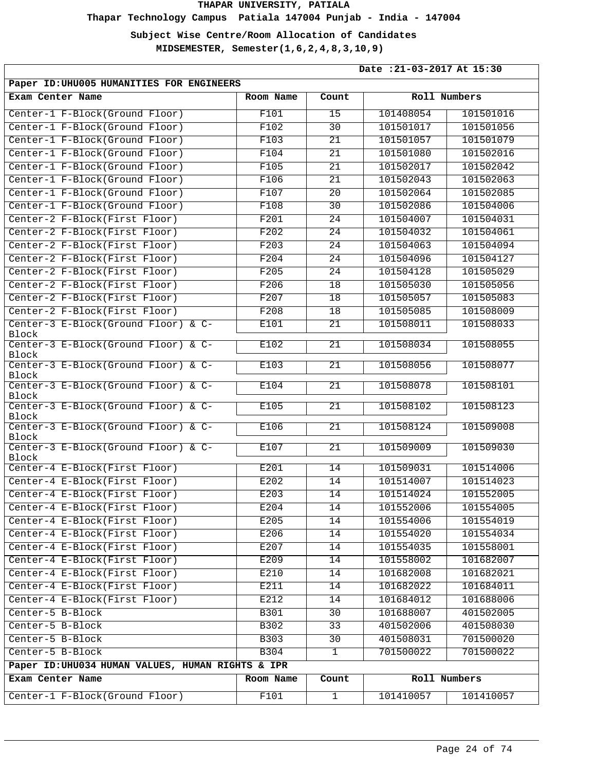**Thapar Technology Campus Patiala 147004 Punjab - India - 147004**

**Subject Wise Centre/Room Allocation of Candidates**

| Date: 21-03-2017 At 15:30                         |             |                 |              |           |
|---------------------------------------------------|-------------|-----------------|--------------|-----------|
| Paper ID: UHU005 HUMANITIES FOR ENGINEERS         |             |                 |              |           |
| Exam Center Name                                  | Room Name   | Count           | Roll Numbers |           |
| Center-1 F-Block(Ground Floor)                    | F101        | 15              | 101408054    | 101501016 |
| Center-1 F-Block(Ground Floor)                    | F102        | 30              | 101501017    | 101501056 |
| Center-1 F-Block(Ground Floor)                    | F103        | 21              | 101501057    | 101501079 |
| Center-1 F-Block(Ground Floor)                    | F104        | 21              | 101501080    | 101502016 |
| Center-1 F-Block(Ground Floor)                    | F105        | $\overline{21}$ | 101502017    | 101502042 |
| Center-1 F-Block(Ground Floor)                    | F106        | 21              | 101502043    | 101502063 |
| Center-1 F-Block(Ground Floor)                    | F107        | 20              | 101502064    | 101502085 |
| Center-1 F-Block(Ground Floor)                    | F108        | 30              | 101502086    | 101504006 |
| Center-2 F-Block(First Floor)                     | F201        | 24              | 101504007    | 101504031 |
| Center-2 F-Block(First Floor)                     | F202        | 24              | 101504032    | 101504061 |
| Center-2 F-Block(First Floor)                     | F203        | 24              | 101504063    | 101504094 |
| Center-2 F-Block(First Floor)                     | F204        | 24              | 101504096    | 101504127 |
| Center-2 F-Block(First Floor)                     | F205        | $\overline{24}$ | 101504128    | 101505029 |
| Center-2 F-Block(First Floor)                     | F206        | 18              | 101505030    | 101505056 |
| Center-2 F-Block(First Floor)                     | F207        | 18              | 101505057    | 101505083 |
| Center-2 F-Block(First Floor)                     | F208        | 18              | 101505085    | 101508009 |
| Center-3 E-Block(Ground Floor) & C-<br>Block      | E101        | 21              | 101508011    | 101508033 |
| Center-3 E-Block(Ground Floor) & C-<br>Block      | E102        | 21              | 101508034    | 101508055 |
| Center-3 E-Block(Ground Floor) & C-<br>Block      | E103        | 21              | 101508056    | 101508077 |
| Center-3 E-Block(Ground Floor) & C-<br>Block      | E104        | 21              | 101508078    | 101508101 |
| Center-3 E-Block(Ground Floor) & C-<br>Block      | E105        | 21              | 101508102    | 101508123 |
| Center-3 E-Block(Ground Floor) & C-<br>Block      | E106        | 21              | 101508124    | 101509008 |
| Center-3 E-Block(Ground Floor) & C-<br>Block      | E107        | 21              | 101509009    | 101509030 |
| Center-4 E-Block(First Floor)                     | E201        | 14              | 101509031    | 101514006 |
| Center-4 E-Block(First Floor)                     | E202        | 14              | 101514007    | 101514023 |
| Center-4 E-Block(First Floor)                     | E203        | 14              | 101514024    | 101552005 |
| Center-4 E-Block(First Floor)                     | E204        | 14              | 101552006    | 101554005 |
| Center-4 E-Block(First Floor)                     | E205        | 14              | 101554006    | 101554019 |
| Center-4 E-Block(First Floor)                     | E206        | 14              | 101554020    | 101554034 |
| Center-4 E-Block(First Floor)                     | E207        | 14              | 101554035    | 101558001 |
| Center-4 E-Block(First Floor)                     | E209        | 14              | 101558002    | 101682007 |
| Center-4 E-Block(First Floor)                     | E210        | 14              | 101682008    | 101682021 |
| Center-4 E-Block(First Floor)                     | E211        | 14              | 101682022    | 101684011 |
| Center-4 E-Block(First Floor)                     | E212        | 14              | 101684012    | 101688006 |
| Center-5 B-Block                                  | B301        | 30              | 101688007    | 401502005 |
| Center-5 B-Block                                  | <b>B302</b> | 33              | 401502006    | 401508030 |
| Center-5 B-Block                                  | B303        | 30              | 401508031    | 701500020 |
| Center-5 B-Block                                  | B304        | $\mathbf{1}$    | 701500022    | 701500022 |
| Paper ID: UHU034 HUMAN VALUES, HUMAN RIGHTS & IPR |             |                 |              |           |
| Exam Center Name                                  | Room Name   | Count           | Roll Numbers |           |
| Center-1 F-Block(Ground Floor)                    | F101        | $\mathbf{1}$    | 101410057    | 101410057 |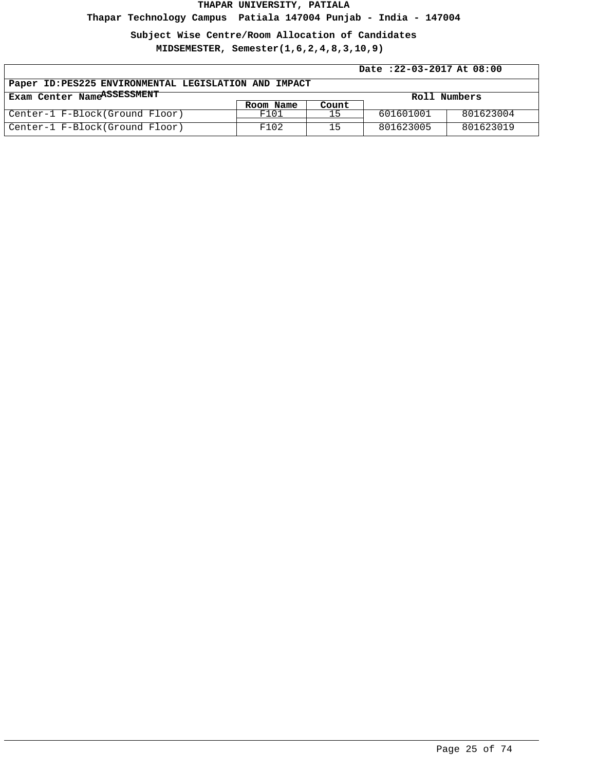**Thapar Technology Campus Patiala 147004 Punjab - India - 147004**

**Subject Wise Centre/Room Allocation of Candidates**

|                                                      | Date: 22-03-2017 At 08:00 |       |              |           |
|------------------------------------------------------|---------------------------|-------|--------------|-----------|
| Paper ID:PES225 ENVIRONMENTAL LEGISLATION AND IMPACT |                           |       |              |           |
| Exam Center NameASSESSMENT                           |                           |       | Roll Numbers |           |
|                                                      | Room Name                 | Count |              |           |
| Center-1 F-Block(Ground Floor)                       | F101                      | 15    | 601601001    | 801623004 |
| Center-1 F-Block(Ground Floor)                       | F102                      | 15    | 801623005    | 801623019 |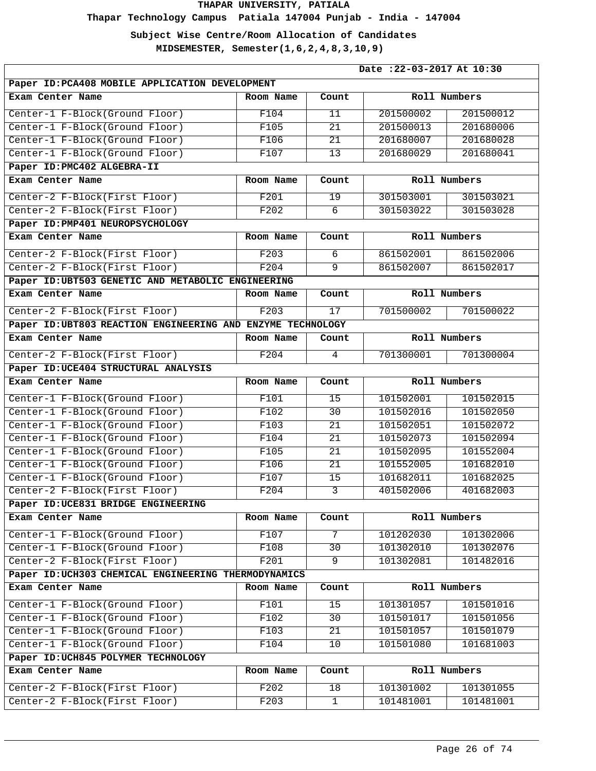**Thapar Technology Campus Patiala 147004 Punjab - India - 147004**

**Subject Wise Centre/Room Allocation of Candidates**

| Date: 22-03-2017 At 10:30                                   |           |                 |              |              |
|-------------------------------------------------------------|-----------|-----------------|--------------|--------------|
| Paper ID: PCA408 MOBILE APPLICATION DEVELOPMENT             |           |                 |              |              |
| Exam Center Name                                            | Room Name | Count           | Roll Numbers |              |
| Center-1 F-Block(Ground Floor)                              | F104      | 11              | 201500002    | 201500012    |
| Center-1 F-Block(Ground Floor)                              | F105      | 21              | 201500013    | 201680006    |
| Center-1 F-Block(Ground Floor)                              | F106      | $\overline{21}$ | 201680007    | 201680028    |
| Center-1 F-Block(Ground Floor)                              | F107      | 13              | 201680029    | 201680041    |
| Paper ID: PMC402 ALGEBRA-II                                 |           |                 |              |              |
| Exam Center Name                                            | Room Name | Count           | Roll Numbers |              |
| Center-2 F-Block(First Floor)                               | F201      | 19              | 301503001    | 301503021    |
| Center-2 F-Block(First Floor)                               | F202      | 6               | 301503022    | 301503028    |
| Paper ID: PMP401 NEUROPSYCHOLOGY                            |           |                 |              |              |
| Exam Center Name                                            | Room Name | Count           | Roll Numbers |              |
| Center-2 F-Block(First Floor)                               | F203      | 6               | 861502001    | 861502006    |
| Center-2 F-Block(First Floor)                               | F204      | $\overline{9}$  | 861502007    | 861502017    |
| Paper ID: UBT503 GENETIC AND METABOLIC ENGINEERING          |           |                 |              |              |
| Exam Center Name                                            | Room Name | Count           | Roll Numbers |              |
| Center-2 F-Block(First Floor)                               | F203      | $\overline{17}$ | 701500002    | 701500022    |
| Paper ID: UBT803 REACTION ENGINEERING AND ENZYME TECHNOLOGY |           |                 |              |              |
| Exam Center Name                                            | Room Name | Count           | Roll Numbers |              |
| Center-2 F-Block(First Floor)                               | F204      | $\overline{4}$  | 701300001    | 701300004    |
| Paper ID: UCE404 STRUCTURAL ANALYSIS                        |           |                 |              |              |
| Exam Center Name                                            | Room Name | Count           | Roll Numbers |              |
| Center-1 F-Block(Ground Floor)                              | F101      | $\overline{15}$ | 101502001    | 101502015    |
| Center-1 F-Block(Ground Floor)                              | F102      | $\overline{30}$ | 101502016    | 101502050    |
| Center-1 F-Block(Ground Floor)                              | F103      | 21              | 101502051    | 101502072    |
| Center-1 F-Block(Ground Floor)                              | F104      | $\overline{21}$ | 101502073    | 101502094    |
| Center-1 F-Block(Ground Floor)                              | F105      | $\overline{21}$ | 101502095    | 101552004    |
| Center-1 F-Block(Ground Floor)                              | F106      | 21              | 101552005    | 101682010    |
| Center-1 F-Block(Ground Floor)                              | F107      | 15              | 101682011    | 101682025    |
| Center-2 F-Block(First Floor)                               | F204      | $\overline{3}$  | 401502006    | 401682003    |
| Paper ID: UCE831 BRIDGE ENGINEERING                         |           |                 |              |              |
| Exam Center Name                                            | Room Name | Count           |              | Roll Numbers |
| Center-1 F-Block(Ground Floor)                              | F107      | $\overline{7}$  | 101202030    | 101302006    |
| Center-1 F-Block(Ground Floor)                              | F108      | 30              | 101302010    | 101302076    |
| Center-2 F-Block(First Floor)                               | F201      | 9               | 101302081    | 101482016    |
| Paper ID: UCH303 CHEMICAL ENGINEERING THERMODYNAMICS        |           |                 |              |              |
| Exam Center Name                                            | Room Name | Count           | Roll Numbers |              |
| Center-1 F-Block(Ground Floor)                              | F101      | 15              | 101301057    | 101501016    |
| Center-1 F-Block(Ground Floor)                              | F102      | 30              | 101501017    | 101501056    |
| Center-1 F-Block(Ground Floor)                              | F103      | 21              | 101501057    | 101501079    |
| Center-1 F-Block(Ground Floor)                              | F104      | 10              | 101501080    | 101681003    |
| Paper ID: UCH845 POLYMER TECHNOLOGY                         |           |                 |              |              |
| Exam Center Name                                            | Room Name | Count           | Roll Numbers |              |
| Center-2 F-Block(First Floor)                               | F202      | 18              | 101301002    | 101301055    |
| Center-2 F-Block(First Floor)                               | F203      | $\mathbf 1$     | 101481001    | 101481001    |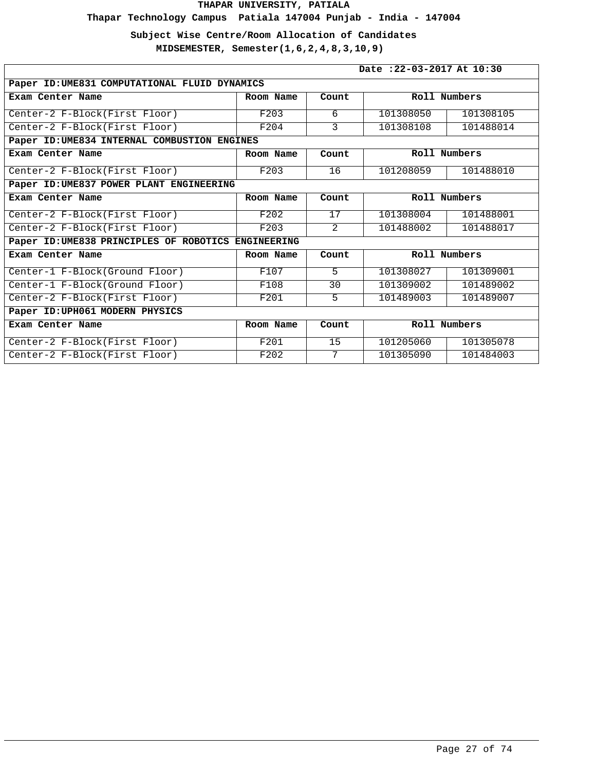**Thapar Technology Campus Patiala 147004 Punjab - India - 147004**

**Subject Wise Centre/Room Allocation of Candidates**

| Date: 22-03-2017 At 10:30                           |           |                |              |           |  |  |
|-----------------------------------------------------|-----------|----------------|--------------|-----------|--|--|
| Paper ID: UME831 COMPUTATIONAL FLUID DYNAMICS       |           |                |              |           |  |  |
| Exam Center Name                                    | Room Name | Count          | Roll Numbers |           |  |  |
| Center-2 F-Block(First Floor)                       | F203      | б.             | 101308050    | 101308105 |  |  |
| Center-2 F-Block(First Floor)                       | F204      | 3              | 101308108    | 101488014 |  |  |
| Paper ID: UME834 INTERNAL COMBUSTION ENGINES        |           |                |              |           |  |  |
| Exam Center Name                                    | Room Name | Count          | Roll Numbers |           |  |  |
| Center-2 F-Block(First Floor)                       | F203      | 16             | 101208059    | 101488010 |  |  |
| Paper ID: UME837 POWER PLANT ENGINEERING            |           |                |              |           |  |  |
| Exam Center Name                                    | Room Name | Count          | Roll Numbers |           |  |  |
| Center-2 F-Block(First Floor)                       | F202      | 17             | 101308004    | 101488001 |  |  |
| Center-2 F-Block(First Floor)                       | F203      | $\overline{a}$ | 101488002    | 101488017 |  |  |
| Paper ID: UME838 PRINCIPLES OF ROBOTICS ENGINEERING |           |                |              |           |  |  |
| Exam Center Name                                    | Room Name | Count          | Roll Numbers |           |  |  |
| Center-1 F-Block(Ground Floor)                      | F107      | 5              | 101308027    | 101309001 |  |  |
| Center-1 F-Block(Ground Floor)                      | F108      | 30             | 101309002    | 101489002 |  |  |
| Center-2 F-Block(First Floor)                       | F201      | 5.             | 101489003    | 101489007 |  |  |
| Paper ID: UPH061 MODERN PHYSICS                     |           |                |              |           |  |  |
| Exam Center Name                                    | Room Name | Count          | Roll Numbers |           |  |  |
| Center-2 F-Block(First Floor)                       | F201      | 15             | 101205060    | 101305078 |  |  |
| Center-2 F-Block(First Floor)                       | F202      | 7              | 101305090    | 101484003 |  |  |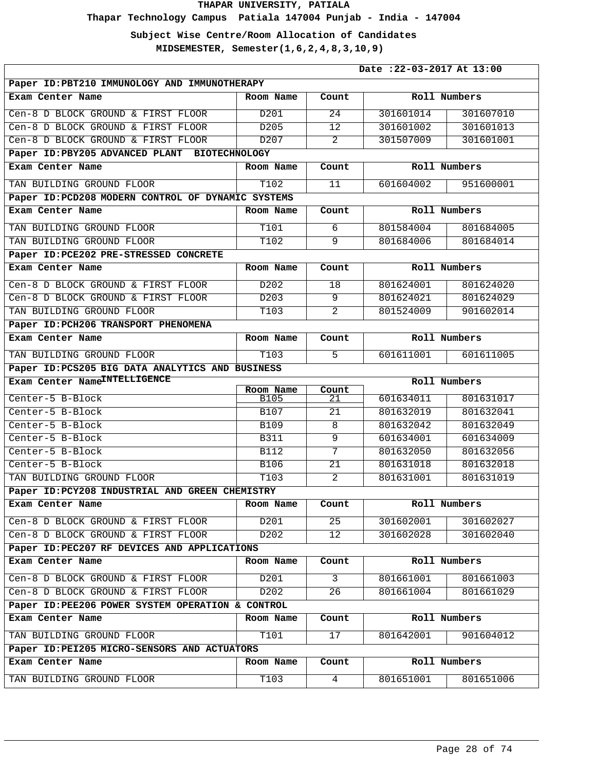**Thapar Technology Campus Patiala 147004 Punjab - India - 147004**

**Subject Wise Centre/Room Allocation of Candidates**

|                                                    |                  |                 | Date: 22-03-2017 At 13:00 |              |  |
|----------------------------------------------------|------------------|-----------------|---------------------------|--------------|--|
| Paper ID: PBT210 IMMUNOLOGY AND IMMUNOTHERAPY      |                  |                 |                           |              |  |
| Exam Center Name                                   | Room Name        | Count           |                           | Roll Numbers |  |
| Cen-8 D BLOCK GROUND & FIRST FLOOR                 | D201             | $\overline{24}$ | 301601014                 | 301607010    |  |
| Cen-8 D BLOCK GROUND & FIRST FLOOR                 | D <sub>205</sub> | 12              | 301601002                 | 301601013    |  |
| Cen-8 D BLOCK GROUND & FIRST FLOOR                 | D207             | $\overline{2}$  | 301507009                 | 301601001    |  |
| Paper ID: PBY205 ADVANCED PLANT BIOTECHNOLOGY      |                  |                 |                           |              |  |
| Exam Center Name                                   | Room Name        | Count           |                           | Roll Numbers |  |
| TAN BUILDING GROUND FLOOR                          | T102             | 11              | 601604002                 | 951600001    |  |
| Paper ID: PCD208 MODERN CONTROL OF DYNAMIC SYSTEMS |                  |                 |                           |              |  |
| Exam Center Name                                   | Room Name        | Count           |                           | Roll Numbers |  |
| TAN BUILDING GROUND FLOOR                          | T101             | 6               | 801584004                 | 801684005    |  |
| TAN BUILDING GROUND FLOOR                          | T102             | 9               | 801684006                 | 801684014    |  |
| Paper ID: PCE202 PRE-STRESSED CONCRETE             |                  |                 |                           |              |  |
| Exam Center Name                                   | Room Name        | Count           |                           | Roll Numbers |  |
| Cen-8 D BLOCK GROUND & FIRST FLOOR                 | D202             | 18              | 801624001                 | 801624020    |  |
| Cen-8 D BLOCK GROUND & FIRST FLOOR                 | D <sub>203</sub> | 9               | 801624021                 | 801624029    |  |
| TAN BUILDING GROUND FLOOR                          | T103             | 2               | 801524009                 | 901602014    |  |
| Paper ID: PCH206 TRANSPORT PHENOMENA               |                  |                 |                           |              |  |
| Exam Center Name                                   | Room Name        | Count           | Roll Numbers              |              |  |
| TAN BUILDING GROUND FLOOR                          | T103             | 5               | 601611001                 | 601611005    |  |
| Paper ID: PCS205 BIG DATA ANALYTICS AND BUSINESS   |                  |                 |                           |              |  |
| Exam Center NameINTELLIGENCE                       | Room Name        | Count           | Roll Numbers              |              |  |
| Center-5 B-Block                                   | <b>B105</b>      | 21              | 601634011                 | 801631017    |  |
| Center-5 B-Block                                   | B107             | 21              | 801632019                 | 801632041    |  |
| Center-5 B-Block                                   | <b>B109</b>      | 8               | 801632042                 | 801632049    |  |
| Center-5 B-Block                                   | <b>B311</b>      | 9               | 601634001                 | 601634009    |  |
| Center-5 B-Block                                   | <b>B112</b>      | 7               | 801632050                 | 801632056    |  |
| Center-5 B-Block                                   | <b>B106</b>      | 21              | 801631018                 | 801632018    |  |
| TAN BUILDING GROUND FLOOR                          | T103             | $\overline{a}$  | 801631001                 | 801631019    |  |
| Paper ID: PCY208 INDUSTRIAL AND GREEN CHEMISTRY    |                  |                 |                           |              |  |
| Exam Center Name                                   | Room Name        | Count           |                           | Roll Numbers |  |
| Cen-8 D BLOCK GROUND & FIRST FLOOR                 | D201             | $\overline{25}$ | 301602001                 | 301602027    |  |
| Cen-8 D BLOCK GROUND & FIRST FLOOR                 | D202             | 12              | 301602028                 | 301602040    |  |
| Paper ID: PEC207 RF DEVICES AND APPLICATIONS       |                  |                 |                           |              |  |
| Exam Center Name                                   | Room Name        | Count           |                           | Roll Numbers |  |
| Cen-8 D BLOCK GROUND & FIRST FLOOR                 | D201             | 3               | 801661001                 | 801661003    |  |
| Cen-8 D BLOCK GROUND & FIRST FLOOR                 | D202             | 26              | 801661004                 | 801661029    |  |
| Paper ID: PEE206 POWER SYSTEM OPERATION & CONTROL  |                  |                 |                           |              |  |
| Exam Center Name                                   | Room Name        | Count           |                           | Roll Numbers |  |
| TAN BUILDING GROUND FLOOR                          | T101             | 17              | 801642001                 | 901604012    |  |
| Paper ID: PEI205 MICRO-SENSORS AND ACTUATORS       |                  |                 |                           |              |  |
| Exam Center Name                                   | Room Name        | Count           |                           | Roll Numbers |  |
| TAN BUILDING GROUND FLOOR                          | T103             | 4               | 801651001                 | 801651006    |  |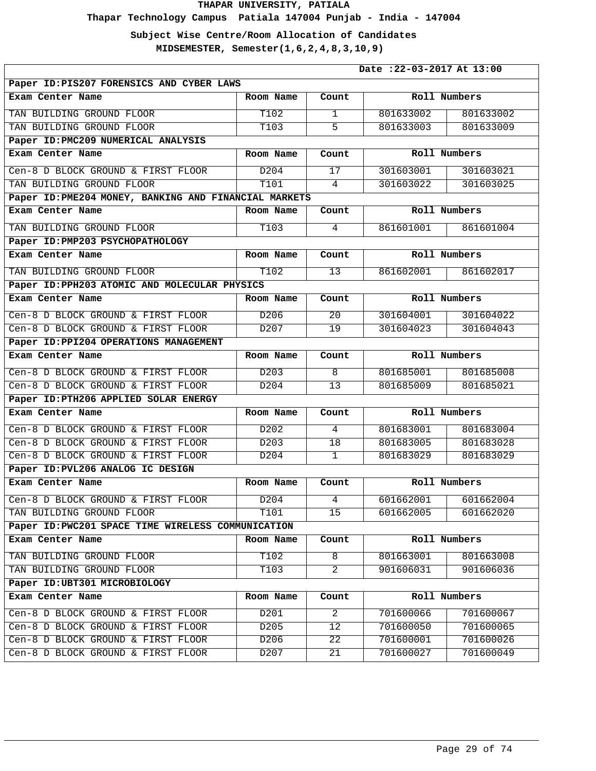**Thapar Technology Campus Patiala 147004 Punjab - India - 147004**

**Subject Wise Centre/Room Allocation of Candidates**

| Date: 22-03-2017 At 13:00                             |                   |                 |              |                     |  |
|-------------------------------------------------------|-------------------|-----------------|--------------|---------------------|--|
| Paper ID:PIS207 FORENSICS AND CYBER LAWS              |                   |                 |              |                     |  |
| Exam Center Name                                      | Room Name         | Count           |              | Roll Numbers        |  |
| TAN BUILDING GROUND FLOOR                             | T102              | $\overline{1}$  | 801633002    | 801633002           |  |
| TAN BUILDING GROUND FLOOR                             | T103              | 5               | 801633003    | 801633009           |  |
| Paper ID: PMC209 NUMERICAL ANALYSIS                   |                   |                 |              |                     |  |
| Exam Center Name                                      | Room Name         | Count           |              | Roll Numbers        |  |
| Cen-8 D BLOCK GROUND & FIRST FLOOR                    | D204              | $\overline{17}$ | 301603001    | 301603021           |  |
| TAN BUILDING GROUND FLOOR                             | $\overline{T101}$ | 4               | 301603022    | 301603025           |  |
| Paper ID: PME204 MONEY, BANKING AND FINANCIAL MARKETS |                   |                 |              |                     |  |
| Exam Center Name                                      | Room Name         | Count           |              | Roll Numbers        |  |
| TAN BUILDING GROUND FLOOR                             | T103              | $\overline{4}$  | 861601001    | 861601004           |  |
| Paper ID: PMP203 PSYCHOPATHOLOGY                      |                   |                 |              |                     |  |
| Exam Center Name                                      | Room Name         | Count           |              | Roll Numbers        |  |
| TAN BUILDING GROUND FLOOR                             | T102              | $\overline{13}$ | 861602001    | 861602017           |  |
| Paper ID: PPH203 ATOMIC AND MOLECULAR PHYSICS         |                   |                 |              |                     |  |
| Exam Center Name                                      | Room Name         | Count           |              | Roll Numbers        |  |
| Cen-8 D BLOCK GROUND & FIRST FLOOR                    | D206              | $\overline{20}$ | 301604001    | 301604022           |  |
| Cen-8 D BLOCK GROUND & FIRST FLOOR                    | D207              | 19              | 301604023    | 301604043           |  |
| Paper ID: PPI204 OPERATIONS MANAGEMENT                |                   |                 |              |                     |  |
| Exam Center Name                                      | Room Name         | Count           | Roll Numbers |                     |  |
| Cen-8 D BLOCK GROUND & FIRST FLOOR                    | D203              | $\overline{8}$  | 801685001    | 801685008           |  |
| Cen-8 D BLOCK GROUND & FIRST FLOOR                    | D204              | 13              | 801685009    | 801685021           |  |
| Paper ID: PTH206 APPLIED SOLAR ENERGY                 |                   |                 |              |                     |  |
| Exam Center Name                                      | Room Name         | Count           |              | Roll Numbers        |  |
| Cen-8 D BLOCK GROUND & FIRST FLOOR                    | D202              | $\overline{4}$  | 801683001    | 801683004           |  |
| Cen-8 D BLOCK GROUND & FIRST FLOOR                    | D203              | 18              | 801683005    | 801683028           |  |
| Cen-8 D BLOCK GROUND & FIRST FLOOR                    | D204              | $\mathbf{1}$    | 801683029    | 801683029           |  |
| Paper ID: PVL206 ANALOG IC DESIGN                     |                   |                 |              |                     |  |
| Exam Center Name                                      | Room Name         | Count           |              | Roll Numbers        |  |
| Cen-8 D BLOCK GROUND & FIRST FLOOR                    | D204              | $\overline{4}$  |              | 601662001 601662004 |  |
| TAN BUILDING GROUND FLOOR                             | T101              | 15              | 601662005    | 601662020           |  |
| Paper ID: PWC201 SPACE TIME WIRELESS COMMUNICATION    |                   |                 |              |                     |  |
| Exam Center Name                                      | Room Name         | Count           |              | Roll Numbers        |  |
| TAN BUILDING GROUND FLOOR                             | T102              | 8               | 801663001    | 801663008           |  |
| TAN BUILDING GROUND FLOOR                             | T103              | $\overline{2}$  | 901606031    | 901606036           |  |
| Paper ID: UBT301 MICROBIOLOGY                         |                   |                 |              |                     |  |
| Exam Center Name                                      | Room Name         | Count           |              | Roll Numbers        |  |
| Cen-8 D BLOCK GROUND & FIRST FLOOR                    | D201              | $\overline{2}$  | 701600066    | 701600067           |  |
| Cen-8 D BLOCK GROUND & FIRST FLOOR                    | D <sub>205</sub>  | 12              | 701600050    | 701600065           |  |
| Cen-8 D BLOCK GROUND & FIRST FLOOR                    | D206              | $\overline{22}$ | 701600001    | 701600026           |  |
| Cen-8 D BLOCK GROUND & FIRST FLOOR                    | D207              | 21              | 701600027    | 701600049           |  |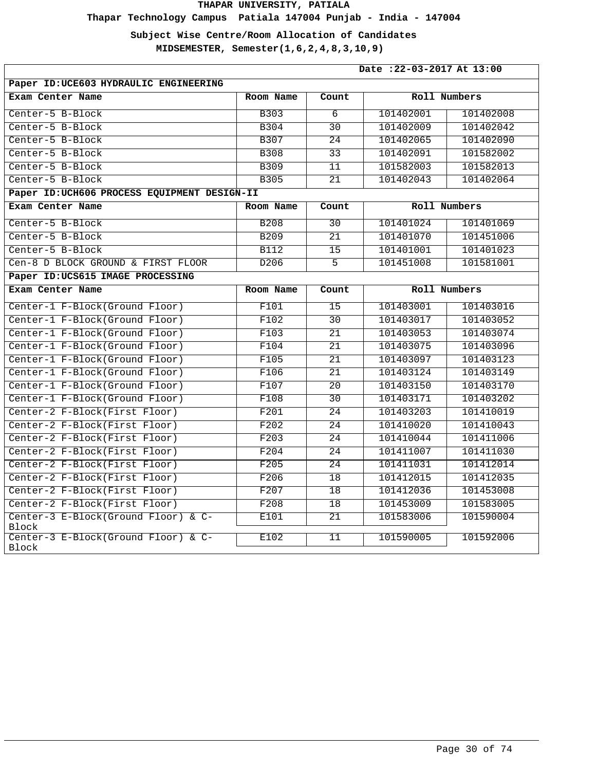**Thapar Technology Campus Patiala 147004 Punjab - India - 147004**

**Subject Wise Centre/Room Allocation of Candidates**

|                                              |             |                 | Date: 22-03-2017 At 13:00 |              |  |  |
|----------------------------------------------|-------------|-----------------|---------------------------|--------------|--|--|
| Paper ID: UCE603 HYDRAULIC ENGINEERING       |             |                 |                           |              |  |  |
| Exam Center Name                             | Room Name   | Count           |                           | Roll Numbers |  |  |
| Center-5 B-Block                             | B303        | 6               | 101402001                 | 101402008    |  |  |
| Center-5 B-Block                             | B304        | 30              | 101402009                 | 101402042    |  |  |
| Center-5 B-Block                             | B307        | 24              | 101402065                 | 101402090    |  |  |
| Center-5 B-Block                             | <b>B308</b> | 33              | 101402091                 | 101582002    |  |  |
| Center-5 B-Block                             | B309        | 11              | 101582003                 | 101582013    |  |  |
| Center-5 B-Block                             | <b>B305</b> | 21              | 101402043                 | 101402064    |  |  |
| Paper ID: UCH606 PROCESS EQUIPMENT DESIGN-II |             |                 |                           |              |  |  |
| Exam Center Name                             | Room Name   | Count           |                           | Roll Numbers |  |  |
| Center-5 B-Block                             | <b>B208</b> | $\overline{30}$ | 101401024                 | 101401069    |  |  |
| Center-5 B-Block                             | B209        | 21              | 101401070                 | 101451006    |  |  |
| Center-5 B-Block                             | <b>B112</b> | 15              | 101401001                 | 101401023    |  |  |
| Cen-8 D BLOCK GROUND & FIRST FLOOR           | D206        | $\overline{5}$  | 101451008                 | 101581001    |  |  |
| Paper ID: UCS615 IMAGE PROCESSING            |             |                 |                           |              |  |  |
| Exam Center Name                             | Room Name   | Count           |                           | Roll Numbers |  |  |
| Center-1 F-Block(Ground Floor)               | F101        | 15              | 101403001                 | 101403016    |  |  |
| Center-1 F-Block(Ground Floor)               | F102        | 30              | 101403017                 | 101403052    |  |  |
| Center-1 F-Block(Ground Floor)               | F103        | 21              | 101403053                 | 101403074    |  |  |
| Center-1 F-Block(Ground Floor)               | F104        | 21              | 101403075                 | 101403096    |  |  |
| Center-1 F-Block(Ground Floor)               | F105        | 21              | 101403097                 | 101403123    |  |  |
| Center-1 F-Block(Ground Floor)               | F106        | 21              | 101403124                 | 101403149    |  |  |
| Center-1 F-Block(Ground Floor)               | F107        | $\overline{20}$ | 101403150                 | 101403170    |  |  |
| Center-1 F-Block(Ground Floor)               | F108        | 30              | 101403171                 | 101403202    |  |  |
| Center-2 F-Block(First Floor)                | F201        | 24              | 101403203                 | 101410019    |  |  |
| Center-2 F-Block(First Floor)                | F202        | 24              | 101410020                 | 101410043    |  |  |
| Center-2 F-Block(First Floor)                | F203        | 24              | 101410044                 | 101411006    |  |  |
| Center-2 F-Block(First Floor)                | F204        | $\overline{24}$ | 101411007                 | 101411030    |  |  |
| Center-2 F-Block(First Floor)                | F205        | $\overline{24}$ | 101411031                 | 101412014    |  |  |
| Center-2 F-Block(First Floor)                | F206        | 18              | 101412015                 | 101412035    |  |  |
| Center-2 F-Block(First Floor)                | F207        | 18              | 101412036                 | 101453008    |  |  |
| Center-2 F-Block(First Floor)                | F208        | 18              | 101453009                 | 101583005    |  |  |
| Center-3 E-Block(Ground Floor) & C-<br>Block | E101        | 21              | 101583006                 | 101590004    |  |  |
| Center-3 E-Block(Ground Floor) & C-<br>Block | E102        | 11              | 101590005                 | 101592006    |  |  |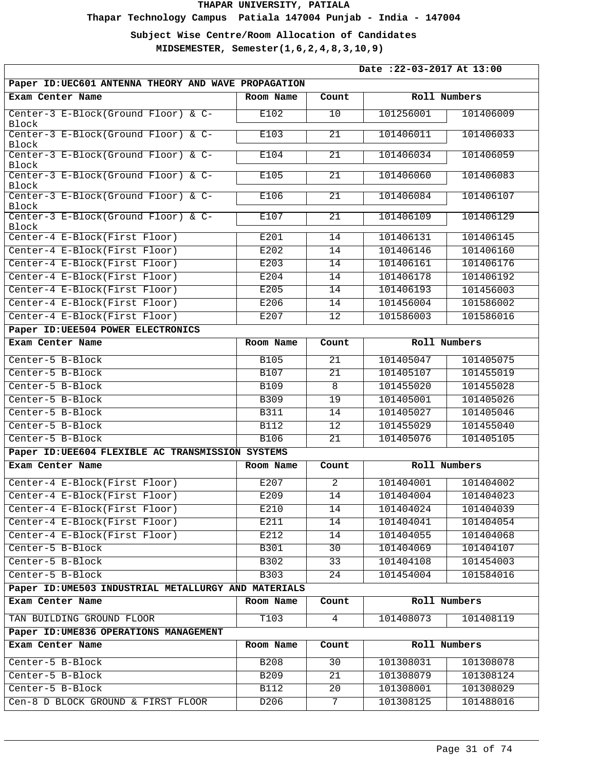**Thapar Technology Campus Patiala 147004 Punjab - India - 147004**

**Subject Wise Centre/Room Allocation of Candidates**

| Date: 22-03-2017 At 13:00                             |             |                |              |              |
|-------------------------------------------------------|-------------|----------------|--------------|--------------|
| Paper ID: UEC601 ANTENNA THEORY AND WAVE PROPAGATION  |             |                |              |              |
| Exam Center Name                                      | Room Name   | Count          | Roll Numbers |              |
| Center-3 E-Block(Ground Floor) & C-<br>Block          | E102        | 10             | 101256001    | 101406009    |
| Center-3 E-Block(Ground Floor) & C-<br>Block          | E103        | 21             | 101406011    | 101406033    |
| Center-3 E-Block(Ground Floor) & C-                   | E104        | 21             | 101406034    | 101406059    |
| Block<br>Center-3 E-Block(Ground Floor) & C-          | E105        | 21             | 101406060    | 101406083    |
| Block<br>Center-3 E-Block(Ground Floor) & C-<br>Block | E106        | 21             | 101406084    | 101406107    |
| Center-3 E-Block(Ground Floor) & C-<br>Block          | E107        | 21             | 101406109    | 101406129    |
| Center-4 E-Block(First Floor)                         | E201        | 14             | 101406131    | 101406145    |
| Center-4 E-Block(First Floor)                         | E202        | 14             | 101406146    | 101406160    |
| Center-4 E-Block(First Floor)                         | E203        | 14             | 101406161    | 101406176    |
| Center-4 E-Block(First Floor)                         | E204        | 14             | 101406178    | 101406192    |
| Center-4 E-Block(First Floor)                         | E205        | 14             | 101406193    | 101456003    |
| Center-4 E-Block(First Floor)                         | E206        | 14             | 101456004    | 101586002    |
| Center-4 E-Block(First Floor)                         | E207        | 12             | 101586003    | 101586016    |
| Paper ID: UEE504 POWER ELECTRONICS                    |             |                |              |              |
| Exam Center Name                                      | Room Name   | Count          | Roll Numbers |              |
| Center-5 B-Block                                      | <b>B105</b> | 21             | 101405047    | 101405075    |
| Center-5 B-Block                                      | <b>B107</b> | 21             | 101405107    | 101455019    |
| Center-5 B-Block                                      | <b>B109</b> | $\overline{8}$ | 101455020    | 101455028    |
| Center-5 B-Block                                      | B309        | 19             | 101405001    | 101405026    |
| Center-5 B-Block                                      | <b>B311</b> | 14             | 101405027    | 101405046    |
| Center-5 B-Block                                      | <b>B112</b> | 12             | 101455029    | 101455040    |
| Center-5 B-Block                                      | B106        | 21             | 101405076    | 101405105    |
| Paper ID: UEE604 FLEXIBLE AC TRANSMISSION SYSTEMS     |             |                |              |              |
| Exam Center Name                                      | Room Name   | Count          | Roll Numbers |              |
| Center-4 E-Block(First Floor)                         | E207        | $\overline{2}$ | 101404001    | 101404002    |
| Center-4 E-Block(First Floor)                         | E209        | 14             | 101404004    | 101404023    |
| Center-4 E-Block(First Floor)                         | E210        | 14             | 101404024    | 101404039    |
| Center-4 E-Block(First Floor)                         | E211        | 14             | 101404041    | 101404054    |
| Center-4 E-Block(First Floor)                         | E212        | 14             | 101404055    | 101404068    |
| Center-5 B-Block                                      | B301        | 30             | 101404069    | 101404107    |
| Center-5 B-Block                                      | B302        | 33             | 101404108    | 101454003    |
| Center-5 B-Block                                      | B303        | 24             | 101454004    | 101584016    |
| Paper ID: UME503 INDUSTRIAL METALLURGY AND MATERIALS  |             |                |              |              |
| Exam Center Name                                      | Room Name   | Count          |              | Roll Numbers |
| TAN BUILDING GROUND FLOOR                             | T103        | $\overline{4}$ | 101408073    | 101408119    |
| Paper ID: UME836 OPERATIONS MANAGEMENT                |             |                |              |              |
| Exam Center Name                                      | Room Name   | Count          |              | Roll Numbers |
| Center-5 B-Block                                      | <b>B208</b> | 30             | 101308031    | 101308078    |
| Center-5 B-Block                                      | B209        | 21             | 101308079    | 101308124    |
| Center-5 B-Block                                      | <b>B112</b> | 20             | 101308001    | 101308029    |
| Cen-8 D BLOCK GROUND & FIRST FLOOR                    | D206        | $\overline{7}$ | 101308125    | 101488016    |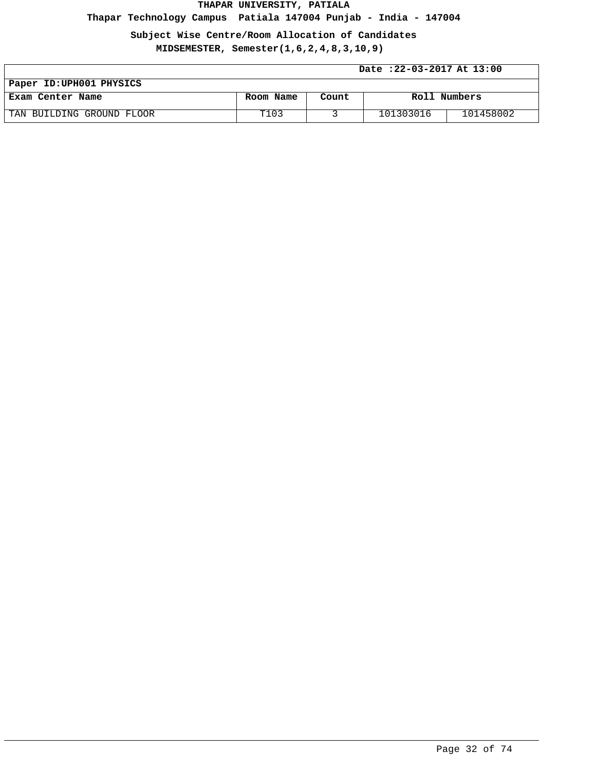**Thapar Technology Campus Patiala 147004 Punjab - India - 147004**

**Subject Wise Centre/Room Allocation of Candidates**

|                           | Date: 22-03-2017 At 13:00 |       |              |           |
|---------------------------|---------------------------|-------|--------------|-----------|
| Paper ID: UPH001 PHYSICS  |                           |       |              |           |
| Exam Center Name          | Room Name                 | Count | Roll Numbers |           |
| TAN BUILDING GROUND FLOOR | T103                      |       | 101303016    | 101458002 |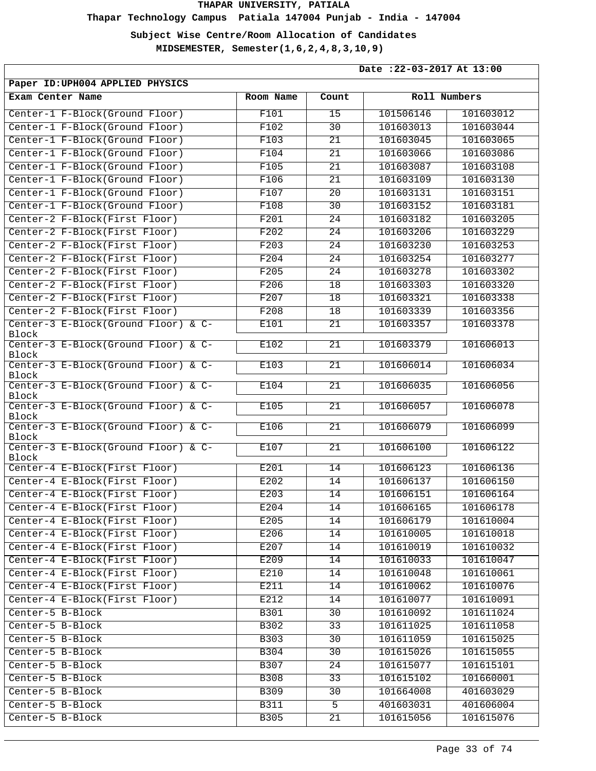**Thapar Technology Campus Patiala 147004 Punjab - India - 147004**

**Subject Wise Centre/Room Allocation of Candidates**

| Date: 22-03-2017 At 13:00                             |             |                 |              |           |
|-------------------------------------------------------|-------------|-----------------|--------------|-----------|
| Paper ID: UPH004 APPLIED PHYSICS                      |             |                 |              |           |
| Exam Center Name                                      | Room Name   | Count           | Roll Numbers |           |
| Center-1 F-Block(Ground Floor)                        | F101        | 15              | 101506146    | 101603012 |
| Center-1 F-Block(Ground Floor)                        | F102        | 30              | 101603013    | 101603044 |
| Center-1 F-Block(Ground Floor)                        | F103        | 21              | 101603045    | 101603065 |
| Center-1 F-Block(Ground Floor)                        | F104        | $\overline{21}$ | 101603066    | 101603086 |
| Center-1 F-Block(Ground Floor)                        | F105        | 21              | 101603087    | 101603108 |
| Center-1 F-Block(Ground Floor)                        | F106        | 21              | 101603109    | 101603130 |
| Center-1 F-Block(Ground Floor)                        | F107        | 20              | 101603131    | 101603151 |
| Center-1 F-Block(Ground Floor)                        | F108        | $\overline{30}$ | 101603152    | 101603181 |
| Center-2 F-Block(First Floor)                         | F201        | 24              | 101603182    | 101603205 |
| Center-2 F-Block(First Floor)                         | F202        | 24              | 101603206    | 101603229 |
| Center-2 F-Block(First Floor)                         | F203        | 24              | 101603230    | 101603253 |
| Center-2 F-Block(First Floor)                         | F204        | 24              | 101603254    | 101603277 |
| Center-2 F-Block(First Floor)                         | F205        | 24              | 101603278    | 101603302 |
| Center-2 F-Block(First Floor)                         | F206        | 18              | 101603303    | 101603320 |
| Center-2 F-Block(First Floor)                         | F207        | 18              | 101603321    | 101603338 |
| Center-2 F-Block(First Floor)                         | F208        | 18              | 101603339    | 101603356 |
| Center-3 E-Block(Ground Floor) & C-<br>Block          | E101        | 21              | 101603357    | 101603378 |
| Center-3 E-Block(Ground Floor) & C-                   | E102        | 21              | 101603379    | 101606013 |
| Block<br>Center-3 E-Block(Ground Floor) & C-<br>Block | E103        | 21              | 101606014    | 101606034 |
| Center-3 E-Block(Ground Floor) & C-<br>Block          | E104        | 21              | 101606035    | 101606056 |
| Center-3 E-Block(Ground Floor) & C-<br>Block          | E105        | 21              | 101606057    | 101606078 |
| Center-3 E-Block(Ground Floor) & C-<br>Block          | E106        | 21              | 101606079    | 101606099 |
| Center-3 E-Block(Ground Floor) & C-<br>Block          | E107        | 21              | 101606100    | 101606122 |
| Center-4 E-Block(First Floor)                         | E201        | 14              | 101606123    | 101606136 |
| Center-4 E-Block(First Floor)                         | E202        | 14              | 101606137    | 101606150 |
| Center-4 E-Block(First Floor)                         | E203        | 14              | 101606151    | 101606164 |
| Center-4 E-Block(First Floor)                         | E204        | 14              | 101606165    | 101606178 |
| Center-4 E-Block(First Floor)                         | E205        | 14              | 101606179    | 101610004 |
| Center-4 E-Block(First Floor)                         | E206        | 14              | 101610005    | 101610018 |
| Center-4 E-Block(First Floor)                         | E207        | 14              | 101610019    | 101610032 |
| Center-4 E-Block(First Floor)                         | E209        | 14              | 101610033    | 101610047 |
| Center-4 E-Block(First Floor)                         | E210        | 14              | 101610048    | 101610061 |
| Center-4 E-Block(First Floor)                         | E211        | 14              | 101610062    | 101610076 |
| Center-4 E-Block(First Floor)                         | E212        | 14              | 101610077    | 101610091 |
| Center-5 B-Block                                      | <b>B301</b> | 30              | 101610092    | 101611024 |
| Center-5 B-Block                                      | B302        | 33              | 101611025    | 101611058 |
| Center-5 B-Block                                      | B303        | 30              | 101611059    | 101615025 |
| Center-5 B-Block                                      | B304        | 30              | 101615026    | 101615055 |
| Center-5 B-Block                                      | B307        | 24              | 101615077    | 101615101 |
| Center-5 B-Block                                      | <b>B308</b> | 33              | 101615102    | 101660001 |
| Center-5 B-Block                                      | B309        | 30              | 101664008    | 401603029 |
| Center-5 B-Block                                      | B311        | 5               | 401603031    | 401606004 |
| Center-5 B-Block                                      | B305        | 21              | 101615056    | 101615076 |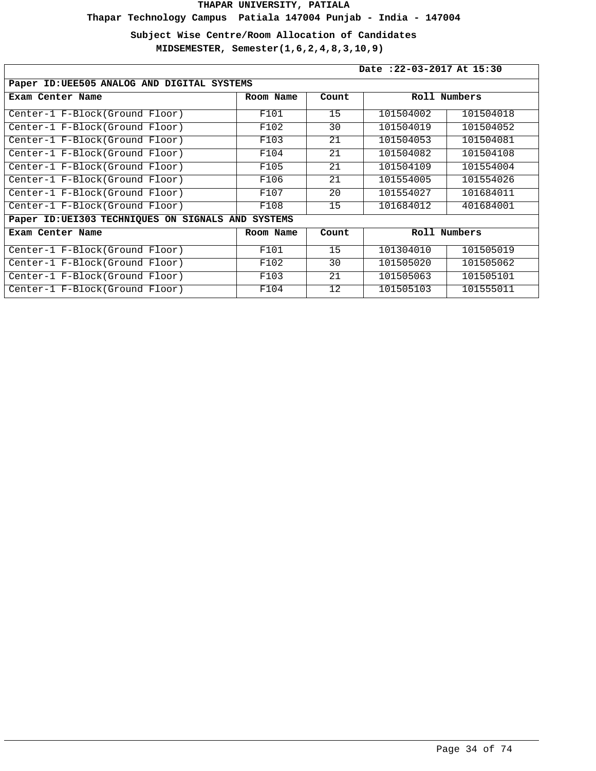**Thapar Technology Campus Patiala 147004 Punjab - India - 147004**

**Subject Wise Centre/Room Allocation of Candidates**

|                                                   | Date: 22-03-2017 At 15:30 |       |           |              |  |  |
|---------------------------------------------------|---------------------------|-------|-----------|--------------|--|--|
| Paper ID: UEE505 ANALOG AND DIGITAL SYSTEMS       |                           |       |           |              |  |  |
| Exam Center Name                                  | Room Name                 | Count |           | Roll Numbers |  |  |
| Center-1 F-Block(Ground Floor)                    | F101                      | 15    | 101504002 | 101504018    |  |  |
| Center-1 F-Block(Ground Floor)                    | F102                      | 30    | 101504019 | 101504052    |  |  |
| Center-1 F-Block(Ground Floor)                    | F103                      | 21    | 101504053 | 101504081    |  |  |
| Center-1 F-Block(Ground Floor)                    | F104                      | 21    | 101504082 | 101504108    |  |  |
| Center-1 F-Block(Ground Floor)                    | F105                      | 21    | 101504109 | 101554004    |  |  |
| Center-1 F-Block(Ground Floor)                    | F106                      | 21    | 101554005 | 101554026    |  |  |
| Center-1 F-Block(Ground Floor)                    | F107                      | 20    | 101554027 | 101684011    |  |  |
| Center-1 F-Block(Ground Floor)                    | F108                      | 15    | 101684012 | 401684001    |  |  |
| Paper ID:UEI303 TECHNIQUES ON SIGNALS AND SYSTEMS |                           |       |           |              |  |  |
| Exam Center Name                                  | Room Name                 | Count |           | Roll Numbers |  |  |
| Center-1 F-Block(Ground Floor)                    | F101                      | 15    | 101304010 | 101505019    |  |  |
| Center-1 F-Block(Ground Floor)                    | F102                      | 30    | 101505020 | 101505062    |  |  |
| Center-1 F-Block(Ground Floor)                    | F103                      | 21    | 101505063 | 101505101    |  |  |
| Center-1 F-Block(Ground Floor)                    | F104                      | 12    | 101505103 | 101555011    |  |  |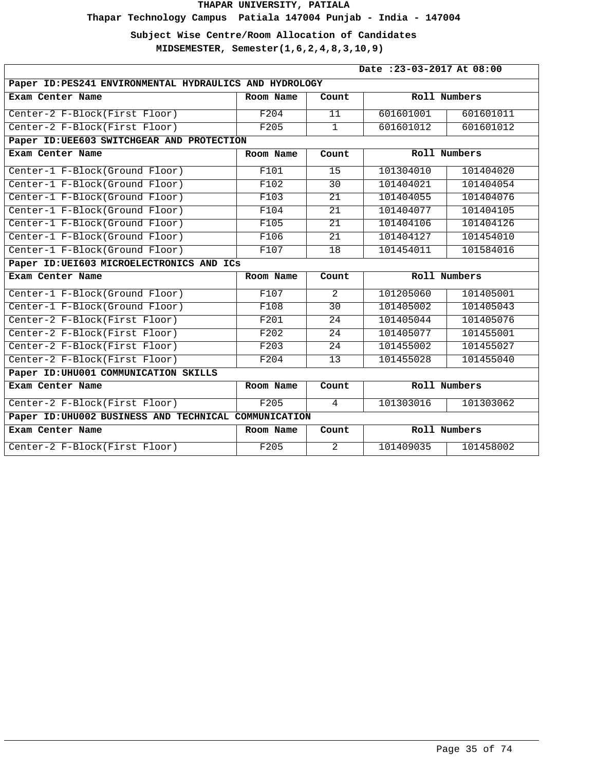**Thapar Technology Campus Patiala 147004 Punjab - India - 147004**

**Subject Wise Centre/Room Allocation of Candidates**

|                                                         | Date: 23-03-2017 At 08:00 |                 |              |              |  |
|---------------------------------------------------------|---------------------------|-----------------|--------------|--------------|--|
| Paper ID: PES241 ENVIRONMENTAL HYDRAULICS AND HYDROLOGY |                           |                 |              |              |  |
| Exam Center Name                                        | Room Name                 | Count           | Roll Numbers |              |  |
| Center-2 F-Block(First Floor)                           | F204                      | $\overline{11}$ | 601601001    | 601601011    |  |
| Center-2 F-Block(First Floor)                           | F205                      | $\mathbf{1}$    | 601601012    | 601601012    |  |
| Paper ID: UEE603 SWITCHGEAR AND PROTECTION              |                           |                 |              |              |  |
| Exam Center Name                                        | Room Name                 | Count           | Roll Numbers |              |  |
| Center-1 F-Block(Ground Floor)                          | F101                      | $\overline{15}$ | 101304010    | 101404020    |  |
| Center-1 F-Block(Ground Floor)                          | F102                      | 30              | 101404021    | 101404054    |  |
| Center-1 F-Block(Ground Floor)                          | F103                      | $\overline{21}$ | 101404055    | 101404076    |  |
| Center-1 F-Block(Ground Floor)                          | F104                      | 21              | 101404077    | 101404105    |  |
| Center-1 F-Block(Ground Floor)                          | F105                      | $\overline{21}$ | 101404106    | 101404126    |  |
| Center-1 F-Block(Ground Floor)                          | F106                      | 21              | 101404127    | 101454010    |  |
| Center-1 F-Block(Ground Floor)                          | F107                      | 18              | 101454011    | 101584016    |  |
| Paper ID: UEI603 MICROELECTRONICS AND ICS               |                           |                 |              |              |  |
| Exam Center Name                                        | Room Name                 | Count           | Roll Numbers |              |  |
| Center-1 F-Block(Ground Floor)                          | F107                      | $\overline{2}$  | 101205060    | 101405001    |  |
| Center-1 F-Block(Ground Floor)                          | F108                      | 30              | 101405002    | 101405043    |  |
| Center-2 F-Block(First Floor)                           | F201                      | 24              | 101405044    | 101405076    |  |
| Center-2 F-Block(First Floor)                           | F202                      | 24              | 101405077    | 101455001    |  |
| Center-2 F-Block(First Floor)                           | F203                      | 24              | 101455002    | 101455027    |  |
| Center-2 F-Block(First Floor)                           | F204                      | 13              | 101455028    | 101455040    |  |
| Paper ID: UHU001 COMMUNICATION SKILLS                   |                           |                 |              |              |  |
| Exam Center Name                                        | Room Name                 | Count           |              | Roll Numbers |  |
| Center-2 F-Block(First Floor)                           | F205                      | 4               | 101303016    | 101303062    |  |
| Paper ID: UHU002 BUSINESS AND TECHNICAL COMMUNICATION   |                           |                 |              |              |  |
| Exam Center Name                                        | Room Name                 | Count           | Roll Numbers |              |  |
| Center-2 F-Block(First Floor)                           | F205                      | $\overline{2}$  | 101409035    | 101458002    |  |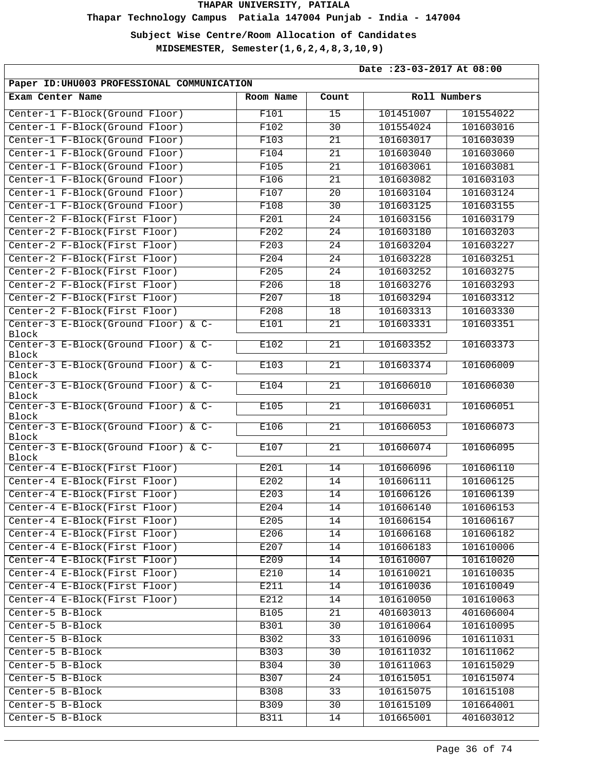**Thapar Technology Campus Patiala 147004 Punjab - India - 147004**

**Subject Wise Centre/Room Allocation of Candidates**

| Date: 23-03-2017 At 08:00                    |             |                 |              |           |
|----------------------------------------------|-------------|-----------------|--------------|-----------|
| Paper ID: UHU003 PROFESSIONAL COMMUNICATION  |             |                 |              |           |
| Exam Center Name                             | Room Name   | Count           | Roll Numbers |           |
| Center-1 F-Block(Ground Floor)               | F101        | 15              | 101451007    | 101554022 |
| Center-1 F-Block(Ground Floor)               | F102        | 30              | 101554024    | 101603016 |
| Center-1 F-Block(Ground Floor)               | F103        | 21              | 101603017    | 101603039 |
| Center-1 F-Block(Ground Floor)               | F104        | 21              | 101603040    | 101603060 |
| Center-1 F-Block(Ground Floor)               | F105        | $\overline{21}$ | 101603061    | 101603081 |
| Center-1 F-Block(Ground Floor)               | F106        | 21              | 101603082    | 101603103 |
| Center-1 F-Block(Ground Floor)               | F107        | 20              | 101603104    | 101603124 |
| Center-1 F-Block(Ground Floor)               | F108        | 30              | 101603125    | 101603155 |
| Center-2 F-Block(First Floor)                | F201        | $\overline{24}$ | 101603156    | 101603179 |
| Center-2 F-Block(First Floor)                | F202        | 24              | 101603180    | 101603203 |
| Center-2 F-Block(First Floor)                | F203        | $\overline{24}$ | 101603204    | 101603227 |
| Center-2 F-Block(First Floor)                | F204        | 24              | 101603228    | 101603251 |
| Center-2 F-Block(First Floor)                | F205        | 24              | 101603252    | 101603275 |
| Center-2 F-Block(First Floor)                | F206        | 18              | 101603276    | 101603293 |
| Center-2 F-Block(First Floor)                | F207        | 18              | 101603294    | 101603312 |
| Center-2 F-Block(First Floor)                | F208        | 18              | 101603313    | 101603330 |
| Center-3 E-Block(Ground Floor) & C-<br>Block | E101        | 21              | 101603331    | 101603351 |
| Center-3 E-Block(Ground Floor) & C-<br>Block | E102        | 21              | 101603352    | 101603373 |
| Center-3 E-Block(Ground Floor) & C-<br>Block | E103        | 21              | 101603374    | 101606009 |
| Center-3 E-Block(Ground Floor) & C-<br>Block | E104        | 21              | 101606010    | 101606030 |
| Center-3 E-Block(Ground Floor) & C-<br>Block | E105        | 21              | 101606031    | 101606051 |
| Center-3 E-Block(Ground Floor) & C-<br>Block | E106        | 21              | 101606053    | 101606073 |
| Center-3 E-Block(Ground Floor) & C-<br>Block | E107        | 21              | 101606074    | 101606095 |
| Center-4 E-Block(First Floor)                | E201        | 14              | 101606096    | 101606110 |
| Center-4 E-Block(First Floor)                | E202        | 14              | 101606111    | 101606125 |
| Center-4 E-Block(First Floor)                | E203        | 14              | 101606126    | 101606139 |
| Center-4 E-Block(First Floor)                | E204        | 14              | 101606140    | 101606153 |
| Center-4 E-Block(First Floor)                | E205        | 14              | 101606154    | 101606167 |
| Center-4 E-Block(First Floor)                | E206        | 14              | 101606168    | 101606182 |
| Center-4 E-Block(First Floor)                | E207        | 14              | 101606183    | 101610006 |
| Center-4 E-Block(First Floor)                | E209        | 14              | 101610007    | 101610020 |
| Center-4 E-Block(First Floor)                | E210        | 14              | 101610021    | 101610035 |
| Center-4 E-Block(First Floor)                | E211        | 14              | 101610036    | 101610049 |
| Center-4 E-Block(First Floor)                | E212        | 14              | 101610050    | 101610063 |
| Center-5 B-Block                             | B105        | 21              | 401603013    | 401606004 |
| Center-5 B-Block                             | <b>B301</b> | 30              | 101610064    | 101610095 |
| Center-5 B-Block                             | B302        | 33              | 101610096    | 101611031 |
| Center-5 B-Block                             | B303        | 30              | 101611032    | 101611062 |
| Center-5 B-Block                             | B304        | 30              | 101611063    | 101615029 |
| Center-5 B-Block                             | <b>B307</b> | 24              | 101615051    | 101615074 |
| Center-5 B-Block                             | <b>B308</b> | 33              | 101615075    | 101615108 |
| Center-5 B-Block                             | B309        | 30              | 101615109    | 101664001 |
| Center-5 B-Block                             | B311        | 14              | 101665001    | 401603012 |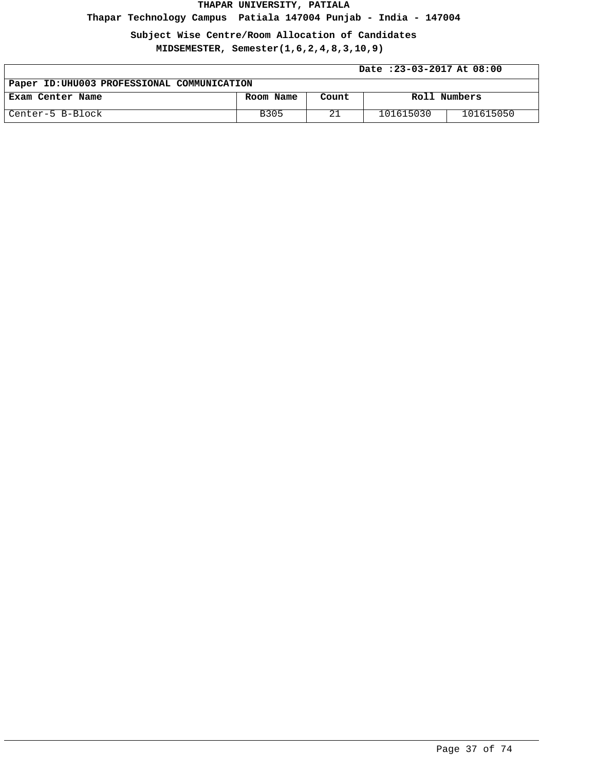# **Thapar Technology Campus Patiala 147004 Punjab - India - 147004**

## **Subject Wise Centre/Room Allocation of Candidates**

| Date: 23-03-2017 At 08:00                   |           |       |              |           |
|---------------------------------------------|-----------|-------|--------------|-----------|
| Paper ID: UHU003 PROFESSIONAL COMMUNICATION |           |       |              |           |
| Exam Center Name                            | Room Name | Count | Roll Numbers |           |
| Center-5 B-Block                            | B305      | 21    | 101615030    | 101615050 |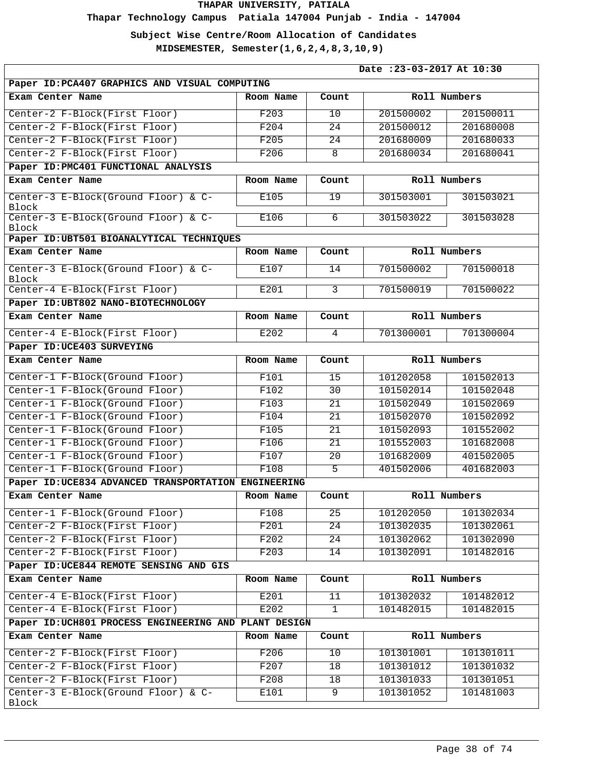**Thapar Technology Campus Patiala 147004 Punjab - India - 147004**

**Subject Wise Centre/Room Allocation of Candidates**

|                                                       |           |                 | Date: 23-03-2017 At 10:30 |           |  |
|-------------------------------------------------------|-----------|-----------------|---------------------------|-----------|--|
| Paper ID: PCA407 GRAPHICS AND VISUAL COMPUTING        |           |                 |                           |           |  |
| Exam Center Name                                      | Room Name | Count           | Roll Numbers              |           |  |
| Center-2 F-Block(First Floor)                         | F203      | $\overline{10}$ | 201500002                 | 201500011 |  |
| Center-2 F-Block(First Floor)                         | F204      | 24              | 201500012                 | 201680008 |  |
| Center-2 F-Block(First Floor)                         | F205      | 24              | 201680009                 | 201680033 |  |
| Center-2 F-Block(First Floor)                         | F206      | 8               | 201680034                 | 201680041 |  |
| Paper ID: PMC401 FUNCTIONAL ANALYSIS                  |           |                 |                           |           |  |
| Exam Center Name                                      | Room Name | Count           | Roll Numbers              |           |  |
| Center-3 E-Block(Ground Floor) & C-<br>Block          | E105      | 19              | 301503001                 | 301503021 |  |
| Center-3 E-Block(Ground Floor) & C-<br>Block          | E106      | 6               | 301503022                 | 301503028 |  |
| Paper ID: UBT501 BIOANALYTICAL TECHNIQUES             |           |                 |                           |           |  |
| Exam Center Name                                      | Room Name | Count           | Roll Numbers              |           |  |
| Center-3 E-Block(Ground Floor) & C-<br>Block          | E107      | 14              | 701500002                 | 701500018 |  |
| Center-4 E-Block(First Floor)                         | E201      | 3               | 701500019                 | 701500022 |  |
| Paper ID: UBT802 NANO-BIOTECHNOLOGY                   |           |                 |                           |           |  |
| Exam Center Name                                      | Room Name | Count           | Roll Numbers              |           |  |
| Center-4 E-Block(First Floor)                         | E202      | 4               | 701300001                 | 701300004 |  |
| Paper ID: UCE403 SURVEYING                            |           |                 |                           |           |  |
| Exam Center Name                                      | Room Name | Count           | Roll Numbers              |           |  |
| Center-1 F-Block(Ground Floor)                        | F101      | 15              | 101202058                 | 101502013 |  |
| Center-1 F-Block(Ground Floor)                        | F102      | 30              | 101502014                 | 101502048 |  |
| Center-1 F-Block(Ground Floor)                        | F103      | 21              | 101502049                 | 101502069 |  |
| Center-1 F-Block(Ground Floor)                        | F104      | 21              | 101502070                 | 101502092 |  |
| Center-1 F-Block(Ground Floor)                        | F105      | 21              | 101502093                 | 101552002 |  |
| Center-1 F-Block(Ground Floor)                        | F106      | 21              | 101552003                 | 101682008 |  |
| Center-1 F-Block(Ground Floor)                        | F107      | 20              | 101682009                 | 401502005 |  |
| Center-1 F-Block(Ground Floor)                        | F108      | 5.              | 401502006                 | 401682003 |  |
| Paper ID: UCE834 ADVANCED TRANSPORTATION ENGINEERING  |           |                 |                           |           |  |
| Exam Center Name                                      | Room Name | Count           | Roll Numbers              |           |  |
| Center-1 F-Block(Ground Floor)                        | F108      | 25              | 101202050                 | 101302034 |  |
| Center-2 F-Block(First Floor)                         | F201      | 24              | 101302035                 | 101302061 |  |
| Center-2 F-Block(First Floor)                         | F202      | $\overline{24}$ | 101302062                 | 101302090 |  |
| Center-2 F-Block(First Floor)                         | F203      | 14              | 101302091                 | 101482016 |  |
| Paper ID: UCE844 REMOTE SENSING AND GIS               |           |                 |                           |           |  |
| Exam Center Name                                      | Room Name | Count           | Roll Numbers              |           |  |
| Center-4 E-Block(First Floor)                         | E201      | 11              | 101302032                 | 101482012 |  |
| Center-4 E-Block(First Floor)                         | E202      | $\overline{1}$  | 101482015                 | 101482015 |  |
| Paper ID: UCH801 PROCESS ENGINEERING AND PLANT DESIGN |           |                 |                           |           |  |
| Exam Center Name                                      | Room Name | Count           | Roll Numbers              |           |  |
| Center-2 F-Block(First Floor)                         | F206      | 10              | 101301001                 | 101301011 |  |
| Center-2 F-Block(First Floor)                         | F207      | 18              | 101301012                 | 101301032 |  |
| Center-2 F-Block(First Floor)                         | F208      | 18              | 101301033                 | 101301051 |  |
| Center-3 E-Block(Ground Floor) & C-<br>Block          | E101      | $\overline{9}$  | 101301052                 | 101481003 |  |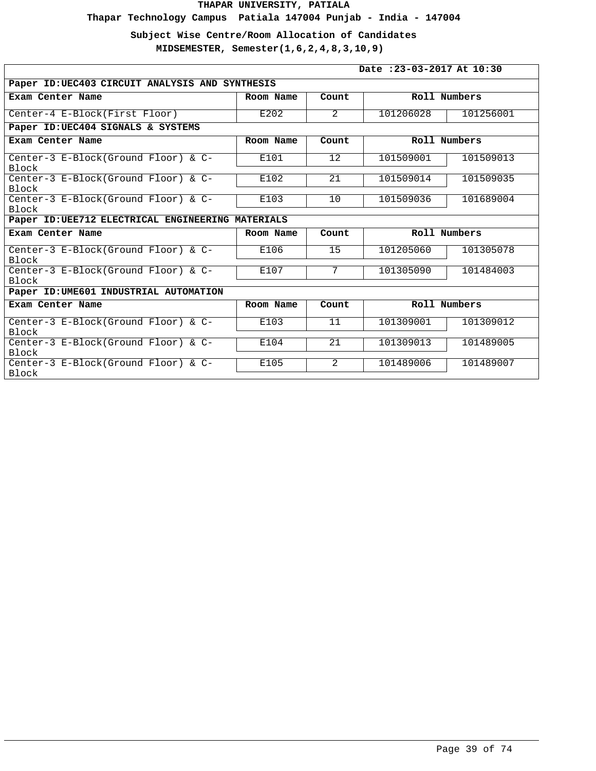**Thapar Technology Campus Patiala 147004 Punjab - India - 147004**

**Subject Wise Centre/Room Allocation of Candidates**

|                                                     | Date: 23-03-2017 At 10:30 |               |              |           |  |
|-----------------------------------------------------|---------------------------|---------------|--------------|-----------|--|
| Paper ID: UEC403 CIRCUIT ANALYSIS AND SYNTHESIS     |                           |               |              |           |  |
| Exam Center Name                                    | Room Name                 | Count         | Roll Numbers |           |  |
| Center-4 E-Block(First Floor)                       | E202                      | $\mathcal{L}$ | 101206028    | 101256001 |  |
| Paper ID: UEC404 SIGNALS & SYSTEMS                  |                           |               |              |           |  |
| Exam Center Name                                    | Room Name                 | Count         | Roll Numbers |           |  |
| Center-3 E-Block(Ground Floor) & C-<br><b>Block</b> | E101                      | 12            | 101509001    | 101509013 |  |
| Center-3 E-Block(Ground Floor) & C-<br>Block        | E102                      | 21            | 101509014    | 101509035 |  |
| Center-3 E-Block(Ground Floor) & C-<br><b>Block</b> | E103                      | 10            | 101509036    | 101689004 |  |
| Paper ID: UEE712 ELECTRICAL ENGINEERING MATERIALS   |                           |               |              |           |  |
| Exam Center Name                                    | Room Name                 | Count         | Roll Numbers |           |  |
| Center-3 E-Block(Ground Floor) & C-<br>Block        | E106                      | 15            | 101205060    | 101305078 |  |
| Center-3 E-Block(Ground Floor) & C-<br><b>Block</b> | E107                      | 7             | 101305090    | 101484003 |  |
| Paper ID: UME601 INDUSTRIAL AUTOMATION              |                           |               |              |           |  |
| Exam Center Name                                    | Room Name                 | Count         | Roll Numbers |           |  |
| Center-3 E-Block(Ground Floor) & C-<br>Block        | E103                      | 11            | 101309001    | 101309012 |  |
| Center-3 E-Block(Ground Floor) & C-<br><b>Block</b> | E104                      | 21            | 101309013    | 101489005 |  |
| Center-3 E-Block(Ground Floor) & C-<br>Block        | E105                      | $\mathcal{L}$ | 101489006    | 101489007 |  |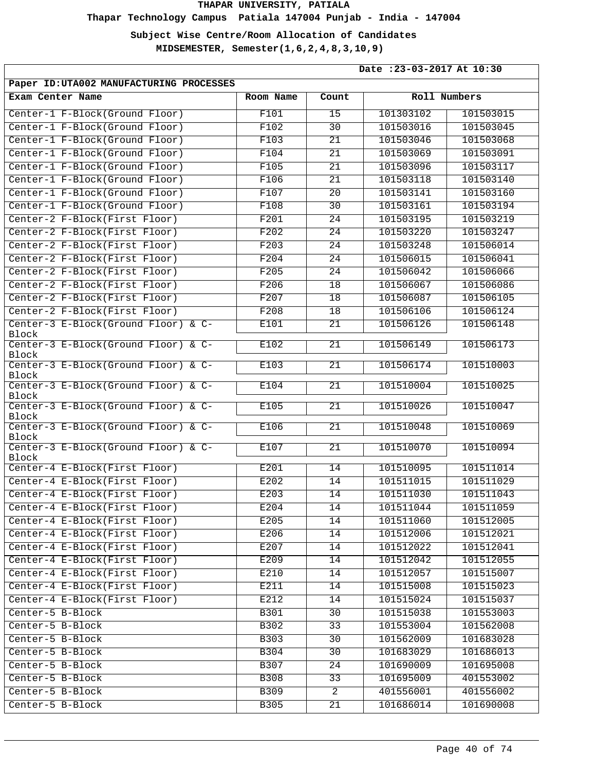**Thapar Technology Campus Patiala 147004 Punjab - India - 147004**

**Subject Wise Centre/Room Allocation of Candidates**

| Date: 23-03-2017 At 10:30                    |             |                 |              |           |
|----------------------------------------------|-------------|-----------------|--------------|-----------|
| Paper ID: UTA002 MANUFACTURING PROCESSES     |             |                 |              |           |
| Exam Center Name                             | Room Name   | Count           | Roll Numbers |           |
| Center-1 F-Block(Ground Floor)               | F101        | 15              | 101303102    | 101503015 |
| Center-1 F-Block(Ground Floor)               | F102        | 30              | 101503016    | 101503045 |
| Center-1 F-Block(Ground Floor)               | F103        | 21              | 101503046    | 101503068 |
| Center-1 F-Block(Ground Floor)               | F104        | 21              | 101503069    | 101503091 |
| Center-1 F-Block(Ground Floor)               | F105        | $\overline{21}$ | 101503096    | 101503117 |
| Center-1 F-Block(Ground Floor)               | F106        | 21              | 101503118    | 101503140 |
| Center-1 F-Block(Ground Floor)               | F107        | 20              | 101503141    | 101503160 |
| Center-1 F-Block(Ground Floor)               | F108        | 30              | 101503161    | 101503194 |
| Center-2 F-Block(First Floor)                | F201        | $\overline{24}$ | 101503195    | 101503219 |
| Center-2 F-Block(First Floor)                | F202        | 24              | 101503220    | 101503247 |
| Center-2 F-Block(First Floor)                | F203        | $\overline{24}$ | 101503248    | 101506014 |
| Center-2 F-Block(First Floor)                | F204        | 24              | 101506015    | 101506041 |
| Center-2 F-Block(First Floor)                | F205        | 24              | 101506042    | 101506066 |
| Center-2 F-Block(First Floor)                | F206        | 18              | 101506067    | 101506086 |
| Center-2 F-Block(First Floor)                | F207        | 18              | 101506087    | 101506105 |
| Center-2 F-Block(First Floor)                | F208        | 18              | 101506106    | 101506124 |
| Center-3 E-Block(Ground Floor) & C-          | E101        | 21              | 101506126    | 101506148 |
| Block                                        |             |                 |              |           |
| Center-3 E-Block(Ground Floor) & C-<br>Block | E102        | 21              | 101506149    | 101506173 |
| Center-3 E-Block(Ground Floor) & C-<br>Block | E103        | 21              | 101506174    | 101510003 |
| Center-3 E-Block(Ground Floor) & C-<br>Block | E104        | 21              | 101510004    | 101510025 |
| Center-3 E-Block(Ground Floor) & C-<br>Block | E105        | 21              | 101510026    | 101510047 |
| Center-3 E-Block(Ground Floor) & C-<br>Block | E106        | 21              | 101510048    | 101510069 |
| Center-3 E-Block(Ground Floor) & C-<br>Block | E107        | 21              | 101510070    | 101510094 |
| Center-4 E-Block(First Floor)                | E201        | 14              | 101510095    | 101511014 |
| Center-4 E-Block(First Floor)                | E202        | 14              | 101511015    | 101511029 |
| Center-4 E-Block(First Floor)                | E203        | 14              | 101511030    | 101511043 |
| Center-4 E-Block(First Floor)                | E204        | 14              | 101511044    | 101511059 |
| Center-4 E-Block(First Floor)                | E205        | 14              | 101511060    | 101512005 |
| Center-4 E-Block(First Floor)                | E206        | 14              | 101512006    | 101512021 |
| Center-4 E-Block(First Floor)                | E207        | 14              | 101512022    | 101512041 |
| Center-4 E-Block(First Floor)                | E209        | 14              | 101512042    | 101512055 |
| Center-4 E-Block(First Floor)                | E210        | 14              | 101512057    | 101515007 |
| Center-4 E-Block(First Floor)                | E211        | 14              | 101515008    | 101515023 |
| Center-4 E-Block(First Floor)                | E212        | 14              | 101515024    | 101515037 |
| Center-5 B-Block                             | B301        | 30              | 101515038    | 101553003 |
| Center-5 B-Block                             | B302        | 33              | 101553004    | 101562008 |
| Center-5 B-Block                             | B303        | 30              | 101562009    | 101683028 |
| Center-5 B-Block                             | B304        | 30              | 101683029    | 101686013 |
| Center-5 B-Block                             | B307        | 24              | 101690009    | 101695008 |
| Center-5 B-Block                             | <b>B308</b> | 33              | 101695009    | 401553002 |
| Center-5 B-Block                             | B309        | $\overline{2}$  | 401556001    | 401556002 |
| Center-5 B-Block                             | <b>B305</b> | 21              | 101686014    | 101690008 |
|                                              |             |                 |              |           |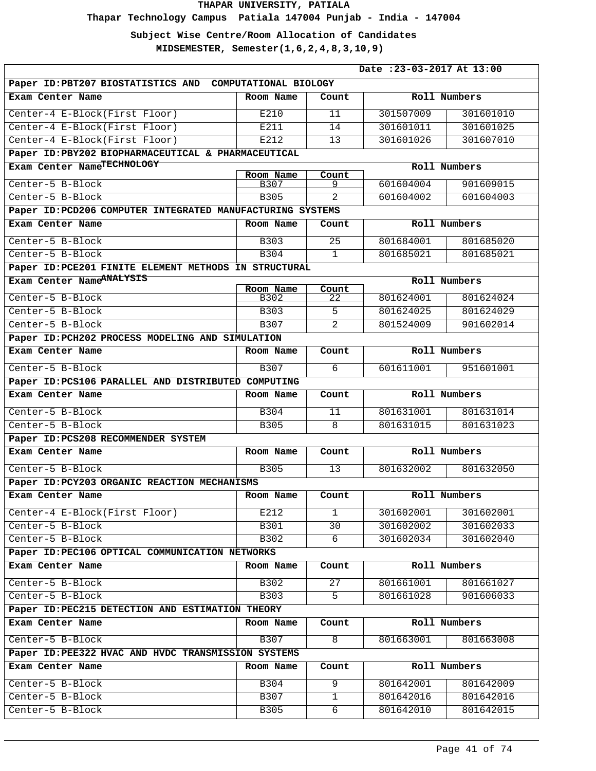**Thapar Technology Campus Patiala 147004 Punjab - India - 147004**

**Subject Wise Centre/Room Allocation of Candidates**

| Date: 23-03-2017 At 13:00                                  |                          |                 |           |              |  |
|------------------------------------------------------------|--------------------------|-----------------|-----------|--------------|--|
| Paper ID: PBT207 BIOSTATISTICS AND COMPUTATIONAL BIOLOGY   |                          |                 |           |              |  |
| Exam Center Name                                           | Room Name                | Count           |           | Roll Numbers |  |
| Center-4 E-Block(First Floor)                              | E210                     | 11              | 301507009 | 301601010    |  |
| Center-4 E-Block(First Floor)                              | E211                     | 14              | 301601011 | 301601025    |  |
| Center-4 E-Block(First Floor)                              | E212                     | 13              | 301601026 | 301607010    |  |
| Paper ID: PBY202 BIOPHARMACEUTICAL & PHARMACEUTICAL        |                          |                 |           |              |  |
| Exam Center NameTECHNOLOGY                                 |                          |                 |           | Roll Numbers |  |
| Center-5 B-Block                                           | Room Name<br><b>B307</b> | Count<br>9      | 601604004 | 901609015    |  |
| Center-5 B-Block                                           | <b>B305</b>              | $\mathfrak{D}$  | 601604002 | 601604003    |  |
| Paper ID: PCD206 COMPUTER INTEGRATED MANUFACTURING SYSTEMS |                          |                 |           |              |  |
| Exam Center Name                                           | Room Name                | Count           |           | Roll Numbers |  |
| Center-5 B-Block                                           | B303                     | $\overline{25}$ | 801684001 | 801685020    |  |
| Center-5 B-Block                                           | B304                     | $\mathbf{1}$    | 801685021 | 801685021    |  |
| Paper ID: PCE201 FINITE ELEMENT METHODS IN STRUCTURAL      |                          |                 |           |              |  |
| Exam Center NameANALYSIS                                   | Roll Numbers             |                 |           |              |  |
| Center-5 B-Block                                           | Room Name<br>B302        | Count<br>22     | 801624001 | 801624024    |  |
| Center-5 B-Block                                           | B303                     | 5               | 801624025 | 801624029    |  |
| Center-5 B-Block                                           | B307                     | $\overline{2}$  | 801524009 | 901602014    |  |
| Paper ID: PCH202 PROCESS MODELING AND SIMULATION           |                          |                 |           |              |  |
| Exam Center Name                                           | Room Name                | Count           |           | Roll Numbers |  |
|                                                            |                          |                 |           |              |  |
| Center-5 B-Block                                           | B307                     | 6               | 601611001 | 951601001    |  |
| Paper ID: PCS106 PARALLEL AND DISTRIBUTED COMPUTING        |                          |                 |           |              |  |
| Exam Center Name                                           | Room Name                | Count           |           | Roll Numbers |  |
| Center-5 B-Block                                           | B304                     | 11              | 801631001 | 801631014    |  |
| Center-5 B-Block                                           | B305                     | 8               | 801631015 | 801631023    |  |
| Paper ID: PCS208 RECOMMENDER SYSTEM                        |                          |                 |           |              |  |
| Exam Center Name                                           | Room Name                | Count           |           | Roll Numbers |  |
| Center-5 B-Block                                           | <b>B305</b>              | 13              | 801632002 | 801632050    |  |
| Paper ID: PCY203 ORGANIC REACTION MECHANISMS               |                          |                 |           |              |  |
| Exam Center Name                                           | Room Name                | Count           |           | Roll Numbers |  |
| Center-4 E-Block(First Floor)                              | E212                     | $\mathbf{1}$    | 301602001 | 301602001    |  |
| Center-5 B-Block                                           | B301                     | $\overline{30}$ | 301602002 | 301602033    |  |
| Center-5 B-Block                                           | B302                     | 6               | 301602034 | 301602040    |  |
| Paper ID: PEC106 OPTICAL COMMUNICATION NETWORKS            |                          |                 |           |              |  |
| Exam Center Name                                           | Room Name                | Count           |           | Roll Numbers |  |
| Center-5 B-Block                                           | B302                     | 27              | 801661001 | 801661027    |  |
| Center-5 B-Block                                           | B303                     | 5               | 801661028 | 901606033    |  |
| Paper ID: PEC215 DETECTION AND ESTIMATION THEORY           |                          |                 |           |              |  |
| Exam Center Name                                           | Room Name                | Count           |           | Roll Numbers |  |
| Center-5 B-Block                                           | B307                     | $\infty$        | 801663001 | 801663008    |  |
| Paper ID: PEE322 HVAC AND HVDC TRANSMISSION SYSTEMS        |                          |                 |           |              |  |
| Exam Center Name                                           | Room Name                | Count           |           | Roll Numbers |  |
| Center-5 B-Block                                           | B304                     | 9               | 801642001 | 801642009    |  |
| Center-5 B-Block                                           | B307                     | $\mathbf{1}$    | 801642016 | 801642016    |  |
| Center-5 B-Block                                           | B305                     | 6               | 801642010 | 801642015    |  |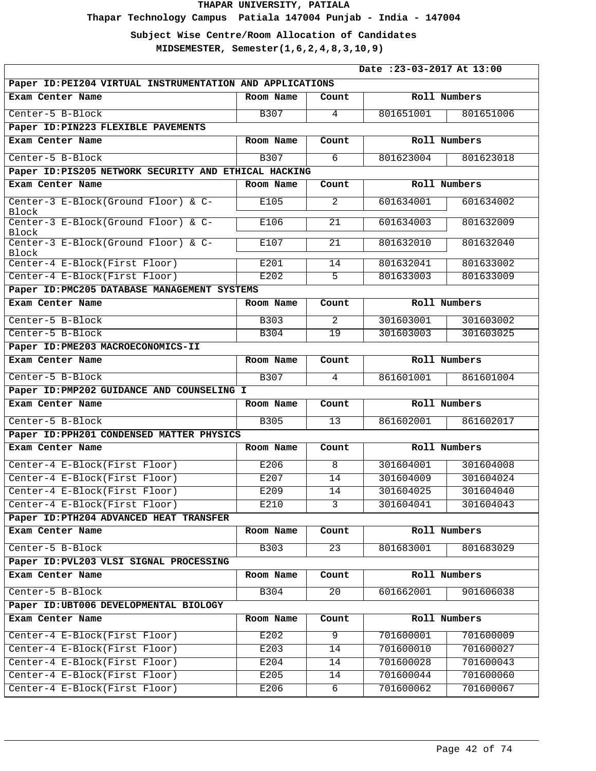**Thapar Technology Campus Patiala 147004 Punjab - India - 147004**

**Subject Wise Centre/Room Allocation of Candidates**

| Date: 23-03-2017 At 13:00                                 |             |                 |              |              |
|-----------------------------------------------------------|-------------|-----------------|--------------|--------------|
| Paper ID: PEI204 VIRTUAL INSTRUMENTATION AND APPLICATIONS |             |                 |              |              |
| Exam Center Name                                          | Room Name   | Count           |              | Roll Numbers |
| Center-5 B-Block                                          | B307        | 4               | 801651001    | 801651006    |
| Paper ID: PIN223 FLEXIBLE PAVEMENTS                       |             |                 |              |              |
| Exam Center Name                                          | Room Name   | Count           |              | Roll Numbers |
| Center-5 B-Block                                          | B307        | б.              | 801623004    | 801623018    |
| Paper ID:PIS205 NETWORK SECURITY AND ETHICAL HACKING      |             |                 |              |              |
| Exam Center Name                                          | Room Name   | Count           |              | Roll Numbers |
| Center-3 E-Block(Ground Floor) & C-<br>Block              | E105        | $\overline{2}$  | 601634001    | 601634002    |
| Center-3 E-Block(Ground Floor) & C-<br>Block              | E106        | 21              | 601634003    | 801632009    |
| Center-3 E-Block(Ground Floor) & C-<br>Block              | E107        | $\overline{21}$ | 801632010    | 801632040    |
| Center-4 E-Block(First Floor)                             | E201        | 14              | 801632041    | 801633002    |
| Center-4 E-Block(First Floor)                             | E202        | 5               | 801633003    | 801633009    |
| Paper ID: PMC205 DATABASE MANAGEMENT SYSTEMS              |             |                 |              |              |
| Exam Center Name                                          | Room Name   | Count           | Roll Numbers |              |
| Center-5 B-Block                                          | B303        | $\overline{2}$  | 301603001    | 301603002    |
| Center-5 B-Block                                          | B304        | 19              | 301603003    | 301603025    |
| Paper ID: PME203 MACROECONOMICS-II                        |             |                 |              |              |
| Exam Center Name                                          | Room Name   | Count           | Roll Numbers |              |
| Center-5 B-Block                                          | B307        | 4               | 861601001    | 861601004    |
| Paper ID: PMP202 GUIDANCE AND COUNSELING I                |             |                 |              |              |
| Exam Center Name                                          | Room Name   | Count           |              | Roll Numbers |
| Center-5 B-Block                                          | <b>B305</b> | 13              | 861602001    | 861602017    |
| Paper ID: PPH201 CONDENSED MATTER PHYSICS                 |             |                 |              |              |
| Exam Center Name                                          | Room Name   | Count           |              | Roll Numbers |
| Center-4 E-Block(First Floor)                             | E206        | 8               | 301604001    | 301604008    |
| Center-4 E-Block(First Floor)                             | E207        | 14              | 301604009    | 301604024    |
| Center-4 E-Block(First Floor)                             | E209        | 14              | 301604025    | 301604040    |
| Center-4 E-Block(First Floor)                             | E210        | 3               | 301604041    | 301604043    |
| Paper ID: PTH204 ADVANCED HEAT TRANSFER                   |             |                 |              |              |
| Exam Center Name                                          | Room Name   | Count           |              | Roll Numbers |
| Center-5 B-Block                                          | B303        | 23              | 801683001    | 801683029    |
| Paper ID: PVL203 VLSI SIGNAL PROCESSING                   |             |                 |              |              |
| Exam Center Name                                          | Room Name   | Count           |              | Roll Numbers |
| Center-5 B-Block                                          | B304        | 20              | 601662001    | 901606038    |
| Paper ID: UBT006 DEVELOPMENTAL BIOLOGY                    |             |                 |              |              |
| Exam Center Name                                          | Room Name   | Count           |              | Roll Numbers |
| Center-4 E-Block(First Floor)                             | E202        | 9               | 701600001    | 701600009    |
| Center-4 E-Block(First Floor)                             | E203        | 14              | 701600010    | 701600027    |
| Center-4 E-Block(First Floor)                             | E204        | 14              | 701600028    | 701600043    |
| Center-4 E-Block(First Floor)                             | E205        | 14              | 701600044    | 701600060    |
| Center-4 E-Block(First Floor)                             | E206        | $\overline{6}$  | 701600062    | 701600067    |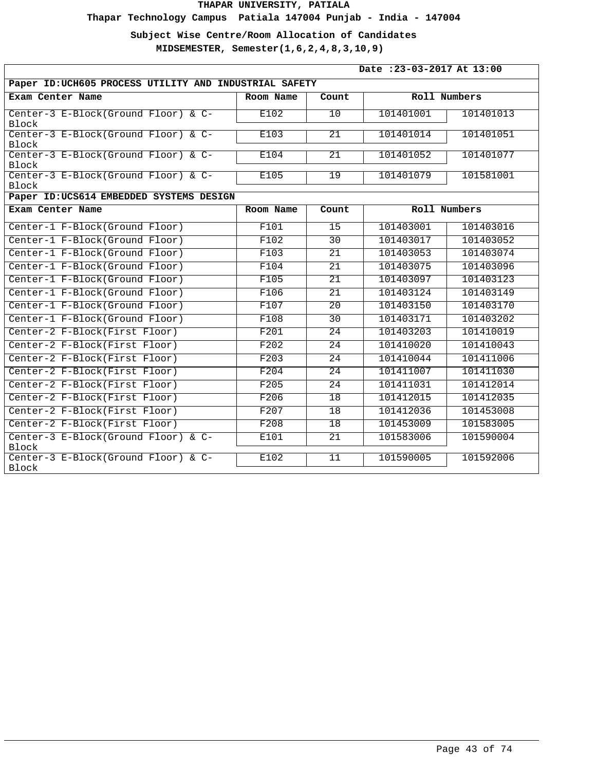**Thapar Technology Campus Patiala 147004 Punjab - India - 147004**

**Subject Wise Centre/Room Allocation of Candidates**

|                                                        |           |                 | Date: 23-03-2017 At 13:00 |              |  |  |
|--------------------------------------------------------|-----------|-----------------|---------------------------|--------------|--|--|
| Paper ID: UCH605 PROCESS UTILITY AND INDUSTRIAL SAFETY |           |                 |                           |              |  |  |
| Exam Center Name                                       | Room Name | Count           |                           | Roll Numbers |  |  |
| Center-3 E-Block(Ground Floor) & C-<br>Block           | E102      | $\overline{10}$ | 101401001                 | 101401013    |  |  |
| Center-3 E-Block(Ground Floor) & C-<br>Block           | E103      | 21              | 101401014                 | 101401051    |  |  |
| Center-3 E-Block(Ground Floor) & C-<br>Block           | E104      | $\overline{21}$ | 101401052                 | 101401077    |  |  |
| Center-3 E-Block(Ground Floor) & C-<br>Block           | E105      | $\overline{19}$ | 101401079                 | 101581001    |  |  |
| Paper ID: UCS614 EMBEDDED SYSTEMS DESIGN               |           |                 |                           |              |  |  |
| Exam Center Name                                       | Room Name | Count           | Roll Numbers              |              |  |  |
| Center-1 F-Block(Ground Floor)                         | F101      | $\overline{15}$ | 101403001                 | 101403016    |  |  |
| Center-1 F-Block(Ground Floor)                         | F102      | $\overline{30}$ | 101403017                 | 101403052    |  |  |
| Center-1 F-Block(Ground Floor)                         | F103      | $\overline{21}$ | 101403053                 | 101403074    |  |  |
| Center-1 F-Block(Ground Floor)                         | F104      | 21              | 101403075                 | 101403096    |  |  |
| Center-1 F-Block(Ground Floor)                         | F105      | 21              | 101403097                 | 101403123    |  |  |
| Center-1 F-Block(Ground Floor)                         | F106      | $\overline{21}$ | 101403124                 | 101403149    |  |  |
| Center-1 F-Block(Ground Floor)                         | F107      | 20              | 101403150                 | 101403170    |  |  |
| Center-1 F-Block(Ground Floor)                         | F108      | $\overline{30}$ | 101403171                 | 101403202    |  |  |
| Center-2 F-Block(First Floor)                          | F201      | $\overline{24}$ | 101403203                 | 101410019    |  |  |
| Center-2 F-Block(First Floor)                          | F202      | 24              | 101410020                 | 101410043    |  |  |
| Center-2 F-Block(First Floor)                          | F203      | 24              | 101410044                 | 101411006    |  |  |
| Center-2 F-Block(First Floor)                          | F204      | 24              | 101411007                 | 101411030    |  |  |
| Center-2 F-Block(First Floor)                          | F205      | $\overline{24}$ | 101411031                 | 101412014    |  |  |
| Center-2 F-Block(First Floor)                          | F206      | 18              | 101412015                 | 101412035    |  |  |
| Center-2 F-Block(First Floor)                          | F207      | $\overline{18}$ | 101412036                 | 101453008    |  |  |
| Center-2 F-Block(First Floor)                          | F208      | $\overline{18}$ | 101453009                 | 101583005    |  |  |
| Center-3 E-Block(Ground Floor) & C-<br>Block           | E101      | 21              | 101583006                 | 101590004    |  |  |
| Center-3 E-Block(Ground Floor) & C-<br>Block           | E102      | 11              | 101590005                 | 101592006    |  |  |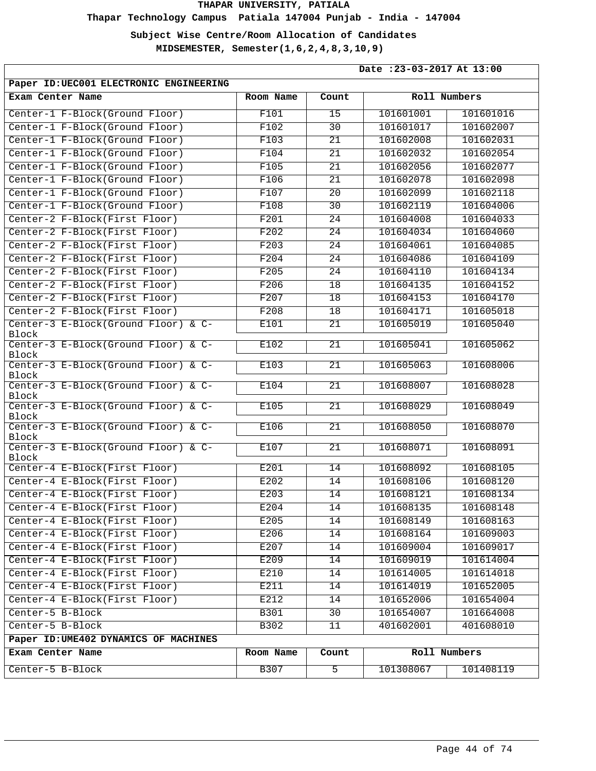**Thapar Technology Campus Patiala 147004 Punjab - India - 147004**

**Subject Wise Centre/Room Allocation of Candidates**

|                                              |           |                 | Date: 23-03-2017 At 13:00 |           |
|----------------------------------------------|-----------|-----------------|---------------------------|-----------|
| Paper ID: UEC001 ELECTRONIC ENGINEERING      |           |                 |                           |           |
| Exam Center Name                             | Room Name | Count           | Roll Numbers              |           |
| Center-1 F-Block(Ground Floor)               | F101      | 15              | 101601001                 | 101601016 |
| Center-1 F-Block(Ground Floor)               | F102      | $\overline{30}$ | 101601017                 | 101602007 |
| Center-1 F-Block(Ground Floor)               | F103      | 21              | 101602008                 | 101602031 |
| Center-1 F-Block(Ground Floor)               | F104      | 21              | 101602032                 | 101602054 |
| Center-1 F-Block(Ground Floor)               | F105      | $\overline{21}$ | 101602056                 | 101602077 |
| Center-1 F-Block(Ground Floor)               | F106      | 21              | 101602078                 | 101602098 |
| Center-1 F-Block(Ground Floor)               | F107      | 20              | 101602099                 | 101602118 |
| Center-1 F-Block(Ground Floor)               | F108      | $\overline{30}$ | 101602119                 | 101604006 |
| Center-2 F-Block(First Floor)                | F201      | $\overline{24}$ | 101604008                 | 101604033 |
| Center-2 F-Block(First Floor)                | F202      | 24              | 101604034                 | 101604060 |
| Center-2 F-Block(First Floor)                | F203      | 24              | 101604061                 | 101604085 |
| Center-2 F-Block(First Floor)                | F204      | 24              | 101604086                 | 101604109 |
| Center-2 F-Block(First Floor)                | F205      | $\overline{24}$ | 101604110                 | 101604134 |
| Center-2 F-Block(First Floor)                | F206      | 18              | 101604135                 | 101604152 |
| Center-2 F-Block(First Floor)                | F207      | 18              | 101604153                 | 101604170 |
| Center-2 F-Block(First Floor)                | F208      | 18              | 101604171                 | 101605018 |
| Center-3 E-Block(Ground Floor) & C-<br>Block | E101      | 21              | 101605019                 | 101605040 |
| Center-3 E-Block(Ground Floor) & C-<br>Block | E102      | 21              | 101605041                 | 101605062 |
| Center-3 E-Block(Ground Floor) & C-<br>Block | E103      | 21              | 101605063                 | 101608006 |
| Center-3 E-Block(Ground Floor) & C-<br>Block | E104      | 21              | 101608007                 | 101608028 |
| Center-3 E-Block(Ground Floor) & C-<br>Block | E105      | 21              | 101608029                 | 101608049 |
| Center-3 E-Block(Ground Floor) & C-<br>Block | E106      | 21              | 101608050                 | 101608070 |
| Center-3 E-Block(Ground Floor) & C-<br>Block | E107      | 21              | 101608071                 | 101608091 |
| Center-4 E-Block(First Floor)                | E201      | 14              | 101608092                 | 101608105 |
| Center-4 E-Block(First Floor)                | E202      | 14              | 101608106                 | 101608120 |
| Center-4 E-Block(First Floor)                | E203      | 14              | 101608121                 | 101608134 |
| Center-4 E-Block(First Floor)                | E204      | 14              | 101608135                 | 101608148 |
| Center-4 E-Block(First Floor)                | E205      | 14              | 101608149                 | 101608163 |
| Center-4 E-Block(First Floor)                | E206      | 14              | 101608164                 | 101609003 |
| Center-4 E-Block(First Floor)                | E207      | 14              | 101609004                 | 101609017 |
| Center-4 E-Block(First Floor)                | E209      | 14              | 101609019                 | 101614004 |
| Center-4 E-Block(First Floor)                | E210      | 14              | 101614005                 | 101614018 |
| Center-4 E-Block(First Floor)                | E211      | 14              | 101614019                 | 101652005 |
| Center-4 E-Block(First Floor)                | E212      | 14              | 101652006                 | 101654004 |
| Center-5 B-Block                             | B301      | 30              | 101654007                 | 101664008 |
| Center-5 B-Block                             | B302      | 11              | 401602001                 | 401608010 |
| Paper ID: UME402 DYNAMICS OF MACHINES        |           |                 |                           |           |
| Exam Center Name                             | Room Name | Count           | Roll Numbers              |           |
| Center-5 B-Block                             | B307      | $\overline{5}$  | 101308067                 | 101408119 |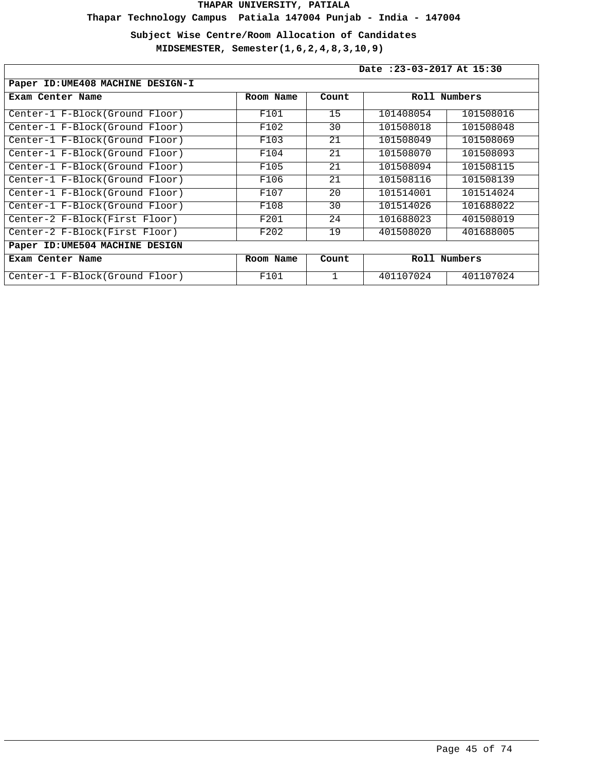**Thapar Technology Campus Patiala 147004 Punjab - India - 147004**

**Subject Wise Centre/Room Allocation of Candidates**

|                                   |           |       | Date: 23-03-2017 At 15:30 |              |  |  |
|-----------------------------------|-----------|-------|---------------------------|--------------|--|--|
| Paper ID: UME408 MACHINE DESIGN-I |           |       |                           |              |  |  |
| Exam Center Name                  | Room Name | Count |                           | Roll Numbers |  |  |
| Center-1 F-Block(Ground Floor)    | F101      | 15    | 101408054                 | 101508016    |  |  |
| Center-1 F-Block(Ground Floor)    | F102      | 30    | 101508018                 | 101508048    |  |  |
| Center-1 F-Block(Ground Floor)    | F103      | 21    | 101508049                 | 101508069    |  |  |
| Center-1 F-Block(Ground Floor)    | F104      | 21    | 101508070                 | 101508093    |  |  |
| Center-1 F-Block(Ground Floor)    | F105      | 21    | 101508094                 | 101508115    |  |  |
| Center-1 F-Block(Ground Floor)    | F106      | 21    | 101508116                 | 101508139    |  |  |
| Center-1 F-Block(Ground Floor)    | F107      | 20    | 101514001                 | 101514024    |  |  |
| Center-1 F-Block(Ground Floor)    | F108      | 30    | 101514026                 | 101688022    |  |  |
| Center-2 F-Block(First Floor)     | F201      | 24    | 101688023                 | 401508019    |  |  |
| Center-2 F-Block(First Floor)     | F202      | 19    | 401508020                 | 401688005    |  |  |
| Paper ID: UME504 MACHINE DESIGN   |           |       |                           |              |  |  |
| Exam Center Name                  | Room Name | Count |                           | Roll Numbers |  |  |
| Center-1 F-Block(Ground Floor)    | F101      |       | 401107024                 | 401107024    |  |  |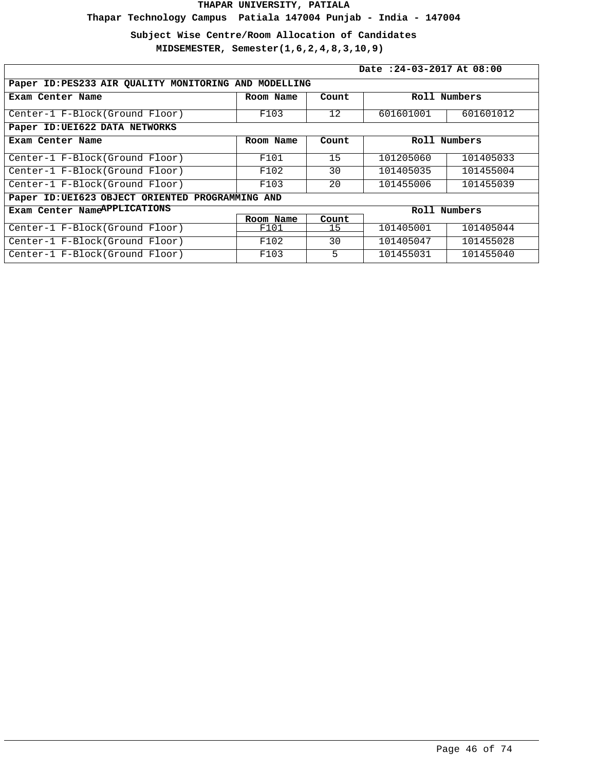**Thapar Technology Campus Patiala 147004 Punjab - India - 147004**

**Subject Wise Centre/Room Allocation of Candidates**

|                                                       | Date: 24-03-2017 At 08:00 |       |              |              |  |
|-------------------------------------------------------|---------------------------|-------|--------------|--------------|--|
| Paper ID: PES233 AIR QUALITY MONITORING AND MODELLING |                           |       |              |              |  |
| Exam Center Name                                      | Room Name                 | Count | Roll Numbers |              |  |
| Center-1 F-Block(Ground Floor)                        | F103                      | 12    | 601601001    | 601601012    |  |
| Paper ID: UEI622 DATA NETWORKS                        |                           |       |              |              |  |
| Exam Center Name                                      | Room Name                 | Count | Roll Numbers |              |  |
| Center-1 F-Block(Ground Floor)                        | F101                      | 15    | 101205060    | 101405033    |  |
| Center-1 F-Block(Ground Floor)                        | F102                      | 30    | 101405035    | 101455004    |  |
| Center-1 F-Block(Ground Floor)                        | F103                      | 20    | 101455006    | 101455039    |  |
| Paper ID: UEI623 OBJECT ORIENTED PROGRAMMING AND      |                           |       |              |              |  |
| Exam Center NameAPPLICATIONS                          |                           |       |              | Roll Numbers |  |
|                                                       | Room Name                 | Count |              |              |  |
| Center-1 F-Block(Ground Floor)                        | F101                      | 15    | 101405001    | 101405044    |  |
| Center-1 F-Block(Ground Floor)                        | F102                      | 30    | 101405047    | 101455028    |  |
| Center-1 F-Block(Ground Floor)                        | F103                      | 5     | 101455031    | 101455040    |  |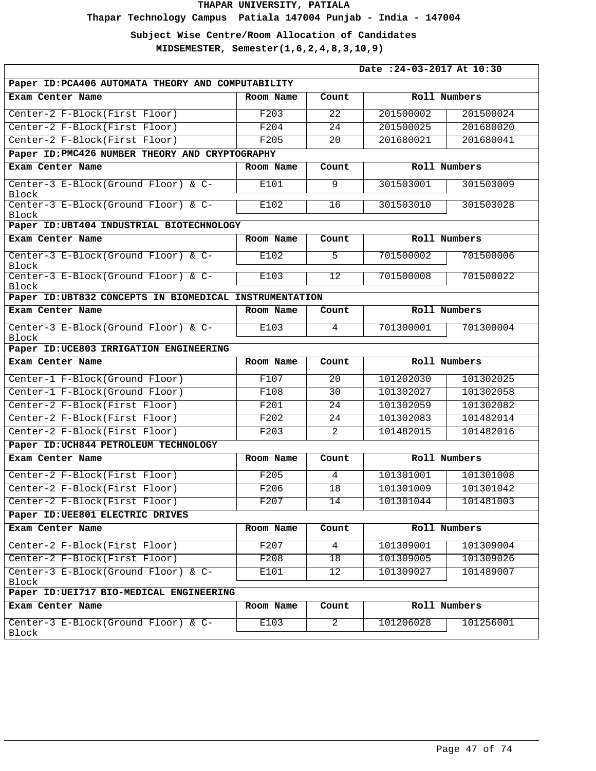**Thapar Technology Campus Patiala 147004 Punjab - India - 147004**

**Subject Wise Centre/Room Allocation of Candidates**

| Date: 24-03-2017 At 10:30                               |           |                 |              |           |
|---------------------------------------------------------|-----------|-----------------|--------------|-----------|
| Paper ID: PCA406 AUTOMATA THEORY AND COMPUTABILITY      |           |                 |              |           |
| Exam Center Name                                        | Room Name | Count           | Roll Numbers |           |
| Center-2 F-Block(First Floor)                           | F203      | $\overline{22}$ | 201500002    | 201500024 |
| Center-2 F-Block(First Floor)                           | F204      | $\overline{24}$ | 201500025    | 201680020 |
| Center-2 F-Block(First Floor)                           | F205      | 20              | 201680021    | 201680041 |
| Paper ID: PMC426 NUMBER THEORY AND CRYPTOGRAPHY         |           |                 |              |           |
| Exam Center Name                                        | Room Name | Count           | Roll Numbers |           |
| Center-3 E-Block(Ground Floor) & C-<br><b>Block</b>     | E101      | 9               | 301503001    | 301503009 |
| Center-3 E-Block(Ground Floor) & C-<br>Block            | E102      | 16              | 301503010    | 301503028 |
| Paper ID: UBT404 INDUSTRIAL BIOTECHNOLOGY               |           |                 |              |           |
| Exam Center Name                                        | Room Name | Count           | Roll Numbers |           |
| Center-3 E-Block(Ground Floor) & C-<br>Block            | E102      | 5               | 701500002    | 701500006 |
| Center-3 E-Block(Ground Floor) & C-<br>Block            | E103      | 12              | 701500008    | 701500022 |
| Paper ID: UBT832 CONCEPTS IN BIOMEDICAL INSTRUMENTATION |           |                 |              |           |
| Exam Center Name                                        | Room Name | Count           | Roll Numbers |           |
| Center-3 E-Block(Ground Floor) & C-<br><b>Block</b>     | E103      | 4               | 701300001    | 701300004 |
| Paper ID: UCE803 IRRIGATION ENGINEERING                 |           |                 |              |           |
| Exam Center Name                                        | Room Name | Count           | Roll Numbers |           |
| Center-1 F-Block(Ground Floor)                          | F107      | $\overline{20}$ | 101202030    | 101302025 |
| Center-1 F-Block(Ground Floor)                          | F108      | 30              | 101302027    | 101302058 |
| Center-2 F-Block(First Floor)                           | F201      | 24              | 101302059    | 101302082 |
| Center-2 F-Block(First Floor)                           | F202      | 24              | 101302083    | 101482014 |
| Center-2 F-Block(First Floor)                           | F203      | 2               | 101482015    | 101482016 |
| Paper ID: UCH844 PETROLEUM TECHNOLOGY                   |           |                 |              |           |
| Exam Center Name                                        | Room Name | Count           | Roll Numbers |           |
| Center-2 F-Block(First Floor)                           | F205      | 4               | 101301001    | 101301008 |
| Center-2 F-Block(First Floor)                           | F206      | 18              | 101301009    | 101301042 |
| Center-2 F-Block(First Floor)                           | F207      | 14              | 101301044    | 101481003 |
| Paper ID: UEE801 ELECTRIC DRIVES                        |           |                 |              |           |
| Exam Center Name                                        | Room Name | Count           | Roll Numbers |           |
| Center-2 F-Block(First Floor)                           | F207      | $\overline{4}$  | 101309001    | 101309004 |
| Center-2 F-Block(First Floor)                           | F208      | 18              | 101309005    | 101309026 |
| Center-3 E-Block(Ground Floor) & C-<br>Block            | E101      | 12              | 101309027    | 101489007 |
| Paper ID: UEI717 BIO-MEDICAL ENGINEERING                |           |                 |              |           |
| Exam Center Name                                        | Room Name | Count           | Roll Numbers |           |
| Center-3 E-Block(Ground Floor) & C-<br>Block            | E103      | $\overline{2}$  | 101206028    | 101256001 |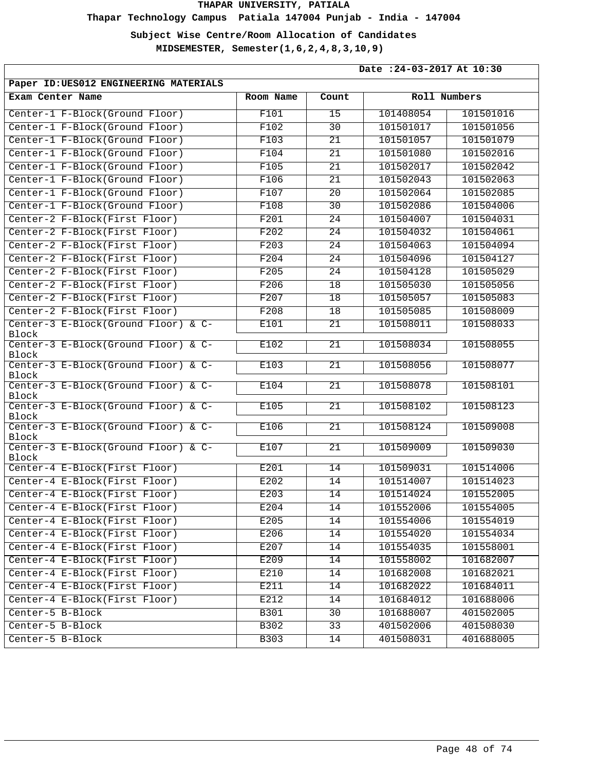**Thapar Technology Campus Patiala 147004 Punjab - India - 147004**

**Subject Wise Centre/Room Allocation of Candidates**

| Date: 24-03-2017 At 10:30                    |           |                 |           |              |
|----------------------------------------------|-----------|-----------------|-----------|--------------|
| Paper ID: UES012 ENGINEERING MATERIALS       |           |                 |           |              |
| Exam Center Name                             | Room Name | Count           |           | Roll Numbers |
| Center-1 F-Block(Ground Floor)               | F101      | 15              | 101408054 | 101501016    |
| Center-1 F-Block(Ground Floor)               | F102      | 30              | 101501017 | 101501056    |
| Center-1 F-Block(Ground Floor)               | F103      | 21              | 101501057 | 101501079    |
| Center-1 F-Block(Ground Floor)               | F104      | 21              | 101501080 | 101502016    |
| Center-1 F-Block(Ground Floor)               | F105      | $\overline{21}$ | 101502017 | 101502042    |
| Center-1 F-Block(Ground Floor)               | F106      | 21              | 101502043 | 101502063    |
| Center-1 F-Block(Ground Floor)               | F107      | 20              | 101502064 | 101502085    |
| Center-1 F-Block(Ground Floor)               | F108      | 30              | 101502086 | 101504006    |
| Center-2 F-Block(First Floor)                | F201      | $\overline{24}$ | 101504007 | 101504031    |
| Center-2 F-Block(First Floor)                | F202      | 24              | 101504032 | 101504061    |
| Center-2 F-Block(First Floor)                | F203      | 24              | 101504063 | 101504094    |
| Center-2 F-Block(First Floor)                | F204      | 24              | 101504096 | 101504127    |
| Center-2 F-Block(First Floor)                | F205      | $\overline{24}$ | 101504128 | 101505029    |
| Center-2 F-Block(First Floor)                | F206      | 18              | 101505030 | 101505056    |
| Center-2 F-Block(First Floor)                | F207      | 18              | 101505057 | 101505083    |
| Center-2 F-Block(First Floor)                | F208      | 18              | 101505085 | 101508009    |
| Center-3 E-Block(Ground Floor) & C-<br>Block | E101      | $\overline{21}$ | 101508011 | 101508033    |
| Center-3 E-Block(Ground Floor) & C-          | E102      | $\overline{21}$ | 101508034 | 101508055    |
| Block<br>Center-3 E-Block(Ground Floor) & C- | E103      | $\overline{21}$ | 101508056 | 101508077    |
| Block                                        |           | 21              | 101508078 | 101508101    |
| Center-3 E-Block(Ground Floor) & C-<br>Block | E104      |                 |           |              |
| Center-3 E-Block(Ground Floor) & C-<br>Block | E105      | 21              | 101508102 | 101508123    |
| Center-3 E-Block(Ground Floor) & C-<br>Block | E106      | 21              | 101508124 | 101509008    |
| Center-3 E-Block(Ground Floor) & C-<br>Block | E107      | $\overline{21}$ | 101509009 | 101509030    |
| Center-4 E-Block(First Floor)                | E201      | 14              | 101509031 | 101514006    |
| Center-4 E-Block(First Floor)                | E202      | 14              | 101514007 | 101514023    |
| Center-4 E-Block(First Floor)                | E203      | 14              | 101514024 | 101552005    |
| Center-4 E-Block(First Floor)                | E204      | 14              | 101552006 | 101554005    |
| Center-4 E-Block(First Floor)                | E205      | 14              | 101554006 | 101554019    |
| Center-4 E-Block(First Floor)                | E206      | 14              | 101554020 | 101554034    |
| Center-4 E-Block(First Floor)                | E207      | 14              | 101554035 | 101558001    |
| Center-4 E-Block(First Floor)                | E209      | 14              | 101558002 | 101682007    |
| Center-4 E-Block(First Floor)                | E210      | 14              | 101682008 | 101682021    |
| Center-4 E-Block(First Floor)                | E211      | 14              | 101682022 | 101684011    |
| Center-4 E-Block(First Floor)                | E212      | 14              | 101684012 | 101688006    |
| Center-5 B-Block                             | B301      | 30              | 101688007 | 401502005    |
| Center-5 B-Block                             | B302      | 33              | 401502006 | 401508030    |
| Center-5 B-Block                             | B303      | 14              | 401508031 | 401688005    |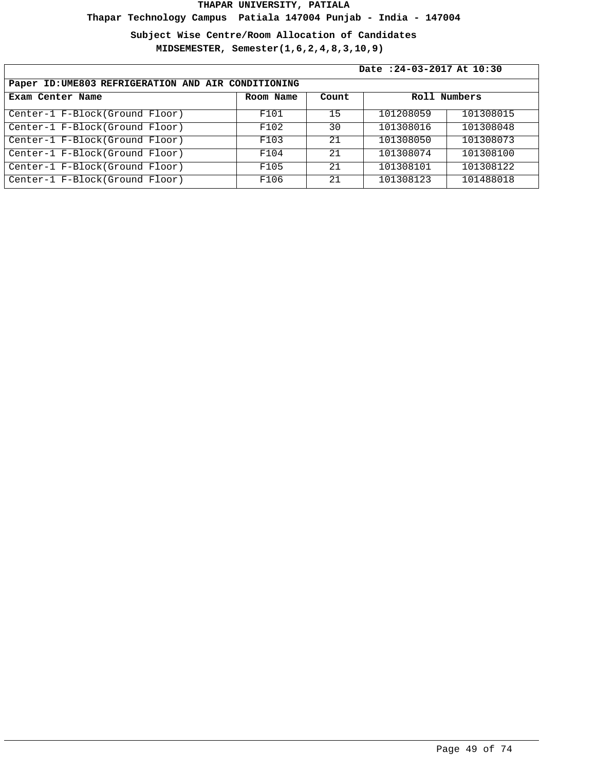**Thapar Technology Campus Patiala 147004 Punjab - India - 147004**

**Subject Wise Centre/Room Allocation of Candidates**

|                                                     | Date: 24-03-2017 At 10:30          |    |           |           |  |
|-----------------------------------------------------|------------------------------------|----|-----------|-----------|--|
| Paper ID: UME803 REFRIGERATION AND AIR CONDITIONING |                                    |    |           |           |  |
| Exam Center Name                                    | Roll Numbers<br>Count<br>Room Name |    |           |           |  |
| Center-1 F-Block(Ground Floor)                      | F101                               | 15 | 101208059 | 101308015 |  |
| Center-1 F-Block(Ground Floor)                      | F102                               | 30 | 101308016 | 101308048 |  |
| Center-1 F-Block(Ground Floor)                      | F103                               | 21 | 101308050 | 101308073 |  |
| Center-1 F-Block(Ground Floor)                      | F104                               | 21 | 101308074 | 101308100 |  |
| Center-1 F-Block(Ground Floor)                      | F105                               | 21 | 101308101 | 101308122 |  |
| Center-1 F-Block(Ground Floor)                      | F106                               | 21 | 101308123 | 101488018 |  |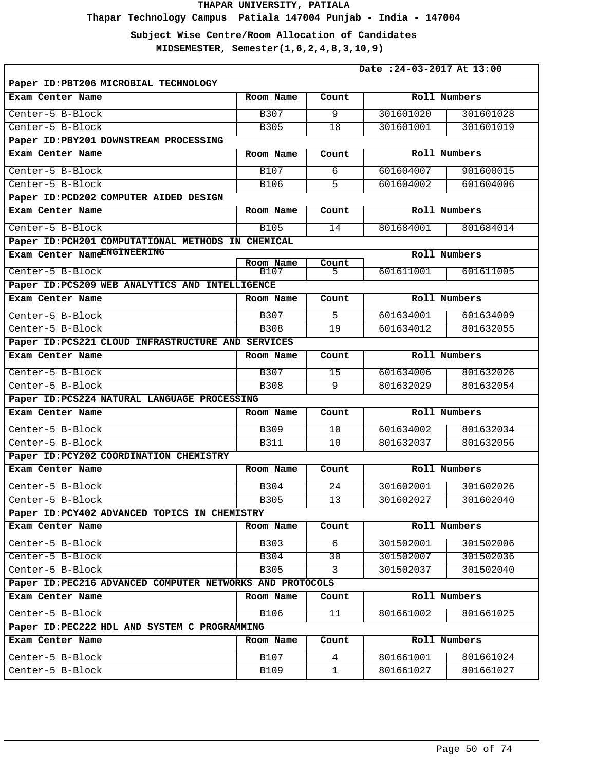**Thapar Technology Campus Patiala 147004 Punjab - India - 147004**

**Subject Wise Centre/Room Allocation of Candidates**

| Date: 24-03-2017 At 13:00                                 |                   |                 |              |              |  |
|-----------------------------------------------------------|-------------------|-----------------|--------------|--------------|--|
| Paper ID: PBT206 MICROBIAL TECHNOLOGY                     |                   |                 |              |              |  |
| Exam Center Name                                          | Room Name         | Count           |              | Roll Numbers |  |
| Center-5 B-Block                                          | B307              | 9               | 301601020    | 301601028    |  |
| Center-5 B-Block                                          | <b>B305</b>       | 18              | 301601001    | 301601019    |  |
| Paper ID: PBY201 DOWNSTREAM PROCESSING                    |                   |                 |              |              |  |
| Exam Center Name                                          | Room Name         | Count           |              | Roll Numbers |  |
| Center-5 B-Block                                          | <b>B107</b>       | 6               | 601604007    | 901600015    |  |
| Center-5 B-Block                                          | B106              | 5               | 601604002    | 601604006    |  |
| Paper ID: PCD202 COMPUTER AIDED DESIGN                    |                   |                 |              |              |  |
| Exam Center Name                                          | Room Name         | Count           |              | Roll Numbers |  |
| Center-5 B-Block                                          | <b>B105</b>       | $\overline{14}$ | 801684001    | 801684014    |  |
| Paper ID: PCH201 COMPUTATIONAL METHODS IN CHEMICAL        |                   |                 |              |              |  |
| Exam Center NameENGINEERING                               |                   |                 |              | Roll Numbers |  |
| Center-5 B-Block                                          | Room Name<br>B107 | Count<br>5      | 601611001    | 601611005    |  |
| Paper ID: PCS209 WEB ANALYTICS AND INTELLIGENCE           |                   |                 |              |              |  |
| Exam Center Name                                          | Room Name         | Count           |              | Roll Numbers |  |
| Center-5 B-Block                                          | B307              | 5               | 601634001    | 601634009    |  |
| Center-5 B-Block                                          | <b>B308</b>       | 19              | 601634012    | 801632055    |  |
| Paper ID: PCS221 CLOUD INFRASTRUCTURE AND SERVICES        |                   |                 |              |              |  |
| Exam Center Name                                          | Room Name         | Count           | Roll Numbers |              |  |
| Center-5 B-Block                                          | <b>B307</b>       | 15              | 601634006    | 801632026    |  |
| Center-5 B-Block                                          | <b>B308</b>       | 9               | 801632029    | 801632054    |  |
| Paper ID: PCS224 NATURAL LANGUAGE PROCESSING              |                   |                 |              |              |  |
| Exam Center Name                                          | Room Name         | Count           |              | Roll Numbers |  |
| Center-5 B-Block                                          | B309              | 10              | 601634002    | 801632034    |  |
| Center-5 B-Block                                          | <b>B311</b>       | 10              | 801632037    | 801632056    |  |
| Paper ID: PCY202 COORDINATION CHEMISTRY                   |                   |                 |              |              |  |
| Exam Center Name                                          | Room Name         | Count           |              | Roll Numbers |  |
| Center-5 B-Block                                          | B304              | 24              | 301602001    | 301602026    |  |
| Center-5 B-Block                                          | <b>B305</b>       | 13              | 301602027    | 301602040    |  |
| Paper ID: PCY402 ADVANCED TOPICS IN CHEMISTRY             |                   |                 |              |              |  |
| Exam Center Name                                          | Room Name         | Count           |              | Roll Numbers |  |
| Center-5 B-Block                                          | B303              | 6               | 301502001    | 301502006    |  |
| Center-5 B-Block                                          | B304              | 30              | 301502007    | 301502036    |  |
| Center-5 B-Block                                          | B305              | $\mathbf{3}$    | 301502037    | 301502040    |  |
| Paper ID: PEC216 ADVANCED COMPUTER NETWORKS AND PROTOCOLS |                   |                 |              |              |  |
| Exam Center Name                                          | Room Name         | Count           |              | Roll Numbers |  |
| Center-5 B-Block                                          | B106              | 11              | 801661002    | 801661025    |  |
| Paper ID: PEC222 HDL AND SYSTEM C PROGRAMMING             |                   |                 |              |              |  |
| Exam Center Name                                          | Room Name         | Count           |              | Roll Numbers |  |
| Center-5 B-Block                                          | B107              | $\overline{4}$  | 801661001    | 801661024    |  |
| Center-5 B-Block                                          | <b>B109</b>       | $\mathbf 1$     | 801661027    | 801661027    |  |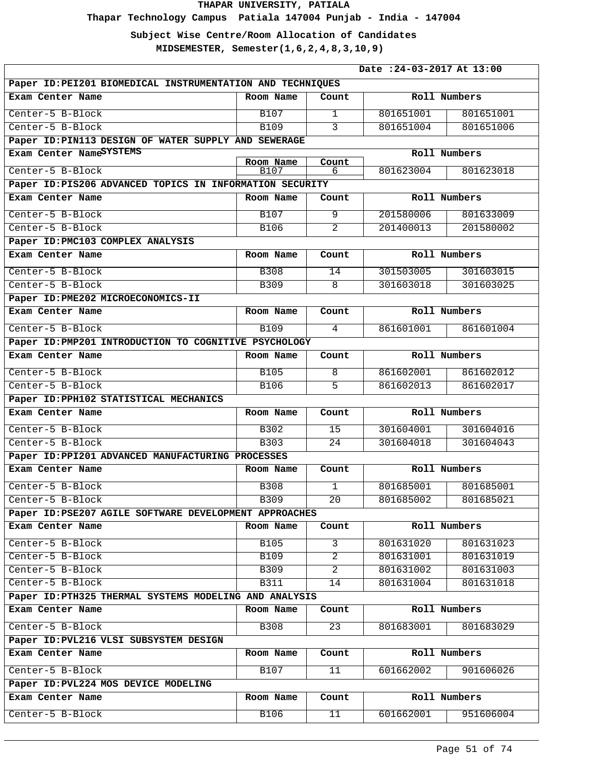**Thapar Technology Campus Patiala 147004 Punjab - India - 147004**

**Subject Wise Centre/Room Allocation of Candidates**

| Date: 24-03-2017 At 13:00                                  |                   |                 |              |              |  |
|------------------------------------------------------------|-------------------|-----------------|--------------|--------------|--|
| Paper ID: PEI201 BIOMEDICAL INSTRUMENTATION AND TECHNIQUES |                   |                 |              |              |  |
| Exam Center Name                                           | Room Name         | Count           |              | Roll Numbers |  |
| Center-5 B-Block                                           | B107              | $\mathbf{1}$    | 801651001    | 801651001    |  |
| Center-5 B-Block                                           | <b>B109</b>       | 3               | 801651004    | 801651006    |  |
| Paper ID: PIN113 DESIGN OF WATER SUPPLY AND SEWERAGE       |                   |                 |              |              |  |
| Exam Center NameSYSTEMS                                    |                   |                 |              | Roll Numbers |  |
| Center-5 B-Block                                           | Room Name<br>B107 | Count<br>6      | 801623004    | 801623018    |  |
| Paper ID: PIS206 ADVANCED TOPICS IN INFORMATION SECURITY   |                   |                 |              |              |  |
| Exam Center Name                                           | Room Name         | Count           |              | Roll Numbers |  |
| Center-5 B-Block                                           | <b>B107</b>       | 9               | 201580006    | 801633009    |  |
| Center-5 B-Block                                           | <b>B106</b>       | $\overline{2}$  | 201400013    | 201580002    |  |
| Paper ID: PMC103 COMPLEX ANALYSIS                          |                   |                 |              |              |  |
| Exam Center Name                                           | Room Name         | Count           |              | Roll Numbers |  |
| Center-5 B-Block                                           | <b>B308</b>       | 14              | 301503005    | 301603015    |  |
| Center-5 B-Block                                           | B309              | 8               | 301603018    | 301603025    |  |
| Paper ID: PME202 MICROECONOMICS-II                         |                   |                 |              |              |  |
| Exam Center Name                                           | Room Name         | Count           |              | Roll Numbers |  |
| Center-5 B-Block                                           | <b>B109</b>       | 4               | 861601001    | 861601004    |  |
| Paper ID: PMP201 INTRODUCTION TO COGNITIVE PSYCHOLOGY      |                   |                 |              |              |  |
| Exam Center Name                                           | Room Name         | Count           |              | Roll Numbers |  |
| Center-5 B-Block                                           | <b>B105</b>       | 8               | 861602001    | 861602012    |  |
| Center-5 B-Block                                           | <b>B106</b>       | 5               | 861602013    | 861602017    |  |
| Paper ID: PPH102 STATISTICAL MECHANICS                     |                   |                 |              |              |  |
| Exam Center Name                                           | Room Name         | Count           | Roll Numbers |              |  |
| Center-5 B-Block                                           | B302              | 15              | 301604001    | 301604016    |  |
| Center-5 B-Block                                           | B303              | $\overline{24}$ | 301604018    | 301604043    |  |
| Paper ID: PPI201 ADVANCED MANUFACTURING PROCESSES          |                   |                 |              |              |  |
| Exam Center Name                                           | Room Name         | Count           |              | Roll Numbers |  |
| Center-5 B-Block                                           | <b>B308</b>       | $\mathbf{1}$    | 801685001    | 801685001    |  |
| Center-5 B-Block                                           | <b>B309</b>       | $\overline{20}$ | 801685002    | 801685021    |  |
| Paper ID:PSE207 AGILE SOFTWARE DEVELOPMENT APPROACHES      |                   |                 |              |              |  |
| Exam Center Name                                           | Room Name         | Count           |              | Roll Numbers |  |
| Center-5 B-Block                                           | <b>B105</b>       | $\mathbf{3}$    | 801631020    | 801631023    |  |
| Center-5 B-Block                                           | <b>B109</b>       | $\overline{2}$  | 801631001    | 801631019    |  |
| Center-5 B-Block                                           | B309              | $\overline{2}$  | 801631002    | 801631003    |  |
| Center-5 B-Block                                           | <b>B311</b>       | 14              | 801631004    | 801631018    |  |
| Paper ID: PTH325 THERMAL SYSTEMS MODELING AND ANALYSIS     |                   |                 |              |              |  |
| Exam Center Name                                           | Room Name         | Count           |              | Roll Numbers |  |
| Center-5 B-Block                                           | <b>B308</b>       | $\overline{23}$ | 801683001    | 801683029    |  |
| Paper ID: PVL216 VLSI SUBSYSTEM DESIGN                     |                   |                 |              |              |  |
| Exam Center Name                                           | Room Name         | Count           |              | Roll Numbers |  |
| Center-5 B-Block                                           | B107              | $\overline{11}$ | 601662002    | 901606026    |  |
| Paper ID: PVL224 MOS DEVICE MODELING                       |                   |                 |              |              |  |
| Exam Center Name                                           | Room Name         | Count           |              | Roll Numbers |  |
| Center-5 B-Block                                           | <b>B106</b>       | 11              | 601662001    | 951606004    |  |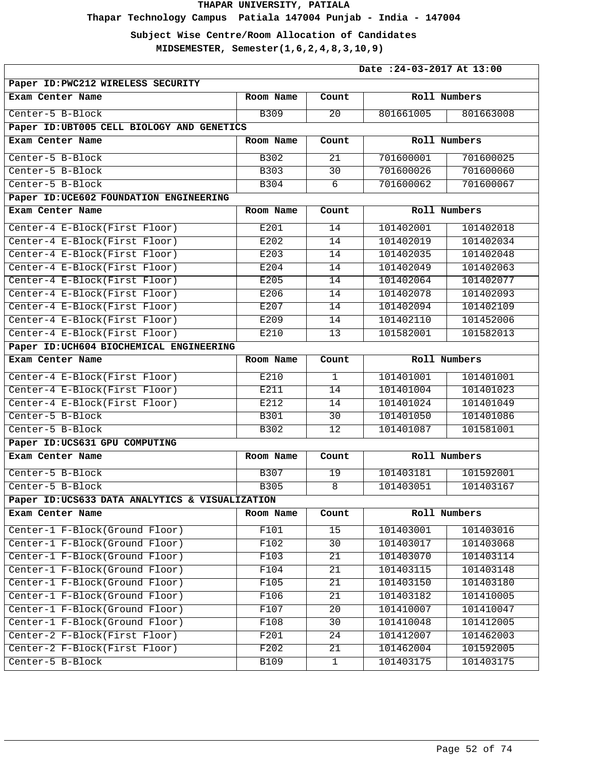**Thapar Technology Campus Patiala 147004 Punjab - India - 147004**

**Subject Wise Centre/Room Allocation of Candidates**

|                                                 |             |                 | Date: 24-03-2017 At 13:00 |              |
|-------------------------------------------------|-------------|-----------------|---------------------------|--------------|
| Paper ID: PWC212 WIRELESS SECURITY              |             |                 |                           |              |
| Exam Center Name                                | Room Name   | Count           |                           | Roll Numbers |
| Center-5 B-Block                                | <b>B309</b> | 20              | 801661005                 | 801663008    |
| Paper ID: UBT005 CELL BIOLOGY AND GENETICS      |             |                 |                           |              |
| Exam Center Name                                | Room Name   | Count           |                           | Roll Numbers |
| Center-5 B-Block                                | <b>B302</b> | $\overline{21}$ | 701600001                 | 701600025    |
| Center-5 B-Block                                | <b>B303</b> | 30              | 701600026                 | 701600060    |
| Center-5 B-Block                                | B304        | 6               | 701600062                 | 701600067    |
| Paper ID: UCE602 FOUNDATION ENGINEERING         |             |                 |                           |              |
| Exam Center Name                                | Room Name   | Count           | Roll Numbers              |              |
| Center-4 E-Block(First Floor)                   | E201        | 14              | 101402001                 | 101402018    |
| Center-4 E-Block(First Floor)                   | E202        | $\overline{14}$ | 101402019                 | 101402034    |
| Center-4 E-Block(First Floor)                   | E203        | 14              | 101402035                 | 101402048    |
| Center-4 E-Block(First Floor)                   | E204        | 14              | 101402049                 | 101402063    |
| Center-4 E-Block(First Floor)                   | E205        | 14              | 101402064                 | 101402077    |
| Center-4 E-Block(First Floor)                   | E206        | 14              | 101402078                 | 101402093    |
| Center-4 E-Block(First Floor)                   | E207        | 14              | 101402094                 | 101402109    |
| Center-4 E-Block(First Floor)                   | E209        | 14              | 101402110                 | 101452006    |
| Center-4 E-Block(First Floor)                   | E210        | 13              | 101582001                 | 101582013    |
| Paper ID: UCH604 BIOCHEMICAL ENGINEERING        |             |                 |                           |              |
| Exam Center Name                                | Room Name   | Count           |                           | Roll Numbers |
| Center-4 E-Block(First Floor)                   | E210        | $\overline{1}$  | 101401001                 | 101401001    |
| Center-4 E-Block(First Floor)                   | E211        | 14              | 101401004                 | 101401023    |
| Center-4 E-Block(First Floor)                   | E212        | 14              | 101401024                 | 101401049    |
| Center-5 B-Block                                | <b>B301</b> | 30              | 101401050                 | 101401086    |
| Center-5 B-Block                                | B302        | 12              | 101401087                 | 101581001    |
| Paper ID: UCS631 GPU COMPUTING                  |             |                 |                           |              |
| Exam Center Name                                | Room Name   | Count           |                           | Roll Numbers |
| Center-5 B-Block                                | B307        | 19              | 101403181                 | 101592001    |
| Center-5 B-Block                                | <b>B305</b> | 8               | 101403051                 | 101403167    |
| Paper ID: UCS633 DATA ANALYTICS & VISUALIZATION |             |                 |                           |              |
| Exam Center Name                                | Room Name   | Count           |                           | Roll Numbers |
| Center-1 F-Block(Ground Floor)                  | F101        | 15              | 101403001                 | 101403016    |
| Center-1 F-Block(Ground Floor)                  | F102        | 30              | 101403017                 | 101403068    |
| Center-1 F-Block(Ground Floor)                  | F103        | 21              | 101403070                 | 101403114    |
| Center-1 F-Block(Ground Floor)                  | F104        | 21              | 101403115                 | 101403148    |
| Center-1 F-Block(Ground Floor)                  | F105        | 21              | 101403150                 | 101403180    |
| Center-1 F-Block(Ground Floor)                  | F106        | 21              | 101403182                 | 101410005    |
| Center-1 F-Block(Ground Floor)                  | F107        | $\overline{20}$ | 101410007                 | 101410047    |
| Center-1 F-Block(Ground Floor)                  | F108        | 30              | 101410048                 | 101412005    |
| Center-2 F-Block(First Floor)                   | F201        | 24              | 101412007                 | 101462003    |
| Center-2 F-Block(First Floor)                   | F202        | 21              | 101462004                 | 101592005    |
| Center-5 B-Block                                | <b>B109</b> | $\overline{1}$  | 101403175                 | 101403175    |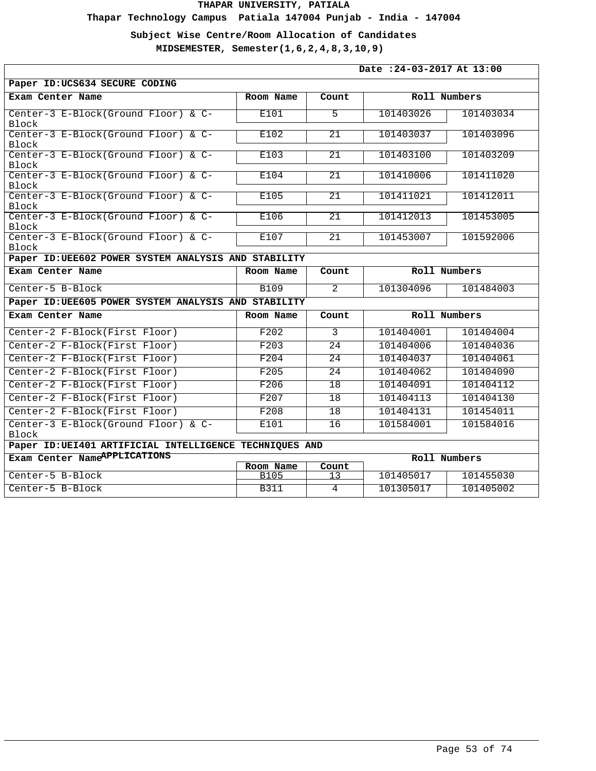**Thapar Technology Campus Patiala 147004 Punjab - India - 147004**

**Subject Wise Centre/Room Allocation of Candidates**

| Date: 24-03-2017 At 13:00                               |                          |                          |              |              |  |  |
|---------------------------------------------------------|--------------------------|--------------------------|--------------|--------------|--|--|
| Paper ID: UCS634 SECURE CODING                          |                          |                          |              |              |  |  |
| Exam Center Name                                        | Room Name                | Count                    |              | Roll Numbers |  |  |
| Center-3 E-Block(Ground Floor) & C-<br>Block            | E101                     | $\overline{5}$           | 101403026    | 101403034    |  |  |
| Center-3 E-Block(Ground Floor) & C-<br>Block            | E102                     | 21                       | 101403037    | 101403096    |  |  |
| Center-3 E-Block(Ground Floor) & C-<br><b>Block</b>     | E103                     | $\overline{21}$          | 101403100    | 101403209    |  |  |
| Center-3 E-Block(Ground Floor) & C-<br>Block            | E104                     | 21                       | 101410006    | 101411020    |  |  |
| Center-3 E-Block(Ground Floor) & C-<br>Block            | E105                     | 21                       | 101411021    | 101412011    |  |  |
| Center-3 E-Block(Ground Floor) & C-<br>Block            | E106                     | $\overline{21}$          | 101412013    | 101453005    |  |  |
| Center-3 E-Block(Ground Floor) & C-<br>Block            | E107                     | 21                       | 101453007    | 101592006    |  |  |
| Paper ID: UEE602 POWER SYSTEM ANALYSIS AND STABILITY    |                          |                          |              |              |  |  |
| Exam Center Name                                        | Room Name                | Count                    | Roll Numbers |              |  |  |
| Center-5 B-Block                                        | <b>B109</b>              | $\overline{2}$           | 101304096    | 101484003    |  |  |
| Paper ID: UEE605 POWER SYSTEM ANALYSIS AND STABILITY    |                          |                          |              |              |  |  |
| Exam Center Name                                        | Room Name                | Count                    |              | Roll Numbers |  |  |
| Center-2 F-Block(First Floor)                           | F202                     | $\overline{\mathcal{E}}$ | 101404001    | 101404004    |  |  |
| Center-2 F-Block(First Floor)                           | F203                     | 24                       | 101404006    | 101404036    |  |  |
| Center-2 F-Block(First Floor)                           | F204                     | $\overline{24}$          | 101404037    | 101404061    |  |  |
| Center-2 F-Block(First Floor)                           | F205                     | $\overline{24}$          | 101404062    | 101404090    |  |  |
| Center-2 F-Block(First Floor)                           | F206                     | 18                       | 101404091    | 101404112    |  |  |
| Center-2 F-Block(First Floor)                           | F207                     | 18                       | 101404113    | 101404130    |  |  |
| Center-2 F-Block(First Floor)                           | F208                     | 18                       | 101404131    | 101454011    |  |  |
| Center-3 E-Block(Ground Floor) & C-<br>Block            | E101                     | 16                       | 101584001    | 101584016    |  |  |
| Paper ID: UEI401 ARTIFICIAL INTELLIGENCE TECHNIQUES AND |                          |                          |              |              |  |  |
| Exam Center Name <sup>APPLICATIONS</sup>                |                          |                          |              | Roll Numbers |  |  |
| Center-5 B-Block                                        | Room Name<br><b>B105</b> | Count<br>13              | 101405017    | 101455030    |  |  |
| Center-5 B-Block                                        | <b>B311</b>              | $\overline{4}$           | 101305017    | 101405002    |  |  |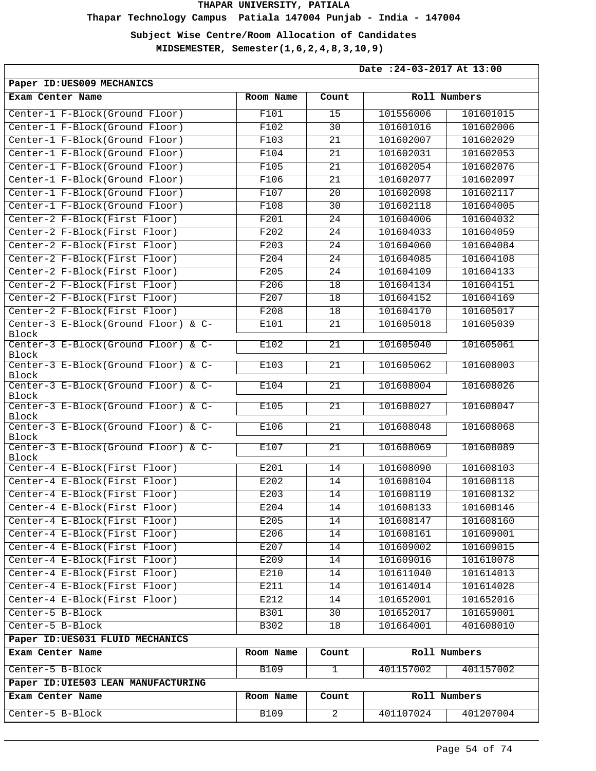**Thapar Technology Campus Patiala 147004 Punjab - India - 147004**

**Subject Wise Centre/Room Allocation of Candidates**

| Date: 24-03-2017 At 13:00                    |           |                 |              |              |
|----------------------------------------------|-----------|-----------------|--------------|--------------|
| Paper ID: UES009 MECHANICS                   |           |                 |              |              |
| Exam Center Name                             | Room Name | Count           | Roll Numbers |              |
| Center-1 F-Block(Ground Floor)               | F101      | $\overline{15}$ | 101556006    | 101601015    |
| Center-1 F-Block(Ground Floor)               | F102      | 30              | 101601016    | 101602006    |
| Center-1 F-Block(Ground Floor)               | F103      | 21              | 101602007    | 101602029    |
| Center-1 F-Block(Ground Floor)               | F104      | 21              | 101602031    | 101602053    |
| Center-1 F-Block(Ground Floor)               | F105      | $\overline{21}$ | 101602054    | 101602076    |
| Center-1 F-Block(Ground Floor)               | F106      | 21              | 101602077    | 101602097    |
| Center-1 F-Block(Ground Floor)               | F107      | 20              | 101602098    | 101602117    |
| Center-1 F-Block(Ground Floor)               | F108      | 30              | 101602118    | 101604005    |
| Center-2 F-Block(First Floor)                | F201      | 24              | 101604006    | 101604032    |
| Center-2 F-Block(First Floor)                | F202      | 24              | 101604033    | 101604059    |
| Center-2 F-Block(First Floor)                | F203      | 24              | 101604060    | 101604084    |
| Center-2 F-Block(First Floor)                | F204      | 24              | 101604085    | 101604108    |
| Center-2 F-Block(First Floor)                | F205      | 24              | 101604109    | 101604133    |
| Center-2 F-Block(First Floor)                | F206      | 18              | 101604134    | 101604151    |
| Center-2 F-Block(First Floor)                | F207      | 18              | 101604152    | 101604169    |
| Center-2 F-Block(First Floor)                | F208      | 18              | 101604170    | 101605017    |
| Center-3 E-Block(Ground Floor) & C-          | E101      | $\overline{21}$ | 101605018    | 101605039    |
| Block<br>Center-3 E-Block(Ground Floor) & C- | E102      | 21              | 101605040    | 101605061    |
| Block                                        |           |                 |              |              |
| Center-3 E-Block(Ground Floor) & C-          | E103      | $\overline{21}$ | 101605062    | 101608003    |
| Block<br>Center-3 E-Block(Ground Floor) & C- | E104      | 21              | 101608004    | 101608026    |
| Block                                        |           |                 |              |              |
| Center-3 E-Block(Ground Floor) & C-<br>Block | E105      | $\overline{21}$ | 101608027    | 101608047    |
| Center-3 E-Block(Ground Floor) & C-          | E106      | 21              | 101608048    | 101608068    |
| Block<br>Center-3 E-Block(Ground Floor) & C- | E107      |                 | 101608069    |              |
| Block                                        |           | 21              |              | 101608089    |
| Center-4 E-Block(First Floor)                | E201      | 14              | 101608090    | 101608103    |
| Center-4 E-Block(First Floor)                | E202      | 14              | 101608104    | 101608118    |
| Center-4 E-Block(First Floor)                | E203      | 14              | 101608119    | 101608132    |
| Center-4 E-Block(First Floor)                | E204      | 14              | 101608133    | 101608146    |
| Center-4 E-Block(First Floor)                | E205      | 14              | 101608147    | 101608160    |
| Center-4 E-Block(First Floor)                | E206      | 14              | 101608161    | 101609001    |
| Center-4 E-Block(First Floor)                | E207      | 14              | 101609002    | 101609015    |
| Center-4 E-Block(First Floor)                | E209      | 14              | 101609016    | 101610078    |
| Center-4 E-Block(First Floor)                | E210      | 14              | 101611040    | 101614013    |
| Center-4 E-Block(First Floor)                | E211      | 14              | 101614014    | 101614028    |
| Center-4 E-Block(First Floor)                | E212      | 14              | 101652001    | 101652016    |
| Center-5 B-Block                             | B301      | 30              | 101652017    | 101659001    |
| Center-5 B-Block                             | B302      | 18              | 101664001    | 401608010    |
| Paper ID: UES031 FLUID MECHANICS             |           |                 |              |              |
| Exam Center Name                             | Room Name | Count           | Roll Numbers |              |
| Center-5 B-Block                             | B109      | $\mathbf 1$     | 401157002    | 401157002    |
| Paper ID: UIE503 LEAN MANUFACTURING          |           |                 |              |              |
| Exam Center Name                             | Room Name | Count           |              | Roll Numbers |
| Center-5 B-Block                             | B109      | $\overline{a}$  | 401107024    | 401207004    |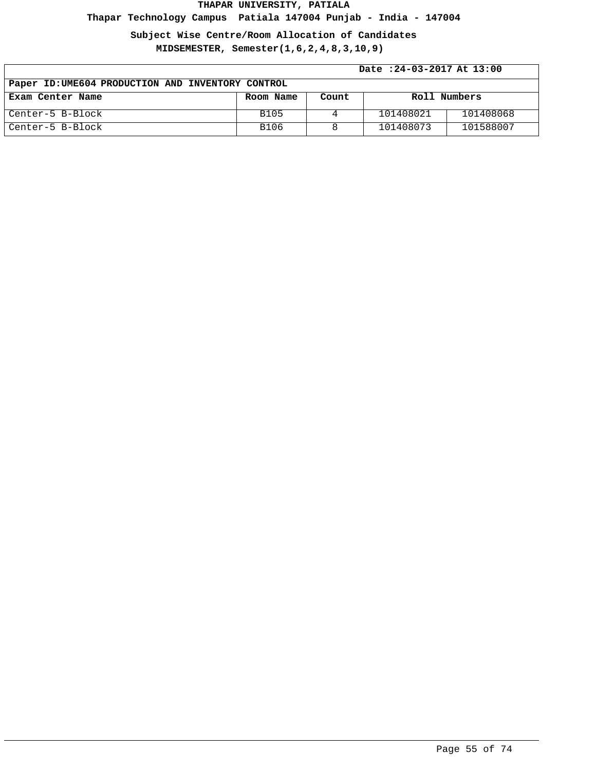**Thapar Technology Campus Patiala 147004 Punjab - India - 147004**

**Subject Wise Centre/Room Allocation of Candidates**

|                                                   | Date: 24-03-2017 At 13:00 |       |              |           |
|---------------------------------------------------|---------------------------|-------|--------------|-----------|
| Paper ID: UME604 PRODUCTION AND INVENTORY CONTROL |                           |       |              |           |
| Exam Center Name                                  | Room Name                 | Count | Roll Numbers |           |
| Center-5 B-Block                                  | B105                      |       | 101408021    | 101408068 |
| Center-5 B-Block                                  | B106                      |       | 101408073    | 101588007 |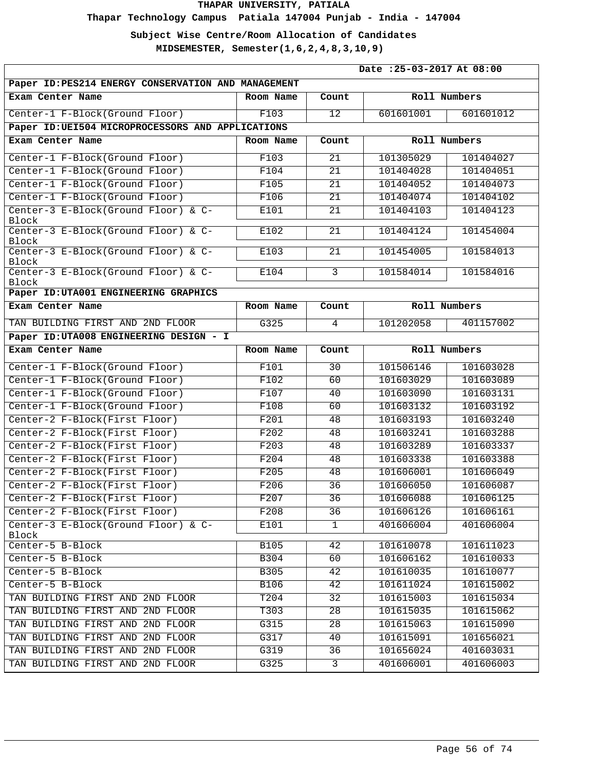**Thapar Technology Campus Patiala 147004 Punjab - India - 147004**

**Subject Wise Centre/Room Allocation of Candidates**

| Date: 25-03-2017 At 08:00                           |             |                 |           |              |
|-----------------------------------------------------|-------------|-----------------|-----------|--------------|
| Paper ID: PES214 ENERGY CONSERVATION AND MANAGEMENT |             |                 |           |              |
| Exam Center Name                                    | Room Name   | Count           |           | Roll Numbers |
| Center-1 F-Block(Ground Floor)                      | F103        | $\overline{12}$ | 601601001 | 601601012    |
| Paper ID: UEI504 MICROPROCESSORS AND APPLICATIONS   |             |                 |           |              |
| Exam Center Name                                    | Room Name   | Count           |           | Roll Numbers |
| Center-1 F-Block(Ground Floor)                      | F103        | $\overline{21}$ | 101305029 | 101404027    |
| Center-1 F-Block(Ground Floor)                      | F104        | $\overline{21}$ | 101404028 | 101404051    |
| Center-1 F-Block(Ground Floor)                      | F105        | 21              | 101404052 | 101404073    |
| Center-1 F-Block(Ground Floor)                      | F106        | 21              | 101404074 | 101404102    |
| Center-3 E-Block(Ground Floor) & C-                 | E101        | $\overline{21}$ | 101404103 | 101404123    |
| Block<br>Center-3 E-Block(Ground Floor) & C-        | E102        | 21              | 101404124 | 101454004    |
| Block                                               |             |                 |           |              |
| Center-3 E-Block(Ground Floor) & C-<br>Block        | E103        | $\overline{21}$ | 101454005 | 101584013    |
| Center-3 E-Block(Ground Floor) & C-                 | E104        | $\mathbf{3}$    | 101584014 | 101584016    |
| Block<br>Paper ID: UTA001 ENGINEERING GRAPHICS      |             |                 |           |              |
| Exam Center Name                                    | Room Name   | Count           |           | Roll Numbers |
|                                                     |             |                 |           |              |
| TAN BUILDING FIRST AND 2ND FLOOR                    | G325        | 4               | 101202058 | 401157002    |
| Paper ID: UTA008 ENGINEERING DESIGN - I             |             |                 |           |              |
| Exam Center Name                                    | Room Name   | Count           |           | Roll Numbers |
| Center-1 F-Block(Ground Floor)                      | F101        | 30              | 101506146 | 101603028    |
| Center-1 F-Block(Ground Floor)                      | F102        | 60              | 101603029 | 101603089    |
| Center-1 F-Block(Ground Floor)                      | F107        | 40              | 101603090 | 101603131    |
| Center-1 F-Block(Ground Floor)                      | F108        | 60              | 101603132 | 101603192    |
| Center-2 F-Block(First Floor)                       | F201        | 48              | 101603193 | 101603240    |
| Center-2 F-Block(First Floor)                       | F202        | 48              | 101603241 | 101603288    |
| Center-2 F-Block(First Floor)                       | F203        | 48              | 101603289 | 101603337    |
| Center-2 F-Block(First Floor)                       | F204        | 48              | 101603338 | 101603388    |
| Center-2 F-Block(First Floor)                       | F205        | 48              | 101606001 | 101606049    |
| Center-2 F-Block(First Floor)                       | F206        | 36              | 101606050 | 101606087    |
| Center-2 F-Block(First Floor)                       | F207        | 36              | 101606088 | 101606125    |
| Center-2 F-Block(First Floor)                       | F208        | 36              | 101606126 | 101606161    |
| Center-3 E-Block(Ground Floor) & C-<br>Block        | E101        | $\mathbf{1}$    | 401606004 | 401606004    |
| Center-5 B-Block                                    | <b>B105</b> | 42              | 101610078 | 101611023    |
| Center-5 B-Block                                    | B304        | 60              | 101606162 | 101610033    |
| Center-5 B-Block                                    | <b>B305</b> | 42              | 101610035 | 101610077    |
| Center-5 B-Block                                    | <b>B106</b> | 42              | 101611024 | 101615002    |
| TAN BUILDING FIRST AND 2ND FLOOR                    | T204        | $\overline{32}$ | 101615003 | 101615034    |
| TAN BUILDING FIRST AND 2ND FLOOR                    | T303        | 28              | 101615035 | 101615062    |
| TAN BUILDING FIRST AND 2ND FLOOR                    | G315        | $\overline{28}$ | 101615063 | 101615090    |
| TAN BUILDING FIRST AND 2ND FLOOR                    | G317        | 40              | 101615091 | 101656021    |
| TAN BUILDING FIRST AND 2ND FLOOR                    | G319        | 36              | 101656024 | 401603031    |
| TAN BUILDING FIRST AND 2ND FLOOR                    | G325        | 3               | 401606001 | 401606003    |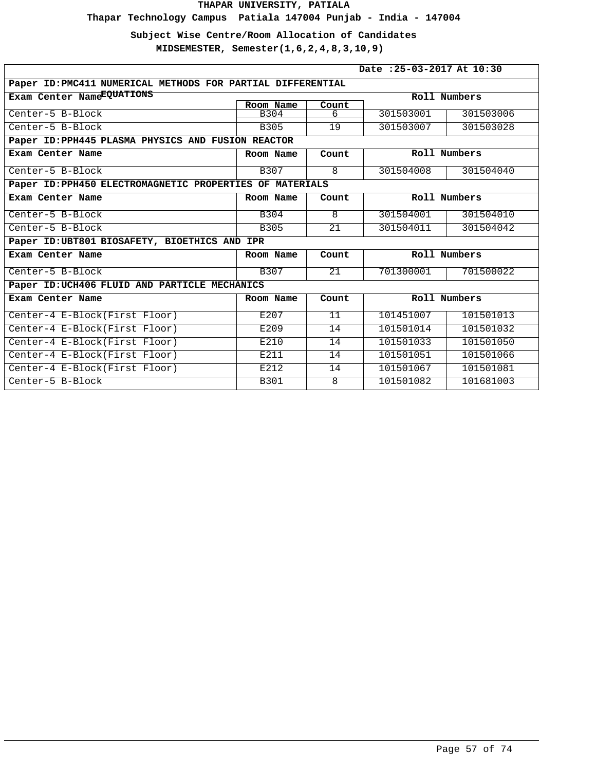**Thapar Technology Campus Patiala 147004 Punjab - India - 147004**

**Subject Wise Centre/Room Allocation of Candidates**

| Date: 25-03-2017 At 10:30                                   |              |            |              |           |  |
|-------------------------------------------------------------|--------------|------------|--------------|-----------|--|
| Paper ID: PMC411 NUMERICAL METHODS FOR PARTIAL DIFFERENTIAL |              |            |              |           |  |
| Exam Center NameEQUATIONS                                   | Roll Numbers |            |              |           |  |
|                                                             | Room Name    | Count<br>6 |              |           |  |
| Center-5 B-Block                                            | B304         |            | 301503001    | 301503006 |  |
| Center-5 B-Block                                            | <b>B305</b>  | 19         | 301503007    | 301503028 |  |
| Paper ID: PPH445 PLASMA PHYSICS AND FUSION REACTOR          |              |            |              |           |  |
| Exam Center Name                                            | Room Name    | Count      | Roll Numbers |           |  |
| Center-5 B-Block                                            | B307         | 8          | 301504008    | 301504040 |  |
| Paper ID: PPH450 ELECTROMAGNETIC PROPERTIES OF MATERIALS    |              |            |              |           |  |
| Exam Center Name                                            | Room Name    | Count      | Roll Numbers |           |  |
| Center-5 B-Block                                            | <b>B304</b>  | 8          | 301504001    | 301504010 |  |
| Center-5 B-Block                                            | <b>B305</b>  | 21         | 301504011    | 301504042 |  |
| Paper ID: UBT801 BIOSAFETY, BIOETHICS AND IPR               |              |            |              |           |  |
| Exam Center Name                                            | Room Name    | Count      | Roll Numbers |           |  |
| Center-5 B-Block                                            | B307         | 2.1        | 701300001    | 701500022 |  |
| Paper ID: UCH406 FLUID AND PARTICLE MECHANICS               |              |            |              |           |  |
| Exam Center Name                                            | Room Name    | Count      | Roll Numbers |           |  |
| Center-4 E-Block(First Floor)                               | E207         | 11         | 101451007    | 101501013 |  |
| Center-4 E-Block(First Floor)                               | E209         | 14         | 101501014    | 101501032 |  |
| Center-4 E-Block(First Floor)                               | E210         | 14         | 101501033    | 101501050 |  |
| Center-4 E-Block(First Floor)                               | E211         | 14         | 101501051    | 101501066 |  |
| Center-4 E-Block(First Floor)                               | E212         | 14         | 101501067    | 101501081 |  |
| Center-5 B-Block                                            | <b>B301</b>  | 8          | 101501082    | 101681003 |  |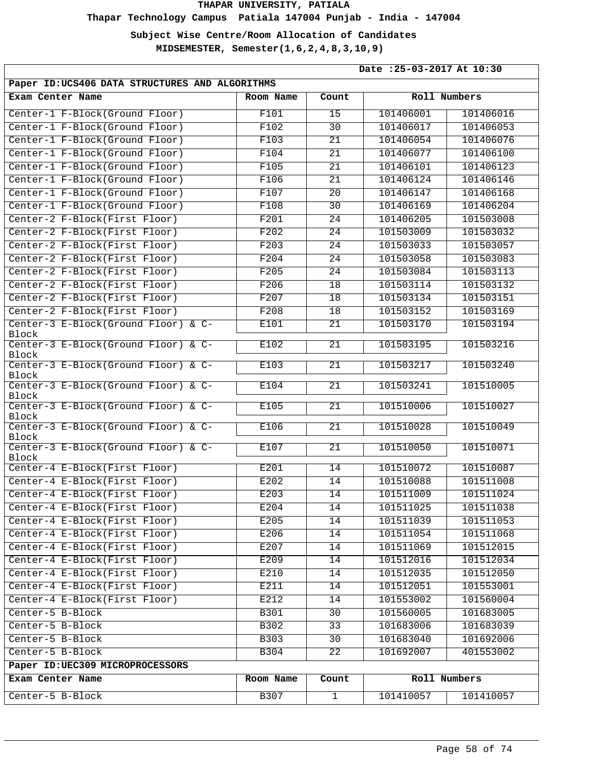**Thapar Technology Campus Patiala 147004 Punjab - India - 147004**

**Subject Wise Centre/Room Allocation of Candidates**

| Date: 25-03-2017 At 10:30                       |           |                 |              |           |
|-------------------------------------------------|-----------|-----------------|--------------|-----------|
| Paper ID: UCS406 DATA STRUCTURES AND ALGORITHMS |           |                 |              |           |
| Exam Center Name                                | Room Name | Count           | Roll Numbers |           |
| Center-1 F-Block(Ground Floor)                  | F101      | 15              | 101406001    | 101406016 |
| Center-1 F-Block(Ground Floor)                  | F102      | 30              | 101406017    | 101406053 |
| Center-1 F-Block(Ground Floor)                  | F103      | 21              | 101406054    | 101406076 |
| Center-1 F-Block(Ground Floor)                  | F104      | 21              | 101406077    | 101406100 |
| Center-1 F-Block(Ground Floor)                  | F105      | $\overline{21}$ | 101406101    | 101406123 |
| Center-1 F-Block(Ground Floor)                  | F106      | 21              | 101406124    | 101406146 |
| Center-1 F-Block(Ground Floor)                  | F107      | 20              | 101406147    | 101406168 |
| Center-1 F-Block(Ground Floor)                  | F108      | 30              | 101406169    | 101406204 |
| Center-2 F-Block(First Floor)                   | F201      | 24              | 101406205    | 101503008 |
| Center-2 F-Block(First Floor)                   | F202      | 24              | 101503009    | 101503032 |
| Center-2 F-Block(First Floor)                   | F203      | 24              | 101503033    | 101503057 |
| Center-2 F-Block(First Floor)                   | F204      | 24              | 101503058    | 101503083 |
| Center-2 F-Block(First Floor)                   | F205      | 24              | 101503084    | 101503113 |
| Center-2 F-Block(First Floor)                   | F206      | 18              | 101503114    | 101503132 |
| Center-2 F-Block(First Floor)                   | F207      | 18              | 101503134    | 101503151 |
| Center-2 F-Block(First Floor)                   | F208      | 18              | 101503152    | 101503169 |
| Center-3 E-Block(Ground Floor) & C-             | E101      | 21              | 101503170    | 101503194 |
| Block                                           |           |                 |              |           |
| Center-3 E-Block(Ground Floor) & C-<br>Block    | E102      | 21              | 101503195    | 101503216 |
| Center-3 E-Block(Ground Floor) & C-<br>Block    | E103      | 21              | 101503217    | 101503240 |
| Center-3 E-Block(Ground Floor) & C-<br>Block    | E104      | 21              | 101503241    | 101510005 |
| Center-3 E-Block(Ground Floor) & C-<br>Block    | E105      | 21              | 101510006    | 101510027 |
| Center-3 E-Block(Ground Floor) & C-<br>Block    | E106      | 21              | 101510028    | 101510049 |
| Center-3 E-Block(Ground Floor) & C-<br>Block    | E107      | 21              | 101510050    | 101510071 |
| Center-4 E-Block(First Floor)                   | E201      | 14              | 101510072    | 101510087 |
| Center-4 E-Block(First Floor)                   | E202      | 14              | 101510088    | 101511008 |
| Center-4 E-Block(First Floor)                   | E203      | 14              | 101511009    | 101511024 |
| Center-4 E-Block(First Floor)                   | E204      | 14              | 101511025    | 101511038 |
| Center-4 E-Block(First Floor)                   | E205      | 14              | 101511039    | 101511053 |
| Center-4 E-Block(First Floor)                   | E206      | 14              | 101511054    | 101511068 |
| Center-4 E-Block(First Floor)                   | E207      | 14              | 101511069    | 101512015 |
| Center-4 E-Block(First Floor)                   | E209      | 14              | 101512016    | 101512034 |
| Center-4 E-Block(First Floor)                   | E210      | 14              | 101512035    | 101512050 |
| Center-4 E-Block(First Floor)                   | E211      | 14              | 101512051    | 101553001 |
| Center-4 E-Block(First Floor)                   | E212      | 14              | 101553002    | 101560004 |
| Center-5 B-Block                                | B301      | 30              | 101560005    | 101683005 |
| Center-5 B-Block                                | B302      | 33              | 101683006    | 101683039 |
| Center-5 B-Block                                | B303      | 30              | 101683040    | 101692006 |
| Center-5 B-Block                                | B304      | 22              | 101692007    | 401553002 |
| Paper ID: UEC309 MICROPROCESSORS                |           |                 |              |           |
| Exam Center Name                                | Room Name | Count           | Roll Numbers |           |
| Center-5 B-Block                                | B307      | $\mathbf{1}$    | 101410057    | 101410057 |
|                                                 |           |                 |              |           |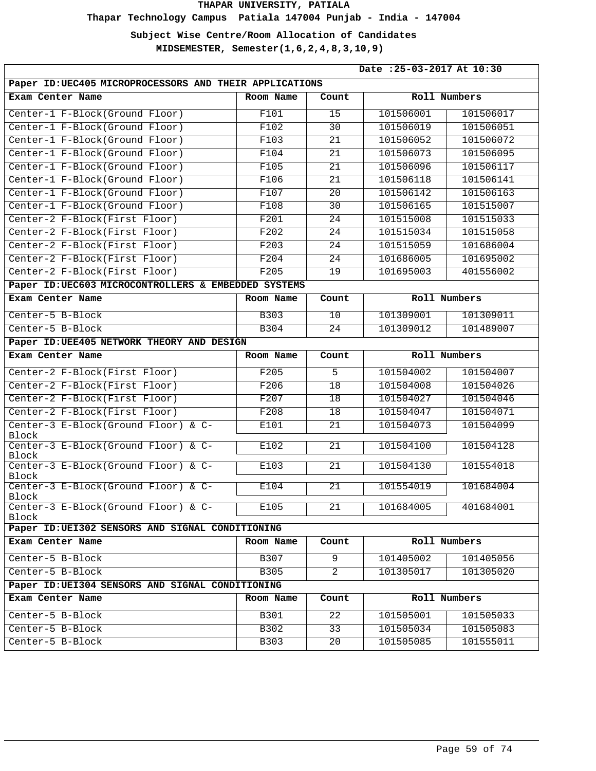**Thapar Technology Campus Patiala 147004 Punjab - India - 147004**

**Subject Wise Centre/Room Allocation of Candidates**

| Date: 25-03-2017 At 10:30                               |             |                 |              |              |  |
|---------------------------------------------------------|-------------|-----------------|--------------|--------------|--|
| Paper ID: UEC405 MICROPROCESSORS AND THEIR APPLICATIONS |             |                 |              |              |  |
| Exam Center Name                                        | Room Name   | Count           | Roll Numbers |              |  |
| Center-1 F-Block(Ground Floor)                          | F101        | 15              | 101506001    | 101506017    |  |
| Center-1 F-Block(Ground Floor)                          | F102        | 30              | 101506019    | 101506051    |  |
| Center-1 F-Block(Ground Floor)                          | F103        | 21              | 101506052    | 101506072    |  |
| Center-1 F-Block(Ground Floor)                          | F104        | $\overline{21}$ | 101506073    | 101506095    |  |
| Center-1 F-Block(Ground Floor)                          | F105        | $\overline{21}$ | 101506096    | 101506117    |  |
| Center-1 F-Block(Ground Floor)                          | F106        | 21              | 101506118    | 101506141    |  |
| Center-1 F-Block(Ground Floor)                          | F107        | 20              | 101506142    | 101506163    |  |
| Center-1 F-Block(Ground Floor)                          | F108        | $\overline{30}$ | 101506165    | 101515007    |  |
| Center-2 F-Block(First Floor)                           | F201        | 24              | 101515008    | 101515033    |  |
| Center-2 F-Block(First Floor)                           | F202        | 24              | 101515034    | 101515058    |  |
| Center-2 F-Block(First Floor)                           | F203        | 24              | 101515059    | 101686004    |  |
| Center-2 F-Block(First Floor)                           | F204        | 24              | 101686005    | 101695002    |  |
| Center-2 F-Block(First Floor)                           | F205        | $\overline{19}$ | 101695003    | 401556002    |  |
| Paper ID: UEC603 MICROCONTROLLERS & EMBEDDED SYSTEMS    |             |                 |              |              |  |
| Exam Center Name                                        | Room Name   | Count           | Roll Numbers |              |  |
| Center-5 B-Block                                        | <b>B303</b> | 10              | 101309001    | 101309011    |  |
| Center-5 B-Block                                        | B304        | $\overline{24}$ | 101309012    | 101489007    |  |
| Paper ID: UEE405 NETWORK THEORY AND DESIGN              |             |                 |              |              |  |
| Exam Center Name                                        | Room Name   | Count           | Roll Numbers |              |  |
| Center-2 F-Block(First Floor)                           | F205        | 5               | 101504002    | 101504007    |  |
| Center-2 F-Block(First Floor)                           | F206        | 18              | 101504008    | 101504026    |  |
| Center-2 F-Block(First Floor)                           | F207        | 18              | 101504027    | 101504046    |  |
| Center-2 F-Block(First Floor)                           | F208        | 18              | 101504047    | 101504071    |  |
| Center-3 E-Block(Ground Floor) & C-<br>Block            | E101        | 21              | 101504073    | 101504099    |  |
| Center-3 E-Block(Ground Floor) & C-                     | E102        | 21              | 101504100    | 101504128    |  |
| Block<br>Center-3 E-Block(Ground Floor) & C-            | E103        | 21              | 101504130    | 101554018    |  |
| Block<br>Center-3 E-Block(Ground Floor) & C-            | E104        | 21              | 101554019    | 101684004    |  |
| Block<br>Center-3 E-Block(Ground Floor) & C-<br>Block   | E105        | 21              | 101684005    | 401684001    |  |
| Paper ID: UEI302 SENSORS AND SIGNAL CONDITIONING        |             |                 |              |              |  |
| Exam Center Name                                        | Room Name   | Count           |              | Roll Numbers |  |
| Center-5 B-Block                                        | <b>B307</b> | $\overline{9}$  | 101405002    | 101405056    |  |
| Center-5 B-Block                                        | B305        | $\overline{2}$  | 101305017    | 101305020    |  |
| Paper ID: UEI304 SENSORS AND SIGNAL CONDITIONING        |             |                 |              |              |  |
| Exam Center Name                                        | Room Name   | Count           |              | Roll Numbers |  |
| Center-5 B-Block                                        | B301        | 22              | 101505001    | 101505033    |  |
| Center-5 B-Block                                        | <b>B302</b> | 33              | 101505034    | 101505083    |  |
| Center-5 B-Block                                        | B303        | 20              | 101505085    | 101555011    |  |
|                                                         |             |                 |              |              |  |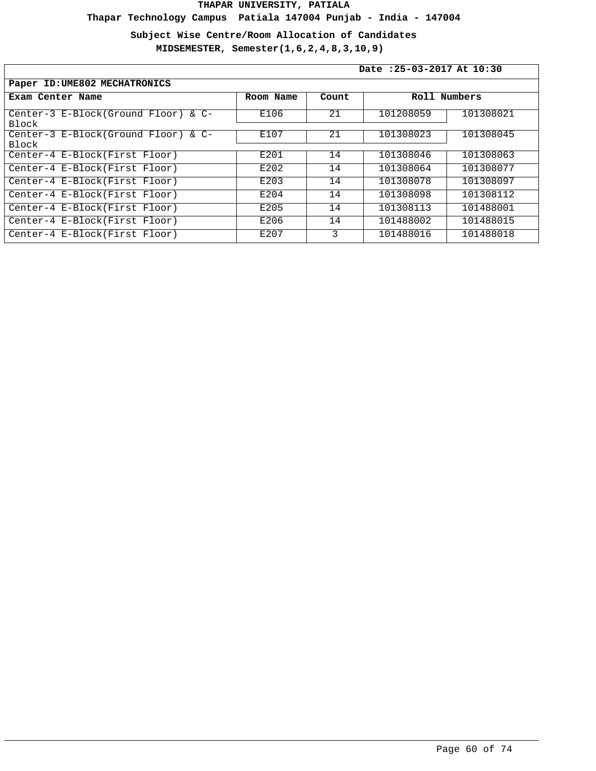**Thapar Technology Campus Patiala 147004 Punjab - India - 147004**

**Subject Wise Centre/Room Allocation of Candidates**

|                                                     | Date: 25-03-2017 At 10:30 |       |           |              |
|-----------------------------------------------------|---------------------------|-------|-----------|--------------|
| Paper ID: UME802 MECHATRONICS                       |                           |       |           |              |
| Exam Center Name                                    | Room Name                 | Count |           | Roll Numbers |
| Center-3 E-Block(Ground Floor) & C-<br>Block        | E106                      | 21    | 101208059 | 101308021    |
| Center-3 E-Block(Ground Floor) & C-<br><b>Block</b> | E107                      | 21    | 101308023 | 101308045    |
| Center-4 E-Block(First Floor)                       | E201                      | 14    | 101308046 | 101308063    |
| Center-4 E-Block(First Floor)                       | E202                      | 14    | 101308064 | 101308077    |
| Center-4 E-Block(First Floor)                       | E203                      | 14    | 101308078 | 101308097    |
| Center-4 E-Block(First Floor)                       | E204                      | 14    | 101308098 | 101308112    |
| Center-4 E-Block(First Floor)                       | E205                      | 14    | 101308113 | 101488001    |
| Center-4 E-Block(First Floor)                       | E206                      | 14    | 101488002 | 101488015    |
| Center-4 E-Block(First Floor)                       | E207                      | 3     | 101488016 | 101488018    |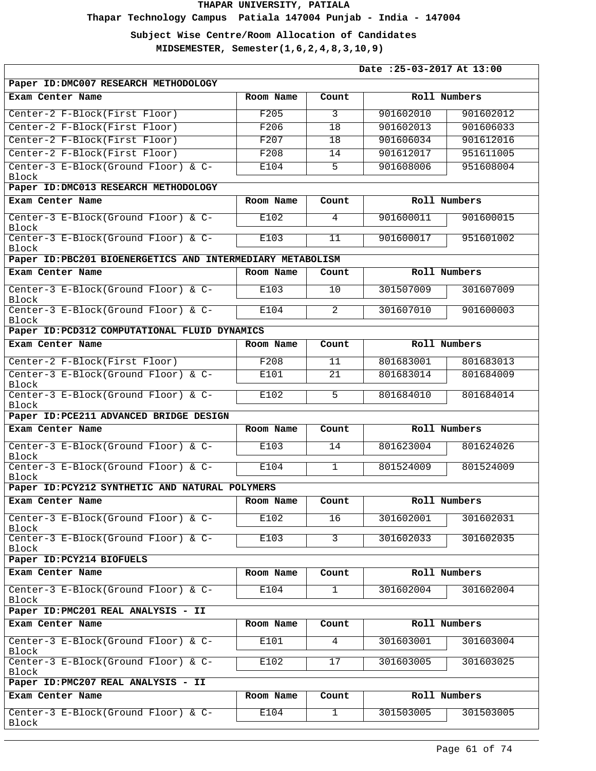**Thapar Technology Campus Patiala 147004 Punjab - India - 147004**

**Subject Wise Centre/Room Allocation of Candidates**

|                                                           |           |                | Date: 25-03-2017 At 13:00 |           |  |
|-----------------------------------------------------------|-----------|----------------|---------------------------|-----------|--|
| Paper ID: DMC007 RESEARCH METHODOLOGY                     |           |                |                           |           |  |
| Exam Center Name                                          | Room Name | Count          | Roll Numbers              |           |  |
| Center-2 F-Block(First Floor)                             | F205      | 3              | 901602010                 | 901602012 |  |
| Center-2 F-Block(First Floor)                             | F206      | 18             | 901602013                 | 901606033 |  |
| Center-2 F-Block(First Floor)                             | F207      | 18             | 901606034                 | 901612016 |  |
| Center-2 F-Block(First Floor)                             | F208      | 14             | 901612017                 | 951611005 |  |
| Center-3 E-Block(Ground Floor) & C-                       | E104      | 5              | 901608006                 | 951608004 |  |
| Block                                                     |           |                |                           |           |  |
| Paper ID: DMC013 RESEARCH METHODOLOGY                     |           |                |                           |           |  |
| Exam Center Name                                          | Room Name | Count          | Roll Numbers              |           |  |
| Center-3 E-Block(Ground Floor) & C-<br>Block              | E102      | 4              | 901600011                 | 901600015 |  |
| Center-3 E-Block(Ground Floor) & C-<br>Block              | E103      | 11             | 901600017                 | 951601002 |  |
| Paper ID:PBC201 BIOENERGETICS AND INTERMEDIARY METABOLISM |           |                |                           |           |  |
| Exam Center Name                                          | Room Name | Count          | Roll Numbers              |           |  |
| Center-3 E-Block(Ground Floor) & C-<br><b>Block</b>       | E103      | 10             | 301507009                 | 301607009 |  |
| Center-3 E-Block(Ground Floor) & C-<br>Block              | E104      | $\overline{2}$ | 301607010                 | 901600003 |  |
| Paper ID: PCD312 COMPUTATIONAL FLUID DYNAMICS             |           |                |                           |           |  |
| Exam Center Name                                          | Room Name | Count          | Roll Numbers              |           |  |
| Center-2 F-Block(First Floor)                             | F208      | 11             | 801683001                 | 801683013 |  |
| Center-3 E-Block(Ground Floor) & C-<br>Block              | E101      | 21             | 801683014                 | 801684009 |  |
| Center-3 E-Block(Ground Floor) & C-<br>Block              | E102      | 5              | 801684010                 | 801684014 |  |
| Paper ID: PCE211 ADVANCED BRIDGE DESIGN                   |           |                |                           |           |  |
| Exam Center Name                                          | Room Name | Count          | Roll Numbers              |           |  |
| Center-3 E-Block(Ground Floor) & C-<br>Block              | E103      | 14             | 801623004                 | 801624026 |  |
| Center-3 E-Block(Ground Floor) & C-<br>Block              | E104      | $\mathbf{1}$   | 801524009                 | 801524009 |  |
| Paper ID: PCY212 SYNTHETIC AND NATURAL POLYMERS           |           |                |                           |           |  |
| Exam Center Name                                          | Room Name | Count          | Roll Numbers              |           |  |
| Center-3 E-Block(Ground Floor) & C-                       | E102      | 16             | 301602001                 | 301602031 |  |
| Block<br>Center-3 E-Block(Ground Floor) & C-<br>Block     | E103      | $\mathbf{3}$   | 301602033                 | 301602035 |  |
| Paper ID: PCY214 BIOFUELS                                 |           |                |                           |           |  |
| Exam Center Name                                          | Room Name | Count          | Roll Numbers              |           |  |
| Center-3 E-Block(Ground Floor) & C-                       | E104      | $\mathbf{1}$   | 301602004                 | 301602004 |  |
| Block<br>Paper ID: PMC201 REAL ANALYSIS - II              |           |                |                           |           |  |
| Exam Center Name                                          | Room Name | Count          | Roll Numbers              |           |  |
| Center-3 E-Block(Ground Floor) & C-                       | E101      | $\overline{4}$ | 301603001                 | 301603004 |  |
| Block<br>Center-3 E-Block(Ground Floor) & C-              | E102      | 17             | 301603005                 | 301603025 |  |
| Block                                                     |           |                |                           |           |  |
| Paper ID: PMC207 REAL ANALYSIS - II                       |           |                |                           |           |  |
| Exam Center Name                                          | Room Name | Count          | Roll Numbers              |           |  |
| Center-3 E-Block(Ground Floor) & C-<br>Block              | E104      | $\mathbf{1}$   | 301503005                 | 301503005 |  |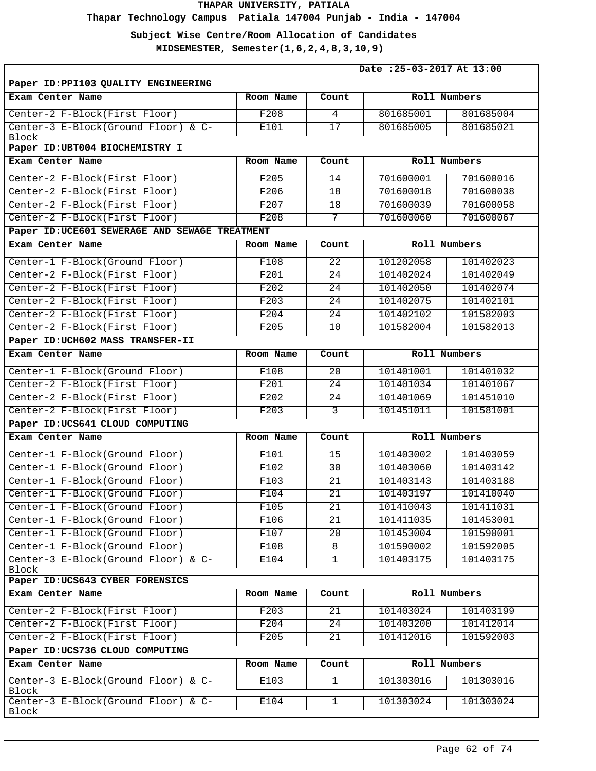**Thapar Technology Campus Patiala 147004 Punjab - India - 147004**

**Subject Wise Centre/Room Allocation of Candidates**

| Date: 25-03-2017 At 13:00                      |           |                 |              |              |  |
|------------------------------------------------|-----------|-----------------|--------------|--------------|--|
| Paper ID: PPI103 QUALITY ENGINEERING           |           |                 |              |              |  |
| Exam Center Name                               | Room Name | Count           |              | Roll Numbers |  |
| Center-2 F-Block(First Floor)                  | F208      | 4               | 801685001    | 801685004    |  |
| Center-3 E-Block(Ground Floor) & C-<br>Block   | E101      | 17              | 801685005    | 801685021    |  |
| Paper ID: UBT004 BIOCHEMISTRY I                |           |                 |              |              |  |
| Exam Center Name                               | Room Name | Count           |              | Roll Numbers |  |
| Center-2 F-Block(First Floor)                  | F205      | 14              | 701600001    | 701600016    |  |
| Center-2 F-Block(First Floor)                  | F206      | 18              | 701600018    | 701600038    |  |
| Center-2 F-Block(First Floor)                  | F207      | 18              | 701600039    | 701600058    |  |
| Center-2 F-Block(First Floor)                  | F208      | $\overline{7}$  | 701600060    | 701600067    |  |
| Paper ID: UCE601 SEWERAGE AND SEWAGE TREATMENT |           |                 |              |              |  |
| Exam Center Name                               | Room Name | Count           |              | Roll Numbers |  |
| Center-1 F-Block(Ground Floor)                 | F108      | $\overline{22}$ | 101202058    | 101402023    |  |
| Center-2 F-Block(First Floor)                  | F201      | $\overline{24}$ | 101402024    | 101402049    |  |
| Center-2 F-Block(First Floor)                  | F202      | 24              | 101402050    | 101402074    |  |
| Center-2 F-Block(First Floor)                  | F203      | $\overline{24}$ | 101402075    | 101402101    |  |
| Center-2 F-Block(First Floor)                  | F204      | 24              | 101402102    | 101582003    |  |
| Center-2 F-Block(First Floor)                  | F205      | 10              | 101582004    | 101582013    |  |
| Paper ID: UCH602 MASS TRANSFER-II              |           |                 |              |              |  |
| Exam Center Name                               | Room Name | Count           | Roll Numbers |              |  |
| Center-1 F-Block(Ground Floor)                 | F108      | $\overline{20}$ | 101401001    | 101401032    |  |
| Center-2 F-Block(First Floor)                  | F201      | $\overline{24}$ | 101401034    | 101401067    |  |
| Center-2 F-Block(First Floor)                  | F202      | 24              | 101401069    | 101451010    |  |
| Center-2 F-Block(First Floor)                  | F203      | 3               | 101451011    | 101581001    |  |
| Paper ID: UCS641 CLOUD COMPUTING               |           |                 |              |              |  |
| Exam Center Name                               | Room Name | Count           |              | Roll Numbers |  |
| Center-1 F-Block(Ground Floor)                 | F101      | 15              | 101403002    | 101403059    |  |
| Center-1 F-Block(Ground Floor)                 | F102      | $\overline{30}$ | 101403060    | 101403142    |  |
| Center-1 F-Block(Ground Floor)                 | F103      | 21              | 101403143    | 101403188    |  |
| Center-1 F-Block(Ground Floor)                 | F104      | $\overline{21}$ | 101403197    | 101410040    |  |
| Center-1 F-Block(Ground Floor)                 | F105      | 21              | 101410043    | 101411031    |  |
| Center-1 F-Block(Ground Floor)                 | F106      | $\overline{21}$ | 101411035    | 101453001    |  |
| Center-1 F-Block(Ground Floor)                 | F107      | $\overline{20}$ | 101453004    | 101590001    |  |
| Center-1 F-Block(Ground Floor)                 | F108      | $\overline{8}$  | 101590002    | 101592005    |  |
| Center-3 E-Block(Ground Floor) & C-<br>Block   | E104      | $\mathbf{1}$    | 101403175    | 101403175    |  |
| Paper ID: UCS643 CYBER FORENSICS               |           |                 |              |              |  |
| Exam Center Name                               | Room Name | Count           |              | Roll Numbers |  |
| Center-2 F-Block(First Floor)                  | F203      | 21              | 101403024    | 101403199    |  |
| Center-2 F-Block(First Floor)                  | F204      | 24              | 101403200    | 101412014    |  |
| Center-2 F-Block(First Floor)                  | F205      | 21              | 101412016    | 101592003    |  |
| Paper ID: UCS736 CLOUD COMPUTING               |           |                 |              |              |  |
| Exam Center Name                               | Room Name | Count           |              | Roll Numbers |  |
| Center-3 E-Block(Ground Floor) & C-<br>Block   | E103      | $\mathbf 1$     | 101303016    | 101303016    |  |
| Center-3 E-Block(Ground Floor) & C-<br>Block   | E104      | $\mathbf{1}$    | 101303024    | 101303024    |  |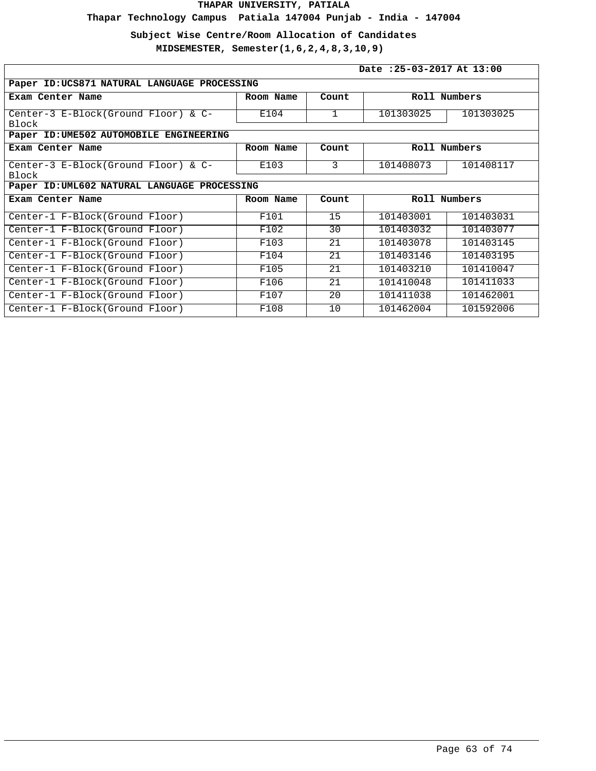**Thapar Technology Campus Patiala 147004 Punjab - India - 147004**

**Subject Wise Centre/Room Allocation of Candidates**

|                                                     | Date: 25-03-2017 At 13:00 |                 |           |              |  |  |
|-----------------------------------------------------|---------------------------|-----------------|-----------|--------------|--|--|
| Paper ID:UCS871 NATURAL LANGUAGE PROCESSING         |                           |                 |           |              |  |  |
| Exam Center Name                                    | Room Name                 | Count           |           | Roll Numbers |  |  |
| Center-3 E-Block(Ground Floor) & C-<br><b>Block</b> | E104                      | 1               | 101303025 | 101303025    |  |  |
| Paper ID: UME502 AUTOMOBILE ENGINEERING             |                           |                 |           |              |  |  |
| Exam Center Name                                    | Room Name                 | Count           |           | Roll Numbers |  |  |
| Center-3 E-Block(Ground Floor) & C-<br><b>Block</b> | E103                      | 3               | 101408073 | 101408117    |  |  |
| Paper ID: UML602 NATURAL LANGUAGE PROCESSING        |                           |                 |           |              |  |  |
| Exam Center Name                                    | Room Name                 | Count           |           | Roll Numbers |  |  |
| Center-1 F-Block(Ground Floor)                      | F101                      | 15              | 101403001 | 101403031    |  |  |
| Center-1 F-Block(Ground Floor)                      | F102                      | 30              | 101403032 | 101403077    |  |  |
| Center-1 F-Block(Ground Floor)                      | F103                      | $\overline{21}$ | 101403078 | 101403145    |  |  |
| Center-1 F-Block(Ground Floor)                      | F104                      | 21              | 101403146 | 101403195    |  |  |
| Center-1 F-Block(Ground Floor)                      | F105                      | 21              | 101403210 | 101410047    |  |  |
| Center-1 F-Block(Ground Floor)                      | F106                      | 21              | 101410048 | 101411033    |  |  |
| Center-1 F-Block(Ground Floor)                      | F107                      | 20              | 101411038 | 101462001    |  |  |
| Center-1 F-Block(Ground Floor)                      | F108                      | 10              | 101462004 | 101592006    |  |  |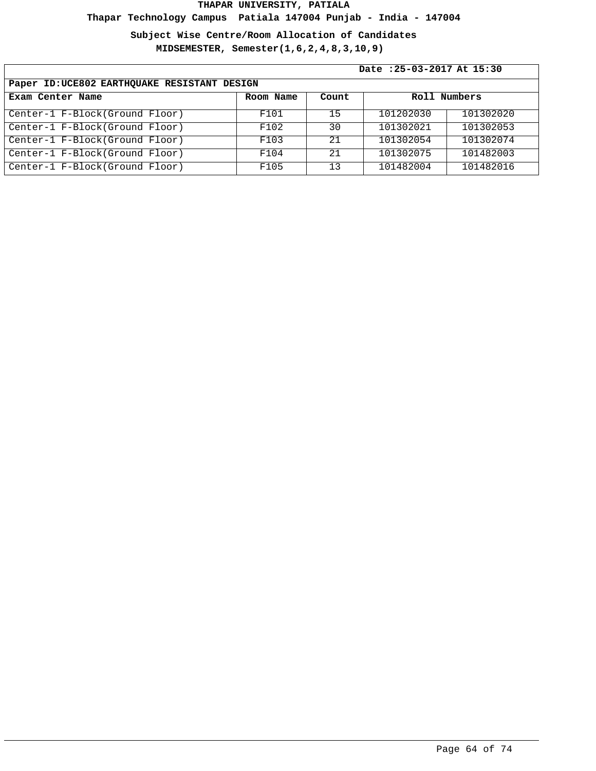**Thapar Technology Campus Patiala 147004 Punjab - India - 147004**

**Subject Wise Centre/Room Allocation of Candidates**

|                                              | Date: 25-03-2017 At 15:30 |       |              |           |  |
|----------------------------------------------|---------------------------|-------|--------------|-----------|--|
| Paper ID: UCE802 EARTHOUAKE RESISTANT DESIGN |                           |       |              |           |  |
| Exam Center Name                             | Room Name                 | Count | Roll Numbers |           |  |
| Center-1 F-Block(Ground Floor)               | F101                      | 15    | 101202030    | 101302020 |  |
| Center-1 F-Block(Ground Floor)               | F102                      | 30    | 101302021    | 101302053 |  |
| Center-1 F-Block(Ground Floor)               | F103                      | 2.1   | 101302054    | 101302074 |  |
| Center-1 F-Block(Ground Floor)               | F104                      | 21    | 101302075    | 101482003 |  |
| Center-1 F-Block(Ground Floor)               | F105                      | 13    | 101482004    | 101482016 |  |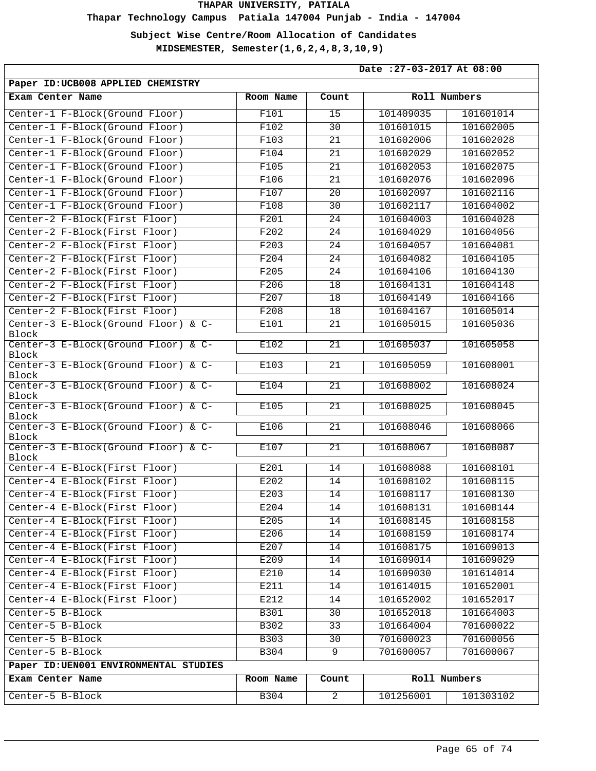**Thapar Technology Campus Patiala 147004 Punjab - India - 147004**

**Subject Wise Centre/Room Allocation of Candidates**

| Date: 27-03-2017 At 08:00                    |              |                 |              |              |  |  |
|----------------------------------------------|--------------|-----------------|--------------|--------------|--|--|
| Paper ID: UCB008 APPLIED CHEMISTRY           |              |                 |              |              |  |  |
| Exam Center Name                             | Room Name    | Count           |              | Roll Numbers |  |  |
| Center-1 F-Block(Ground Floor)               | F101         | 15              | 101409035    | 101601014    |  |  |
| Center-1 F-Block(Ground Floor)               | F102         | $\overline{30}$ | 101601015    | 101602005    |  |  |
| Center-1 F-Block(Ground Floor)               | F103         | 21              | 101602006    | 101602028    |  |  |
| Center-1 F-Block(Ground Floor)               | F104         | 21              | 101602029    | 101602052    |  |  |
| Center-1 F-Block(Ground Floor)               | F105         | 21              | 101602053    | 101602075    |  |  |
| Center-1 F-Block(Ground Floor)               | F106         | 21              | 101602076    | 101602096    |  |  |
| Center-1 F-Block(Ground Floor)               | F107         | 20              | 101602097    | 101602116    |  |  |
| Center-1 F-Block(Ground Floor)               | F108         | 30              | 101602117    | 101604002    |  |  |
| Center-2 F-Block(First Floor)                | F201         | $\overline{24}$ | 101604003    | 101604028    |  |  |
| Center-2 F-Block(First Floor)                | F202         | 24              | 101604029    | 101604056    |  |  |
| Center-2 F-Block(First Floor)                | F203         | 24              | 101604057    | 101604081    |  |  |
| Center-2 F-Block(First Floor)                | F204         | 24              | 101604082    | 101604105    |  |  |
| Center-2 F-Block(First Floor)                | F205         | 24              | 101604106    | 101604130    |  |  |
| Center-2 F-Block(First Floor)                | F206         | 18              | 101604131    | 101604148    |  |  |
| Center-2 F-Block(First Floor)                | F207         | 18              | 101604149    | 101604166    |  |  |
| Center-2 F-Block(First Floor)                | F208         | 18              | 101604167    | 101605014    |  |  |
| Center-3 E-Block(Ground Floor) & C-          | E101         | $\overline{21}$ | 101605015    | 101605036    |  |  |
| Block<br>Center-3 E-Block(Ground Floor) & C- | E102         | 21              | 101605037    | 101605058    |  |  |
| Block<br>Center-3 E-Block(Ground Floor) & C- |              | $\overline{21}$ | 101605059    | 101608001    |  |  |
| Block                                        | E103<br>E104 | 21              | 101608002    | 101608024    |  |  |
| Center-3 E-Block(Ground Floor) & C-<br>Block |              |                 |              |              |  |  |
| Center-3 E-Block(Ground Floor) & C-<br>Block | E105         | 21              | 101608025    | 101608045    |  |  |
| Center-3 E-Block(Ground Floor) & C-<br>Block | E106         | 21              | 101608046    | 101608066    |  |  |
| Center-3 E-Block(Ground Floor) & C-<br>Block | E107         | 21              | 101608067    | 101608087    |  |  |
| Center-4 E-Block(First Floor)                | E201         | 14              | 101608088    | 101608101    |  |  |
| Center-4 E-Block(First Floor)                | E202         | 14              | 101608102    | 101608115    |  |  |
| Center-4 E-Block(First Floor)                | E203         | 14              | 101608117    | 101608130    |  |  |
| Center-4 E-Block(First Floor)                | E204         | 14              | 101608131    | 101608144    |  |  |
| Center-4 E-Block(First Floor)                | E205         | 14              | 101608145    | 101608158    |  |  |
| Center-4 E-Block(First Floor)                | E206         | 14              | 101608159    | 101608174    |  |  |
| Center-4 E-Block(First Floor)                | E207         | 14              | 101608175    | 101609013    |  |  |
| Center-4 E-Block(First Floor)                | E209         | 14              | 101609014    | 101609029    |  |  |
| Center-4 E-Block(First Floor)                | E210         | 14              | 101609030    | 101614014    |  |  |
| Center-4 E-Block(First Floor)                | E211         | 14              | 101614015    | 101652001    |  |  |
| Center-4 E-Block(First Floor)                | E212         | 14              | 101652002    | 101652017    |  |  |
| Center-5 B-Block                             | B301         | 30              | 101652018    | 101664003    |  |  |
| Center-5 B-Block                             | B302         | 33              | 101664004    | 701600022    |  |  |
| Center-5 B-Block                             | B303         | 30              | 701600023    | 701600056    |  |  |
| Center-5 B-Block                             | B304         | $\overline{9}$  | 701600057    | 701600067    |  |  |
| Paper ID: UEN001 ENVIRONMENTAL STUDIES       |              |                 |              |              |  |  |
| Exam Center Name                             | Room Name    | Count           | Roll Numbers |              |  |  |
| Center-5 B-Block                             | B304         | $\overline{2}$  | 101256001    | 101303102    |  |  |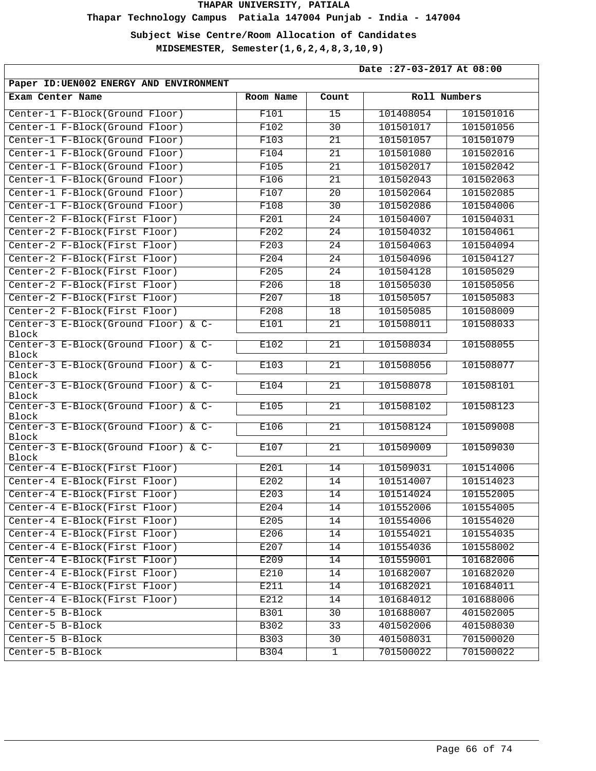**Thapar Technology Campus Patiala 147004 Punjab - India - 147004**

**Subject Wise Centre/Room Allocation of Candidates**

| Date: 27-03-2017 At 08:00                    |           |                 |           |              |  |
|----------------------------------------------|-----------|-----------------|-----------|--------------|--|
| Paper ID: UEN002 ENERGY AND ENVIRONMENT      |           |                 |           |              |  |
| Exam Center Name                             | Room Name | Count           |           | Roll Numbers |  |
| Center-1 F-Block(Ground Floor)               | F101      | 15              | 101408054 | 101501016    |  |
| Center-1 F-Block(Ground Floor)               | F102      | 30              | 101501017 | 101501056    |  |
| Center-1 F-Block(Ground Floor)               | F103      | 21              | 101501057 | 101501079    |  |
| Center-1 F-Block(Ground Floor)               | F104      | 21              | 101501080 | 101502016    |  |
| Center-1 F-Block(Ground Floor)               | F105      | $\overline{21}$ | 101502017 | 101502042    |  |
| Center-1 F-Block(Ground Floor)               | F106      | 21              | 101502043 | 101502063    |  |
| Center-1 F-Block(Ground Floor)               | F107      | 20              | 101502064 | 101502085    |  |
| Center-1 F-Block(Ground Floor)               | F108      | 30              | 101502086 | 101504006    |  |
| Center-2 F-Block(First Floor)                | F201      | $\overline{24}$ | 101504007 | 101504031    |  |
| Center-2 F-Block(First Floor)                | F202      | 24              | 101504032 | 101504061    |  |
| Center-2 F-Block(First Floor)                | F203      | 24              | 101504063 | 101504094    |  |
| Center-2 F-Block(First Floor)                | F204      | 24              | 101504096 | 101504127    |  |
| Center-2 F-Block(First Floor)                | F205      | 24              | 101504128 | 101505029    |  |
| Center-2 F-Block(First Floor)                | F206      | 18              | 101505030 | 101505056    |  |
| Center-2 F-Block(First Floor)                | F207      | 18              | 101505057 | 101505083    |  |
| Center-2 F-Block(First Floor)                | F208      | 18              | 101505085 | 101508009    |  |
| Center-3 E-Block(Ground Floor) & C-<br>Block | E101      | 21              | 101508011 | 101508033    |  |
| Center-3 E-Block(Ground Floor) & C-<br>Block | E102      | 21              | 101508034 | 101508055    |  |
| Center-3 E-Block(Ground Floor) & C-<br>Block | E103      | 21              | 101508056 | 101508077    |  |
| Center-3 E-Block(Ground Floor) & C-<br>Block | E104      | 21              | 101508078 | 101508101    |  |
| Center-3 E-Block(Ground Floor) & C-<br>Block | E105      | 21              | 101508102 | 101508123    |  |
| Center-3 E-Block(Ground Floor) & C-<br>Block | E106      | 21              | 101508124 | 101509008    |  |
| Center-3 E-Block(Ground Floor) & C-<br>Block | E107      | 21              | 101509009 | 101509030    |  |
| Center-4 E-Block(First Floor)                | E201      | 14              | 101509031 | 101514006    |  |
| Center-4 E-Block(First Floor)                | E202      | 14              | 101514007 | 101514023    |  |
| Center-4 E-Block(First Floor)                | E203      | 14              | 101514024 | 101552005    |  |
| Center-4 E-Block(First Floor)                | E204      | 14              | 101552006 | 101554005    |  |
| Center-4 E-Block(First Floor)                | E205      | 14              | 101554006 | 101554020    |  |
| Center-4 E-Block(First Floor)                | E206      | 14              | 101554021 | 101554035    |  |
| Center-4 E-Block(First Floor)                | E207      | 14              | 101554036 | 101558002    |  |
| Center-4 E-Block(First Floor)                | E209      | 14              | 101559001 | 101682006    |  |
| Center-4 E-Block(First Floor)                | E210      | 14              | 101682007 | 101682020    |  |
| Center-4 E-Block(First Floor)                | E211      | 14              | 101682021 | 101684011    |  |
| Center-4 E-Block(First Floor)                | E212      | 14              | 101684012 | 101688006    |  |
| Center-5 B-Block                             | B301      | 30              | 101688007 | 401502005    |  |
| Center-5 B-Block                             | B302      | 33              | 401502006 | 401508030    |  |
| Center-5 B-Block                             | B303      | 30              | 401508031 | 701500020    |  |
| Center-5 B-Block                             | B304      | $\mathbf{1}$    | 701500022 | 701500022    |  |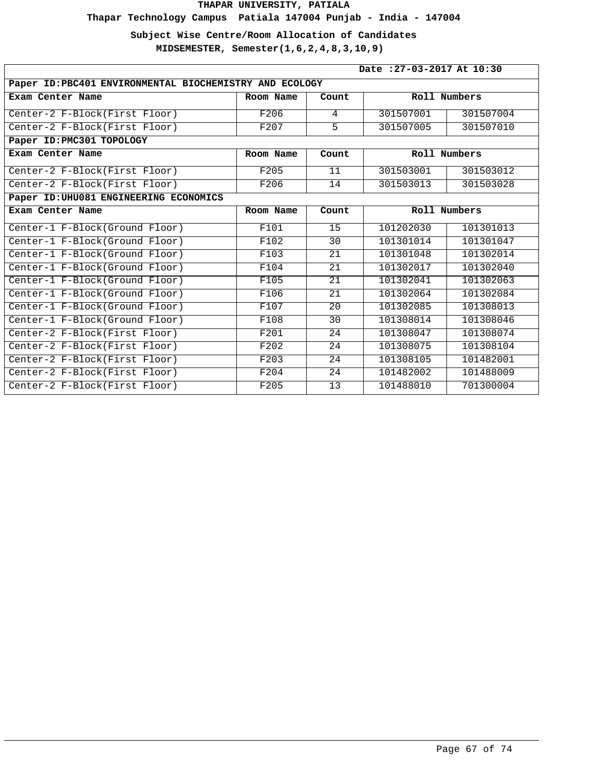**Thapar Technology Campus Patiala 147004 Punjab - India - 147004**

**Subject Wise Centre/Room Allocation of Candidates**

| Date: 27-03-2017 At 10:30                               |           |                 |              |           |  |  |
|---------------------------------------------------------|-----------|-----------------|--------------|-----------|--|--|
| Paper ID: PBC401 ENVIRONMENTAL BIOCHEMISTRY AND ECOLOGY |           |                 |              |           |  |  |
| Exam Center Name                                        | Room Name | Count           | Roll Numbers |           |  |  |
| Center-2 F-Block(First Floor)                           | F206      | $\overline{4}$  | 301507001    | 301507004 |  |  |
| Center-2 F-Block(First Floor)                           | F207      | 5               | 301507005    | 301507010 |  |  |
| Paper ID: PMC301 TOPOLOGY                               |           |                 |              |           |  |  |
| Exam Center Name                                        | Room Name | Count           | Roll Numbers |           |  |  |
| Center-2 F-Block(First Floor)                           | F205      | 11              | 301503001    | 301503012 |  |  |
| Center-2 F-Block(First Floor)                           | F206      | 14              | 301503013    | 301503028 |  |  |
| Paper ID: UHU081 ENGINEERING ECONOMICS                  |           |                 |              |           |  |  |
| Exam Center Name                                        | Room Name | Count           | Roll Numbers |           |  |  |
| Center-1 F-Block(Ground Floor)                          | F101      | 15              | 101202030    | 101301013 |  |  |
| Center-1 F-Block(Ground Floor)                          | F102      | $\overline{30}$ | 101301014    | 101301047 |  |  |
| Center-1 F-Block(Ground Floor)                          | F103      | 21              | 101301048    | 101302014 |  |  |
| Center-1 F-Block(Ground Floor)                          | F104      | 21              | 101302017    | 101302040 |  |  |
| Center-1 F-Block(Ground Floor)                          | F105      | 21              | 101302041    | 101302063 |  |  |
| Center-1 F-Block(Ground Floor)                          | F106      | 21              | 101302064    | 101302084 |  |  |
| Center-1 F-Block(Ground Floor)                          | F107      | 20              | 101302085    | 101308013 |  |  |
| Center-1 F-Block(Ground Floor)                          | F108      | 30              | 101308014    | 101308046 |  |  |
| Center-2 F-Block(First Floor)                           | F201      | 24              | 101308047    | 101308074 |  |  |
| Center-2 F-Block(First Floor)                           | F202      | 24              | 101308075    | 101308104 |  |  |
| Center-2 F-Block(First Floor)                           | F203      | 24              | 101308105    | 101482001 |  |  |
| Center-2 F-Block(First Floor)                           | F204      | 24              | 101482002    | 101488009 |  |  |
| Center-2 F-Block(First Floor)                           | F205      | 13              | 101488010    | 701300004 |  |  |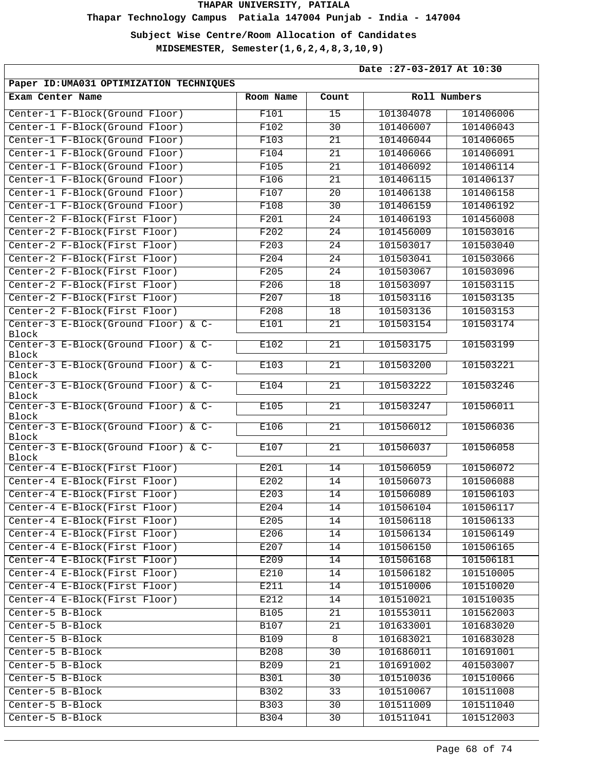**Thapar Technology Campus Patiala 147004 Punjab - India - 147004**

**Subject Wise Centre/Room Allocation of Candidates**

| Date: 27-03-2017 At 10:30                           |             |                 |              |           |  |
|-----------------------------------------------------|-------------|-----------------|--------------|-----------|--|
| Paper ID: UMA031 OPTIMIZATION TECHNIQUES            |             |                 |              |           |  |
| Exam Center Name                                    | Room Name   | Count           | Roll Numbers |           |  |
| Center-1 F-Block(Ground Floor)                      | F101        | 15              | 101304078    | 101406006 |  |
| Center-1 F-Block(Ground Floor)                      | F102        | 30              | 101406007    | 101406043 |  |
| Center-1 F-Block(Ground Floor)                      | F103        | 21              | 101406044    | 101406065 |  |
| Center-1 F-Block(Ground Floor)                      | F104        | 21              | 101406066    | 101406091 |  |
| Center-1 F-Block(Ground Floor)                      | F105        | $\overline{21}$ | 101406092    | 101406114 |  |
| Center-1 F-Block(Ground Floor)                      | F106        | 21              | 101406115    | 101406137 |  |
| Center-1 F-Block(Ground Floor)                      | F107        | 20              | 101406138    | 101406158 |  |
| Center-1 F-Block(Ground Floor)                      | F108        | 30              | 101406159    | 101406192 |  |
| Center-2 F-Block(First Floor)                       | F201        | 24              | 101406193    | 101456008 |  |
| Center-2 F-Block(First Floor)                       | F202        | 24              | 101456009    | 101503016 |  |
| Center-2 F-Block(First Floor)                       | F203        | 24              | 101503017    | 101503040 |  |
| Center-2 F-Block(First Floor)                       | F204        | 24              | 101503041    | 101503066 |  |
| Center-2 F-Block(First Floor)                       | F205        | $\overline{24}$ | 101503067    | 101503096 |  |
| Center-2 F-Block(First Floor)                       | F206        | 18              | 101503097    | 101503115 |  |
| Center-2 F-Block(First Floor)                       | F207        | 18              | 101503116    | 101503135 |  |
| Center-2 F-Block(First Floor)                       | F208        | 18              | 101503136    | 101503153 |  |
| Center-3 E-Block(Ground Floor) & C-<br><b>Block</b> | E101        | 21              | 101503154    | 101503174 |  |
| Center-3 E-Block(Ground Floor) & C-<br>Block        | E102        | 21              | 101503175    | 101503199 |  |
| Center-3 E-Block(Ground Floor) & C-<br>Block        | E103        | 21              | 101503200    | 101503221 |  |
| Center-3 E-Block(Ground Floor) & C-<br>Block        | E104        | 21              | 101503222    | 101503246 |  |
| Center-3 E-Block(Ground Floor) & C-<br>Block        | E105        | 21              | 101503247    | 101506011 |  |
| Center-3 E-Block(Ground Floor) & C-<br>Block        | E106        | 21              | 101506012    | 101506036 |  |
| Center-3 E-Block(Ground Floor) & C-<br>Block        | E107        | 21              | 101506037    | 101506058 |  |
| Center-4 E-Block(First Floor)                       | E201        | 14              | 101506059    | 101506072 |  |
| Center-4 E-Block(First Floor)                       | E202        | 14              | 101506073    | 101506088 |  |
| Center-4 E-Block(First Floor)                       | E203        | 14              | 101506089    | 101506103 |  |
| Center-4 E-Block(First Floor)                       | E204        | 14              | 101506104    | 101506117 |  |
| Center-4 E-Block(First Floor)                       | E205        | 14              | 101506118    | 101506133 |  |
| Center-4 E-Block(First Floor)                       | E206        | 14              | 101506134    | 101506149 |  |
| Center-4 E-Block(First Floor)                       | E207        | 14              | 101506150    | 101506165 |  |
| Center-4 E-Block(First Floor)                       | E209        | 14              | 101506168    | 101506181 |  |
| Center-4 E-Block(First Floor)                       | E210        | 14              | 101506182    | 101510005 |  |
| Center-4 E-Block(First Floor)                       | E211        | 14              | 101510006    | 101510020 |  |
| Center-4 E-Block(First Floor)                       | E212        | 14              | 101510021    | 101510035 |  |
| Center-5 B-Block                                    | B105        | 21              | 101553011    | 101562003 |  |
| Center-5 B-Block                                    | B107        | 21              | 101633001    | 101683020 |  |
| Center-5 B-Block                                    | <b>B109</b> | 8               | 101683021    | 101683028 |  |
| Center-5 B-Block                                    | <b>B208</b> | 30              | 101686011    | 101691001 |  |
| Center-5 B-Block                                    | B209        | 21              | 101691002    | 401503007 |  |
| Center-5 B-Block                                    | <b>B301</b> | 30              | 101510036    | 101510066 |  |
| Center-5 B-Block                                    | B302        | 33              | 101510067    | 101511008 |  |
| Center-5 B-Block                                    | <b>B303</b> | 30              | 101511009    | 101511040 |  |
| Center-5 B-Block                                    | B304        | 30              | 101511041    | 101512003 |  |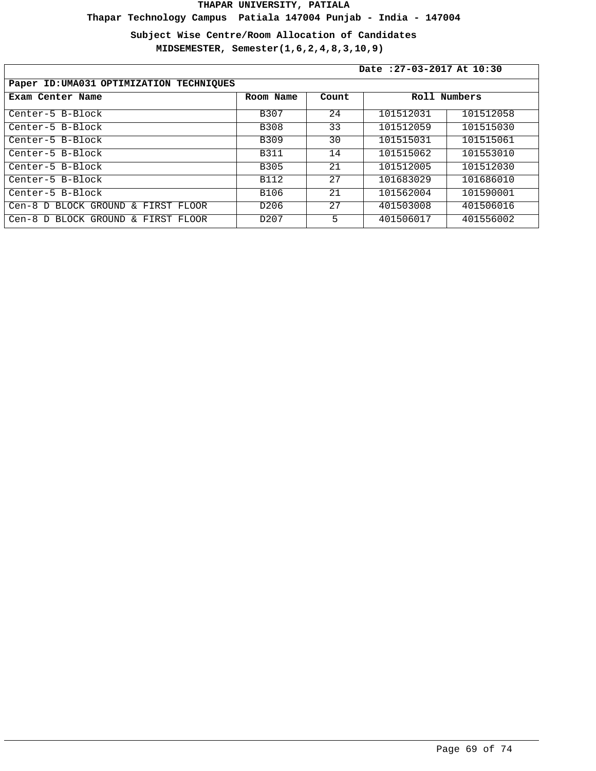**Thapar Technology Campus Patiala 147004 Punjab - India - 147004**

**Subject Wise Centre/Room Allocation of Candidates**

|                                          | Date: 27-03-2017 At 10:30 |       |              |           |  |
|------------------------------------------|---------------------------|-------|--------------|-----------|--|
| Paper ID: UMA031 OPTIMIZATION TECHNIQUES |                           |       |              |           |  |
| Exam Center Name                         | Room Name                 | Count | Roll Numbers |           |  |
| Center-5 B-Block                         | B307                      | 24    | 101512031    | 101512058 |  |
| Center-5 B-Block                         | <b>B308</b>               | 33    | 101512059    | 101515030 |  |
| Center-5 B-Block                         | <b>B309</b>               | 30    | 101515031    | 101515061 |  |
| Center-5 B-Block                         | <b>B311</b>               | 14    | 101515062    | 101553010 |  |
| Center-5 B-Block                         | <b>B305</b>               | 21    | 101512005    | 101512030 |  |
| Center-5 B-Block                         | <b>B112</b>               | 27    | 101683029    | 101686010 |  |
| Center-5 B-Block                         | B106                      | 21    | 101562004    | 101590001 |  |
| Cen-8 D BLOCK GROUND & FIRST FLOOR       | D206                      | 27    | 401503008    | 401506016 |  |
| Cen-8 D BLOCK GROUND & FIRST FLOOR       | D207                      | 5     | 401506017    | 401556002 |  |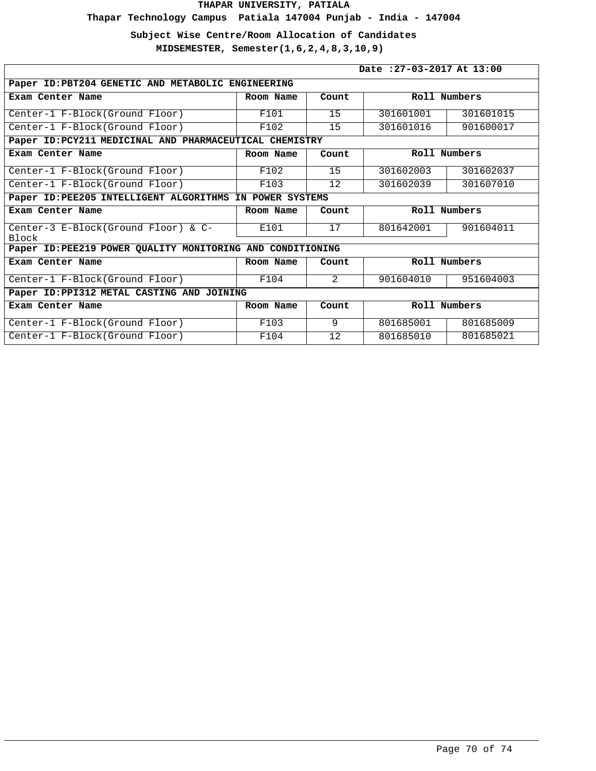**Thapar Technology Campus Patiala 147004 Punjab - India - 147004**

**Subject Wise Centre/Room Allocation of Candidates**

|                                                           | Date: 27-03-2017 At 13:00 |                |              |           |  |  |
|-----------------------------------------------------------|---------------------------|----------------|--------------|-----------|--|--|
| Paper ID: PBT204 GENETIC AND METABOLIC ENGINEERING        |                           |                |              |           |  |  |
| Exam Center Name                                          | Room Name                 | Count          | Roll Numbers |           |  |  |
| Center-1 F-Block(Ground Floor)                            | F101                      | 15             | 301601001    | 301601015 |  |  |
| Center-1 F-Block(Ground Floor)                            | F102                      | 15             | 301601016    | 901600017 |  |  |
| Paper ID: PCY211 MEDICINAL AND PHARMACEUTICAL CHEMISTRY   |                           |                |              |           |  |  |
| Exam Center Name                                          | Room Name                 | Count          | Roll Numbers |           |  |  |
| Center-1 F-Block(Ground Floor)                            | F102                      | 15             | 301602003    | 301602037 |  |  |
| Center-1 F-Block(Ground Floor)                            | F103                      | 12             | 301602039    | 301607010 |  |  |
| Paper ID: PEE205 INTELLIGENT ALGORITHMS IN POWER SYSTEMS  |                           |                |              |           |  |  |
| Exam Center Name                                          | Room Name                 | Count          | Roll Numbers |           |  |  |
| Center-3 E-Block(Ground Floor) & C-<br><b>Block</b>       | E101                      | 17             | 801642001    | 901604011 |  |  |
| Paper ID:PEE219 POWER QUALITY MONITORING AND CONDITIONING |                           |                |              |           |  |  |
| Exam Center Name                                          | Room Name                 | Count          | Roll Numbers |           |  |  |
| Center-1 F-Block(Ground Floor)                            | F104                      | $\overline{2}$ | 901604010    | 951604003 |  |  |
| Paper ID: PPI312 METAL CASTING AND JOINING                |                           |                |              |           |  |  |
| Exam Center Name                                          | Room Name                 | Count          | Roll Numbers |           |  |  |
| Center-1 F-Block(Ground Floor)                            | F103                      | 9              | 801685001    | 801685009 |  |  |
| Center-1 F-Block(Ground Floor)                            | F104                      | 12             | 801685010    | 801685021 |  |  |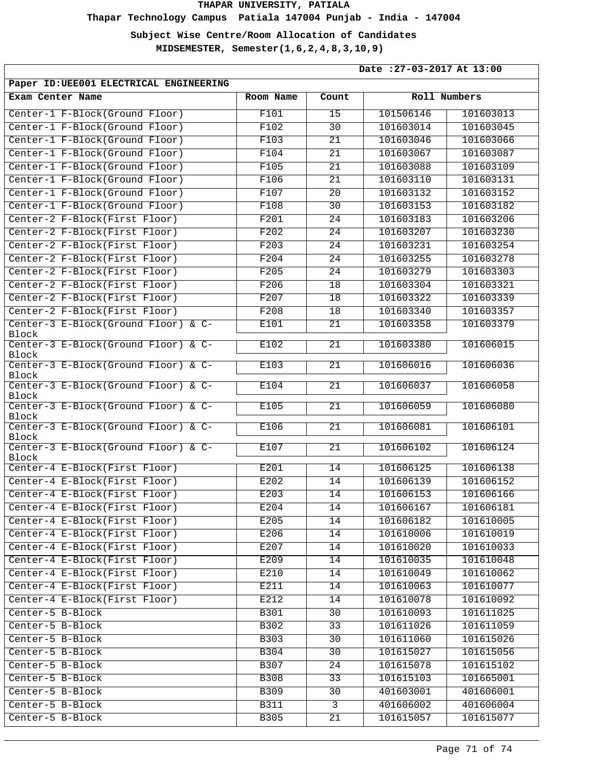**Thapar Technology Campus Patiala 147004 Punjab - India - 147004**

**Subject Wise Centre/Room Allocation of Candidates**

| Date: 27-03-2017 At 13:00                    |             |                 |              |           |
|----------------------------------------------|-------------|-----------------|--------------|-----------|
| Paper ID: UEE001 ELECTRICAL ENGINEERING      |             |                 |              |           |
| Exam Center Name                             | Room Name   | Count           | Roll Numbers |           |
| Center-1 F-Block(Ground Floor)               | F101        | 15              | 101506146    | 101603013 |
| Center-1 F-Block(Ground Floor)               | F102        | 30              | 101603014    | 101603045 |
| Center-1 F-Block(Ground Floor)               | F103        | 21              | 101603046    | 101603066 |
| Center-1 F-Block(Ground Floor)               | F104        | 21              | 101603067    | 101603087 |
| Center-1 F-Block(Ground Floor)               | F105        | 21              | 101603088    | 101603109 |
| Center-1 F-Block(Ground Floor)               | F106        | 21              | 101603110    | 101603131 |
| Center-1 F-Block(Ground Floor)               | F107        | 20              | 101603132    | 101603152 |
| Center-1 F-Block(Ground Floor)               | F108        | 30              | 101603153    | 101603182 |
| Center-2 F-Block(First Floor)                | F201        | $\overline{24}$ | 101603183    | 101603206 |
| Center-2 F-Block(First Floor)                | F202        | 24              | 101603207    | 101603230 |
| Center-2 F-Block(First Floor)                | F203        | 24              | 101603231    | 101603254 |
| Center-2 F-Block(First Floor)                | F204        | 24              | 101603255    | 101603278 |
| Center-2 F-Block(First Floor)                | F205        | 24              | 101603279    | 101603303 |
| Center-2 F-Block(First Floor)                | F206        | 18              | 101603304    | 101603321 |
| Center-2 F-Block(First Floor)                | F207        | 18              | 101603322    | 101603339 |
| Center-2 F-Block(First Floor)                | F208        | 18              | 101603340    | 101603357 |
| Center-3 E-Block(Ground Floor) & C-<br>Block | E101        | 21              | 101603358    | 101603379 |
| Center-3 E-Block(Ground Floor) & C-<br>Block | E102        | 21              | 101603380    | 101606015 |
| Center-3 E-Block(Ground Floor) & C-<br>Block | E103        | 21              | 101606016    | 101606036 |
| Center-3 E-Block(Ground Floor) & C-<br>Block | E104        | 21              | 101606037    | 101606058 |
| Center-3 E-Block(Ground Floor) & C-<br>Block | E105        | 21              | 101606059    | 101606080 |
| Center-3 E-Block(Ground Floor) & C-<br>Block | E106        | 21              | 101606081    | 101606101 |
| Center-3 E-Block(Ground Floor) & C-<br>Block | E107        | 21              | 101606102    | 101606124 |
| Center-4 E-Block(First Floor)                | E201        | 14              | 101606125    | 101606138 |
| Center-4 E-Block(First Floor)                | E202        | 14              | 101606139    | 101606152 |
| Center-4 E-Block(First Floor)                | E203        | 14              | 101606153    | 101606166 |
| Center-4 E-Block(First Floor)                | E204        | 14              | 101606167    | 101606181 |
| Center-4 E-Block(First Floor)                | E205        | 14              | 101606182    | 101610005 |
| Center-4 E-Block(First Floor)                | E206        | 14              | 101610006    | 101610019 |
| Center-4 E-Block(First Floor)                | E207        | 14              | 101610020    | 101610033 |
| Center-4 E-Block(First Floor)                | E209        | 14              | 101610035    | 101610048 |
| Center-4 E-Block(First Floor)                | E210        | 14              | 101610049    | 101610062 |
| Center-4 E-Block(First Floor)                | E211        | 14              | 101610063    | 101610077 |
| Center-4 E-Block(First Floor)                | E212        | 14              | 101610078    | 101610092 |
| Center-5 B-Block                             | B301        | 30              | 101610093    | 101611025 |
| Center-5 B-Block                             | B302        | 33              | 101611026    | 101611059 |
| Center-5 B-Block                             | B303        | 30              | 101611060    | 101615026 |
| Center-5 B-Block                             | <b>B304</b> | 30              | 101615027    | 101615056 |
| Center-5 B-Block                             | B307        | 24              | 101615078    | 101615102 |
| Center-5 B-Block                             | <b>B308</b> | 33              | 101615103    | 101665001 |
| Center-5 B-Block                             | B309        | 30              | 401603001    | 401606001 |
| Center-5 B-Block                             | <b>B311</b> | 3               | 401606002    | 401606004 |
| Center-5 B-Block                             | B305        | 21              | 101615057    | 101615077 |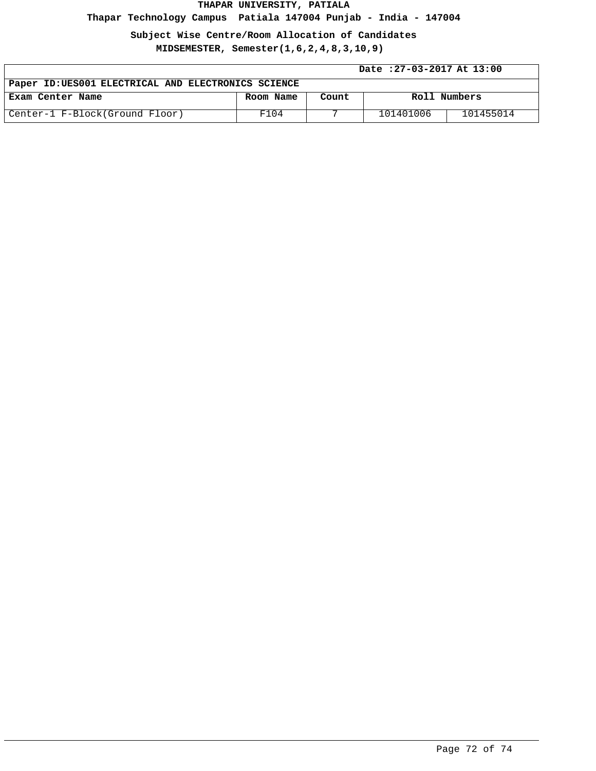**Thapar Technology Campus Patiala 147004 Punjab - India - 147004**

**Subject Wise Centre/Room Allocation of Candidates**

|                                                    |           | Date: 27-03-2017 At 13:00 |              |           |  |
|----------------------------------------------------|-----------|---------------------------|--------------|-----------|--|
| Paper ID:UES001 ELECTRICAL AND ELECTRONICS SCIENCE |           |                           |              |           |  |
| Exam Center Name                                   | Room Name | Count                     | Roll Numbers |           |  |
| Center-1 F-Block(Ground Floor)                     | F104      |                           | 101401006    | 101455014 |  |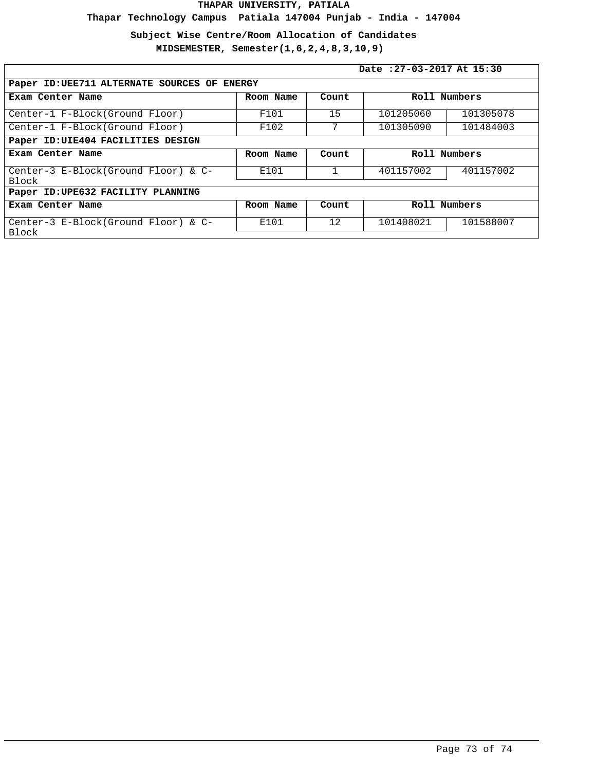## **THAPAR UNIVERSITY, PATIALA**

**Thapar Technology Campus Patiala 147004 Punjab - India - 147004**

**Subject Wise Centre/Room Allocation of Candidates**

**MIDSEMESTER, Semester(1,6,2,4,8,3,10,9)**

|                                                        | Date: 27-03-2017 At 15:30 |       |              |           |  |  |  |
|--------------------------------------------------------|---------------------------|-------|--------------|-----------|--|--|--|
| Paper ID: UEE711 ALTERNATE SOURCES OF<br><b>ENERGY</b> |                           |       |              |           |  |  |  |
| Exam Center Name                                       | Room Name                 | Count | Roll Numbers |           |  |  |  |
| Center-1 F-Block(Ground Floor)                         | F101                      | 15    | 101205060    | 101305078 |  |  |  |
| Center-1 F-Block(Ground Floor)                         | F102                      | 7     | 101305090    | 101484003 |  |  |  |
| Paper ID: UIE404 FACILITIES DESIGN                     |                           |       |              |           |  |  |  |
| Exam Center Name                                       | Room Name                 | Count | Roll Numbers |           |  |  |  |
| Center-3 E-Block(Ground Floor) & C-<br><b>Block</b>    | E101                      |       | 401157002    | 401157002 |  |  |  |
| Paper ID: UPE632 FACILITY PLANNING                     |                           |       |              |           |  |  |  |
| Exam Center Name                                       | Room Name                 | Count | Roll Numbers |           |  |  |  |
| Center-3 E-Block(Ground Floor) & C-<br>Block           | E101                      | 12    | 101408021    | 101588007 |  |  |  |